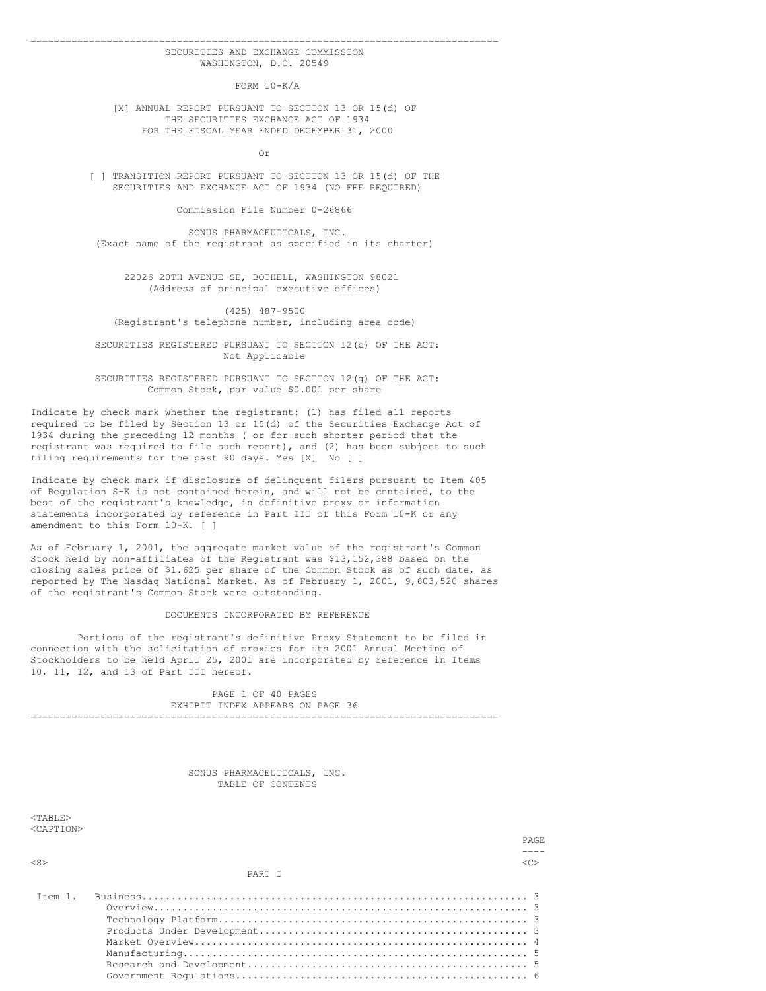### ================================================================================ SECURITIES AND EXCHANGE COMMISSION WASHINGTON, D.C. 20549

FORM 10-K/A

[X] ANNUAL REPORT PURSUANT TO SECTION 13 OR 15(d) OF THE SECURITIES EXCHANGE ACT OF 1934 FOR THE FISCAL YEAR ENDED DECEMBER 31, 2000

Or

[ ] TRANSITION REPORT PURSUANT TO SECTION 13 OR 15(d) OF THE SECURITIES AND EXCHANGE ACT OF 1934 (NO FEE REQUIRED)

Commission File Number 0-26866

SONUS PHARMACEUTICALS, INC. (Exact name of the registrant as specified in its charter)

22026 20TH AVENUE SE, BOTHELL, WASHINGTON 98021 (Address of principal executive offices)

(425) 487-9500 (Registrant's telephone number, including area code)

SECURITIES REGISTERED PURSUANT TO SECTION 12(b) OF THE ACT: Not Applicable

SECURITIES REGISTERED PURSUANT TO SECTION 12(g) OF THE ACT: Common Stock, par value \$0.001 per share

Indicate by check mark whether the registrant: (1) has filed all reports required to be filed by Section 13 or 15(d) of the Securities Exchange Act of 1934 during the preceding 12 months ( or for such shorter period that the registrant was required to file such report), and (2) has been subject to such filing requirements for the past 90 days. Yes [X] No [ ]

Indicate by check mark if disclosure of delinquent filers pursuant to Item 405 of Regulation S-K is not contained herein, and will not be contained, to the best of the registrant's knowledge, in definitive proxy or information statements incorporated by reference in Part III of this Form 10-K or any amendment to this Form 10-K. [ ]

As of February 1, 2001, the aggregate market value of the registrant's Common Stock held by non-affiliates of the Registrant was \$13,152,388 based on the closing sales price of \$1.625 per share of the Common Stock as of such date, as reported by The Nasdaq National Market. As of February 1, 2001, 9,603,520 shares of the registrant's Common Stock were outstanding.

#### DOCUMENTS INCORPORATED BY REFERENCE

Portions of the registrant's definitive Proxy Statement to be filed in connection with the solicitation of proxies for its 2001 Annual Meeting of Stockholders to be held April 25, 2001 are incorporated by reference in Items 10, 11, 12, and 13 of Part III hereof.

PAGE 1 OF 40 PAGES EXHIBIT INDEX APPEARS ON PAGE 36 ================================================================================

> SONUS PHARMACEUTICALS, INC. TABLE OF CONTENTS

 $<$ TABLE> <CAPTION>

|                             |        | PAGE. |
|-----------------------------|--------|-------|
|                             |        |       |
| $<$ S>                      |        |       |
|                             | PART T |       |
| $T \vdash \neg m \quad 1$ . |        |       |
|                             |        |       |
|                             |        |       |
|                             |        |       |
|                             |        |       |
|                             |        |       |
|                             |        |       |

Government Regulations.................................................. 6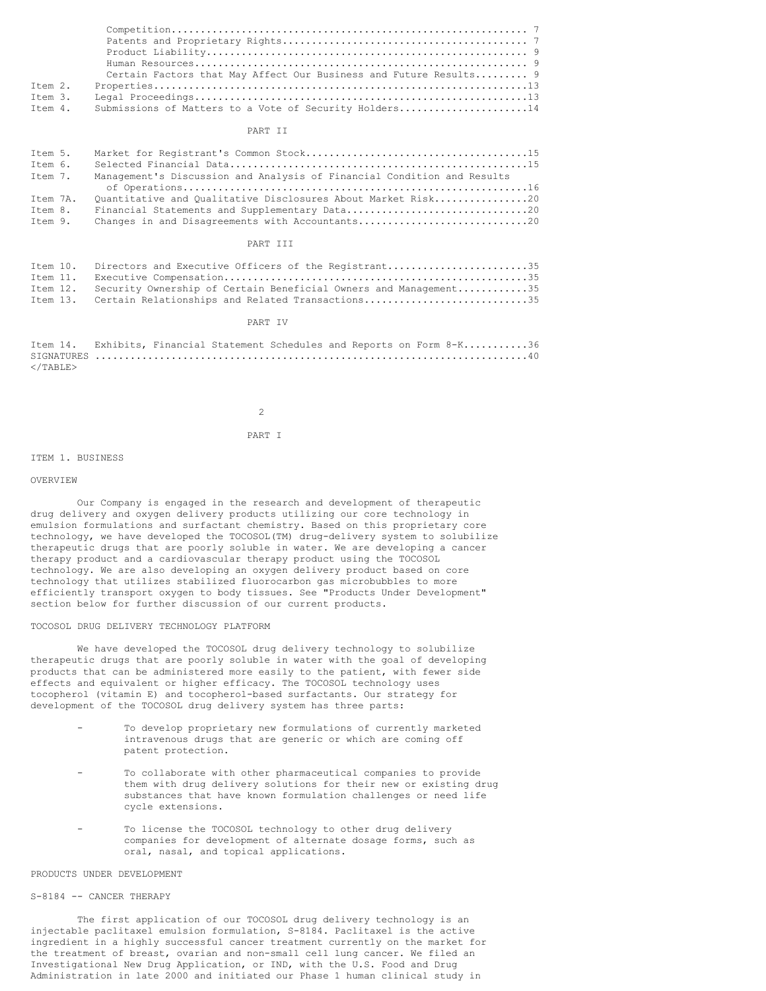|         | Certain Factors that May Affect Our Business and Future Results 9 |
|---------|-------------------------------------------------------------------|
| Item 2. |                                                                   |
| Item 3. |                                                                   |
| Item 4. | Submissions of Matters to a Vote of Security Holders14            |

#### PART II

| Item 5.  |                                                                         |
|----------|-------------------------------------------------------------------------|
| Item 6.  |                                                                         |
| Item 7.  | Management's Discussion and Analysis of Financial Condition and Results |
|          |                                                                         |
| Item 7A. | Ouantitative and Oualitative Disclosures About Market Risk20            |
| Item 8.  |                                                                         |
| Item 9.  |                                                                         |

#### PART III

| Item 10. Directors and Executive Officers of the Registrant35             |
|---------------------------------------------------------------------------|
|                                                                           |
| Item 12. Security Ownership of Certain Beneficial Owners and Management35 |
| Item 13. Certain Relationships and Related Transactions35                 |

### PART IV

| Item 14. Exhibits, Financial Statement Schedules and Reports on Form 8-K36 |  |  |  |  |  |  |
|----------------------------------------------------------------------------|--|--|--|--|--|--|
|                                                                            |  |  |  |  |  |  |
|                                                                            |  |  |  |  |  |  |

  |  |  |  |  |  | $\mathfrak{D}$ 

PART I

#### ITEM 1. BUSINESS

### OVERVIEW

Our Company is engaged in the research and development of therapeutic drug delivery and oxygen delivery products utilizing our core technology in emulsion formulations and surfactant chemistry. Based on this proprietary core technology, we have developed the TOCOSOL(TM) drug-delivery system to solubilize therapeutic drugs that are poorly soluble in water. We are developing a cancer therapy product and a cardiovascular therapy product using the TOCOSOL technology. We are also developing an oxygen delivery product based on core technology that utilizes stabilized fluorocarbon gas microbubbles to more efficiently transport oxygen to body tissues. See "Products Under Development" section below for further discussion of our current products.

## TOCOSOL DRUG DELIVERY TECHNOLOGY PLATFORM

We have developed the TOCOSOL drug delivery technology to solubilize therapeutic drugs that are poorly soluble in water with the goal of developing products that can be administered more easily to the patient, with fewer side effects and equivalent or higher efficacy. The TOCOSOL technology uses tocopherol (vitamin E) and tocopherol-based surfactants. Our strategy for development of the TOCOSOL drug delivery system has three parts:

- To develop proprietary new formulations of currently marketed intravenous drugs that are generic or which are coming off patent protection.
- To collaborate with other pharmaceutical companies to provide them with drug delivery solutions for their new or existing drug substances that have known formulation challenges or need life cycle extensions.
- To license the TOCOSOL technology to other drug delivery companies for development of alternate dosage forms, such as oral, nasal, and topical applications.

#### PRODUCTS UNDER DEVELOPMENT

### S-8184 -- CANCER THERAPY

The first application of our TOCOSOL drug delivery technology is an injectable paclitaxel emulsion formulation, S-8184. Paclitaxel is the active ingredient in a highly successful cancer treatment currently on the market for the treatment of breast, ovarian and non-small cell lung cancer. We filed an Investigational New Drug Application, or IND, with the U.S. Food and Drug Administration in late 2000 and initiated our Phase 1 human clinical study in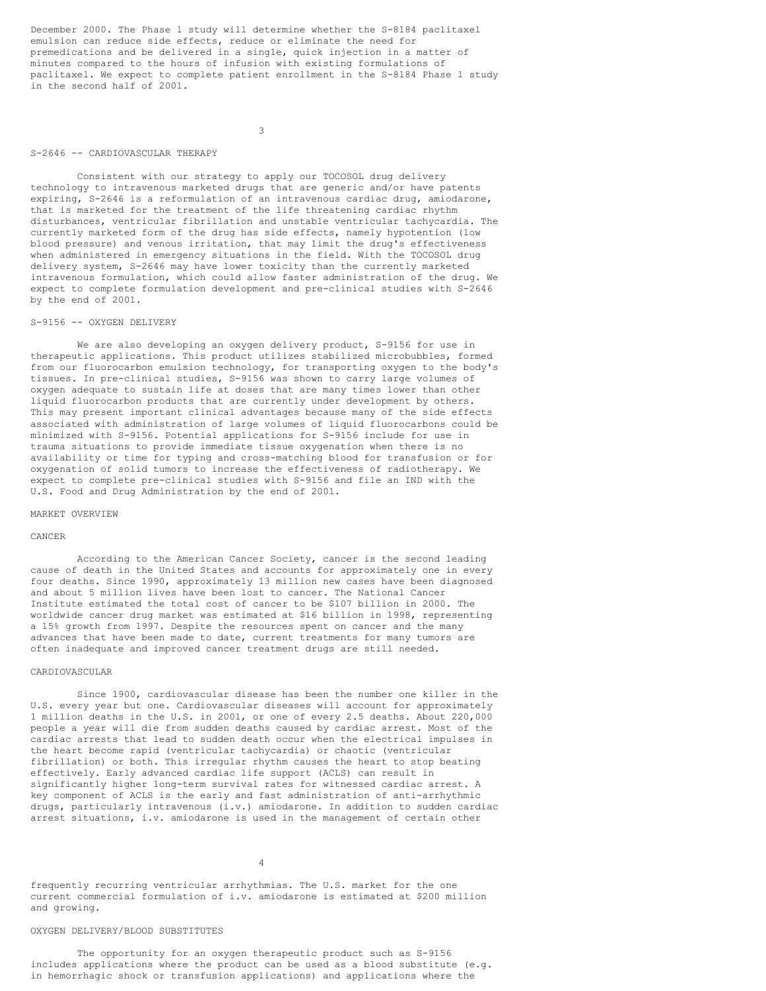December 2000. The Phase 1 study will determine whether the S-8184 paclitaxel emulsion can reduce side effects, reduce or eliminate the need for premedications and be delivered in a single, quick injection in a matter of minutes compared to the hours of infusion with existing formulations of paclitaxel. We expect to complete patient enrollment in the S-8184 Phase 1 study in the second half of 2001.

3

#### S-2646 -- CARDIOVASCULAR THERAPY

Consistent with our strategy to apply our TOCOSOL drug delivery technology to intravenous marketed drugs that are generic and/or have patents expiring, S-2646 is a reformulation of an intravenous cardiac drug, amiodarone, that is marketed for the treatment of the life threatening cardiac rhythm disturbances, ventricular fibrillation and unstable ventricular tachycardia. The currently marketed form of the drug has side effects, namely hypotention (low blood pressure) and venous irritation, that may limit the drug's effectiveness when administered in emergency situations in the field. With the TOCOSOL drug delivery system, S-2646 may have lower toxicity than the currently marketed intravenous formulation, which could allow faster administration of the drug. We expect to complete formulation development and pre-clinical studies with S-2646 by the end of 2001.

### S-9156 -- OXYGEN DELIVERY

We are also developing an oxygen delivery product, S-9156 for use in therapeutic applications. This product utilizes stabilized microbubbles, formed from our fluorocarbon emulsion technology, for transporting oxygen to the body's tissues. In pre-clinical studies, S-9156 was shown to carry large volumes of oxygen adequate to sustain life at doses that are many times lower than other liquid fluorocarbon products that are currently under development by others. This may present important clinical advantages because many of the side effects associated with administration of large volumes of liquid fluorocarbons could be minimized with S-9156. Potential applications for S-9156 include for use in trauma situations to provide immediate tissue oxygenation when there is no availability or time for typing and cross-matching blood for transfusion or for oxygenation of solid tumors to increase the effectiveness of radiotherapy. We expect to complete pre-clinical studies with S-9156 and file an IND with the U.S. Food and Drug Administration by the end of 2001.

#### MARKET OVERVIEW

#### CANCER

According to the American Cancer Society, cancer is the second leading cause of death in the United States and accounts for approximately one in every four deaths. Since 1990, approximately 13 million new cases have been diagnosed and about 5 million lives have been lost to cancer. The National Cancer Institute estimated the total cost of cancer to be \$107 billion in 2000. The worldwide cancer drug market was estimated at \$16 billion in 1998, representing a 15% growth from 1997. Despite the resources spent on cancer and the many advances that have been made to date, current treatments for many tumors are often inadequate and improved cancer treatment drugs are still needed.

### CARDIOVASCULAR

Since 1900, cardiovascular disease has been the number one killer in the U.S. every year but one. Cardiovascular diseases will account for approximately 1 million deaths in the U.S. in 2001, or one of every 2.5 deaths. About 220,000 people a year will die from sudden deaths caused by cardiac arrest. Most of the cardiac arrests that lead to sudden death occur when the electrical impulses in the heart become rapid (ventricular tachycardia) or chaotic (ventricular fibrillation) or both. This irregular rhythm causes the heart to stop beating effectively. Early advanced cardiac life support (ACLS) can result in significantly higher long-term survival rates for witnessed cardiac arrest. A key component of ACLS is the early and fast administration of anti-arrhythmic drugs, particularly intravenous (i.v.) amiodarone. In addition to sudden cardiac arrest situations, i.v. amiodarone is used in the management of certain other

## 4

frequently recurring ventricular arrhythmias. The U.S. market for the one current commercial formulation of i.v. amiodarone is estimated at \$200 million and growing.

### OXYGEN DELIVERY/BLOOD SUBSTITUTES

The opportunity for an oxygen therapeutic product such as S-9156 includes applications where the product can be used as a blood substitute (e.g. in hemorrhagic shock or transfusion applications) and applications where the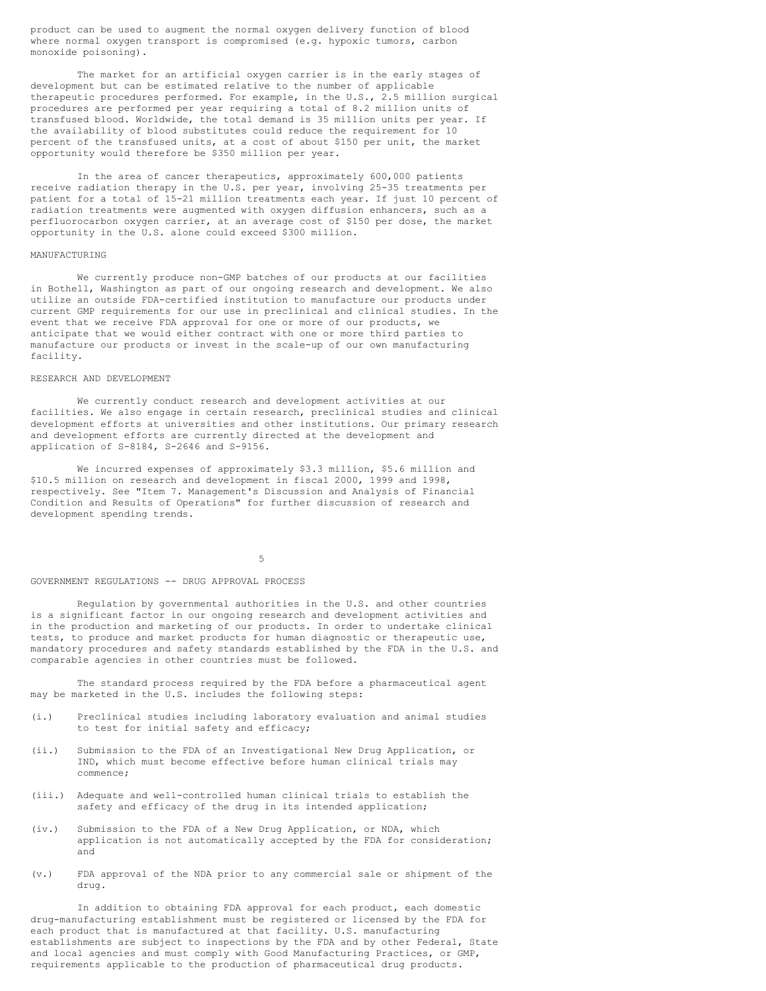product can be used to augment the normal oxygen delivery function of blood where normal oxygen transport is compromised (e.g. hypoxic tumors, carbon monoxide poisoning).

The market for an artificial oxygen carrier is in the early stages of development but can be estimated relative to the number of applicable therapeutic procedures performed. For example, in the U.S., 2.5 million surgical procedures are performed per year requiring a total of 8.2 million units of transfused blood. Worldwide, the total demand is 35 million units per year. If the availability of blood substitutes could reduce the requirement for 10 percent of the transfused units, at a cost of about \$150 per unit, the market opportunity would therefore be \$350 million per year.

In the area of cancer therapeutics, approximately 600,000 patients receive radiation therapy in the U.S. per year, involving 25-35 treatments per patient for a total of 15-21 million treatments each year. If just 10 percent of radiation treatments were augmented with oxygen diffusion enhancers, such as a perfluorocarbon oxygen carrier, at an average cost of \$150 per dose, the market opportunity in the U.S. alone could exceed \$300 million.

#### MANUFACTURING

We currently produce non-GMP batches of our products at our facilities in Bothell, Washington as part of our ongoing research and development. We also utilize an outside FDA-certified institution to manufacture our products under current GMP requirements for our use in preclinical and clinical studies. In the event that we receive FDA approval for one or more of our products, we anticipate that we would either contract with one or more third parties to manufacture our products or invest in the scale-up of our own manufacturing facility.

#### RESEARCH AND DEVELOPMENT

We currently conduct research and development activities at our facilities. We also engage in certain research, preclinical studies and clinical development efforts at universities and other institutions. Our primary research and development efforts are currently directed at the development and application of S-8184, S-2646 and S-9156.

We incurred expenses of approximately \$3.3 million, \$5.6 million and \$10.5 million on research and development in fiscal 2000, 1999 and 1998, respectively. See "Item 7. Management's Discussion and Analysis of Financial Condition and Results of Operations" for further discussion of research and development spending trends.

5

#### GOVERNMENT REGULATIONS -- DRUG APPROVAL PROCESS

Regulation by governmental authorities in the U.S. and other countries is a significant factor in our ongoing research and development activities and in the production and marketing of our products. In order to undertake clinical tests, to produce and market products for human diagnostic or therapeutic use, mandatory procedures and safety standards established by the FDA in the U.S. and comparable agencies in other countries must be followed.

The standard process required by the FDA before a pharmaceutical agent may be marketed in the U.S. includes the following steps:

- (i.) Preclinical studies including laboratory evaluation and animal studies to test for initial safety and efficacy;
- (ii.) Submission to the FDA of an Investigational New Drug Application, or IND, which must become effective before human clinical trials may commence;
- (iii.) Adequate and well-controlled human clinical trials to establish the safety and efficacy of the drug in its intended application;
- (iv.) Submission to the FDA of a New Drug Application, or NDA, which application is not automatically accepted by the FDA for consideration; and
- (v.) FDA approval of the NDA prior to any commercial sale or shipment of the drug.

In addition to obtaining FDA approval for each product, each domestic drug-manufacturing establishment must be registered or licensed by the FDA for each product that is manufactured at that facility. U.S. manufacturing establishments are subject to inspections by the FDA and by other Federal, State and local agencies and must comply with Good Manufacturing Practices, or GMP, requirements applicable to the production of pharmaceutical drug products.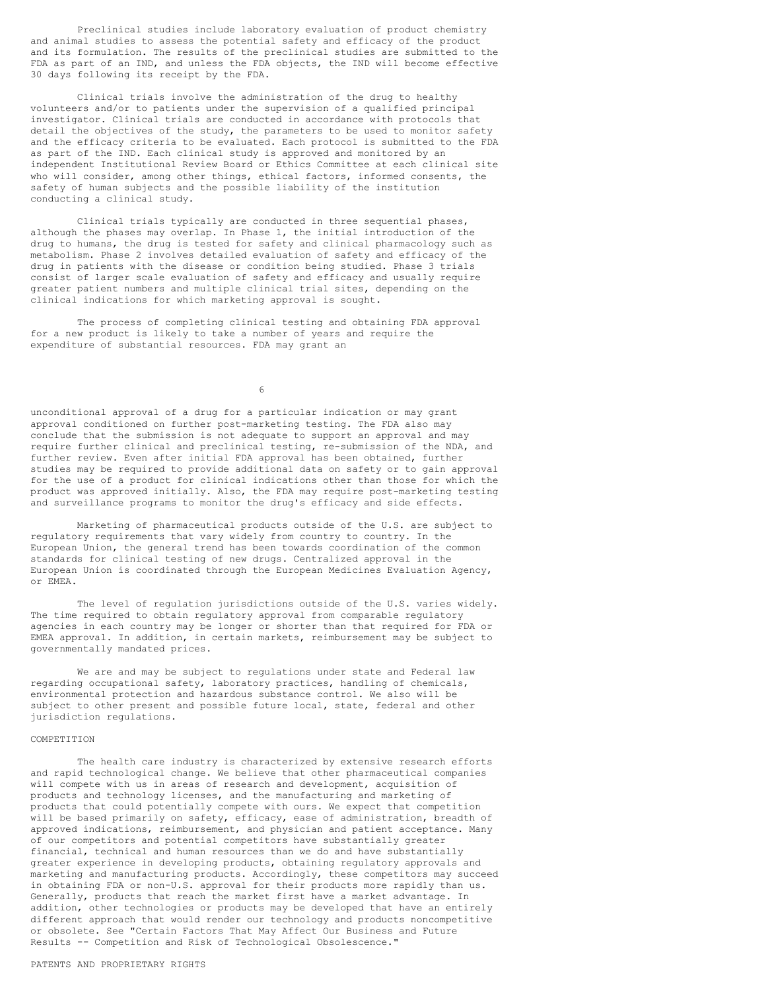Preclinical studies include laboratory evaluation of product chemistry and animal studies to assess the potential safety and efficacy of the product and its formulation. The results of the preclinical studies are submitted to the FDA as part of an IND, and unless the FDA objects, the IND will become effective 30 days following its receipt by the FDA.

Clinical trials involve the administration of the drug to healthy volunteers and/or to patients under the supervision of a qualified principal investigator. Clinical trials are conducted in accordance with protocols that detail the objectives of the study, the parameters to be used to monitor safety and the efficacy criteria to be evaluated. Each protocol is submitted to the FDA as part of the IND. Each clinical study is approved and monitored by an independent Institutional Review Board or Ethics Committee at each clinical site who will consider, among other things, ethical factors, informed consents, the safety of human subjects and the possible liability of the institution conducting a clinical study.

Clinical trials typically are conducted in three sequential phases, although the phases may overlap. In Phase 1, the initial introduction of the drug to humans, the drug is tested for safety and clinical pharmacology such as metabolism. Phase 2 involves detailed evaluation of safety and efficacy of the drug in patients with the disease or condition being studied. Phase 3 trials consist of larger scale evaluation of safety and efficacy and usually require greater patient numbers and multiple clinical trial sites, depending on the clinical indications for which marketing approval is sought.

The process of completing clinical testing and obtaining FDA approval for a new product is likely to take a number of years and require the expenditure of substantial resources. FDA may grant an

6

unconditional approval of a drug for a particular indication or may grant approval conditioned on further post-marketing testing. The FDA also may conclude that the submission is not adequate to support an approval and may require further clinical and preclinical testing, re-submission of the NDA, and further review. Even after initial FDA approval has been obtained, further studies may be required to provide additional data on safety or to gain approval for the use of a product for clinical indications other than those for which the product was approved initially. Also, the FDA may require post-marketing testing and surveillance programs to monitor the drug's efficacy and side effects.

Marketing of pharmaceutical products outside of the U.S. are subject to regulatory requirements that vary widely from country to country. In the European Union, the general trend has been towards coordination of the common standards for clinical testing of new drugs. Centralized approval in the European Union is coordinated through the European Medicines Evaluation Agency, or EMEA.

The level of regulation jurisdictions outside of the U.S. varies widely. The time required to obtain regulatory approval from comparable regulatory agencies in each country may be longer or shorter than that required for FDA or EMEA approval. In addition, in certain markets, reimbursement may be subject to governmentally mandated prices.

We are and may be subject to regulations under state and Federal law regarding occupational safety, laboratory practices, handling of chemicals, environmental protection and hazardous substance control. We also will be subject to other present and possible future local, state, federal and other jurisdiction regulations.

#### COMPETITION

The health care industry is characterized by extensive research efforts and rapid technological change. We believe that other pharmaceutical companies will compete with us in areas of research and development, acquisition of products and technology licenses, and the manufacturing and marketing of products that could potentially compete with ours. We expect that competition will be based primarily on safety, efficacy, ease of administration, breadth of approved indications, reimbursement, and physician and patient acceptance. Many of our competitors and potential competitors have substantially greater financial, technical and human resources than we do and have substantially greater experience in developing products, obtaining regulatory approvals and marketing and manufacturing products. Accordingly, these competitors may succeed in obtaining FDA or non-U.S. approval for their products more rapidly than us. Generally, products that reach the market first have a market advantage. In addition, other technologies or products may be developed that have an entirely different approach that would render our technology and products noncompetitive or obsolete. See "Certain Factors That May Affect Our Business and Future Results -- Competition and Risk of Technological Obsolescence."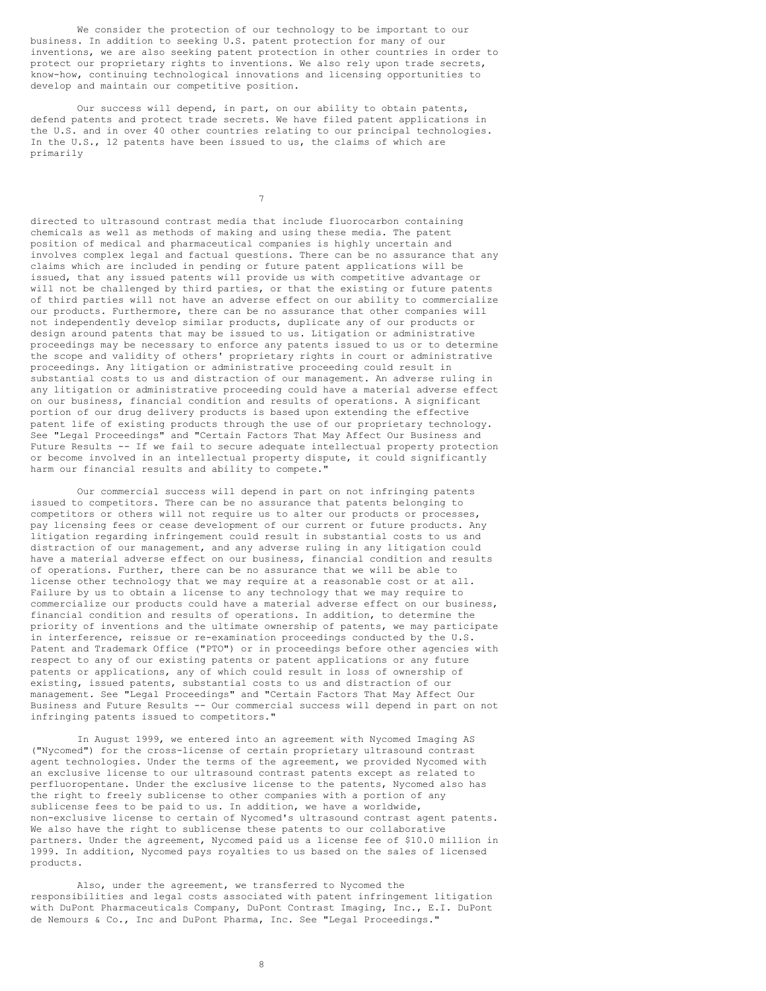We consider the protection of our technology to be important to our business. In addition to seeking U.S. patent protection for many of our inventions, we are also seeking patent protection in other countries in order to protect our proprietary rights to inventions. We also rely upon trade secrets, know-how, continuing technological innovations and licensing opportunities to develop and maintain our competitive position.

Our success will depend, in part, on our ability to obtain patents, defend patents and protect trade secrets. We have filed patent applications in the U.S. and in over 40 other countries relating to our principal technologies. In the U.S., 12 patents have been issued to us, the claims of which are primarily

7

directed to ultrasound contrast media that include fluorocarbon containing chemicals as well as methods of making and using these media. The patent position of medical and pharmaceutical companies is highly uncertain and involves complex legal and factual questions. There can be no assurance that any claims which are included in pending or future patent applications will be issued, that any issued patents will provide us with competitive advantage or will not be challenged by third parties, or that the existing or future patents of third parties will not have an adverse effect on our ability to commercialize our products. Furthermore, there can be no assurance that other companies will not independently develop similar products, duplicate any of our products or design around patents that may be issued to us. Litigation or administrative proceedings may be necessary to enforce any patents issued to us or to determine the scope and validity of others' proprietary rights in court or administrative proceedings. Any litigation or administrative proceeding could result in substantial costs to us and distraction of our management. An adverse ruling in any litigation or administrative proceeding could have a material adverse effect on our business, financial condition and results of operations. A significant portion of our drug delivery products is based upon extending the effective patent life of existing products through the use of our proprietary technology. See "Legal Proceedings" and "Certain Factors That May Affect Our Business and Future Results -- If we fail to secure adequate intellectual property protection or become involved in an intellectual property dispute, it could significantly harm our financial results and ability to compete."

Our commercial success will depend in part on not infringing patents issued to competitors. There can be no assurance that patents belonging to competitors or others will not require us to alter our products or processes, pay licensing fees or cease development of our current or future products. Any litigation regarding infringement could result in substantial costs to us and distraction of our management, and any adverse ruling in any litigation could have a material adverse effect on our business, financial condition and results of operations. Further, there can be no assurance that we will be able to license other technology that we may require at a reasonable cost or at all. Failure by us to obtain a license to any technology that we may require to commercialize our products could have a material adverse effect on our business, financial condition and results of operations. In addition, to determine the priority of inventions and the ultimate ownership of patents, we may participate in interference, reissue or re-examination proceedings conducted by the U.S. Patent and Trademark Office ("PTO") or in proceedings before other agencies with respect to any of our existing patents or patent applications or any future patents or applications, any of which could result in loss of ownership of existing, issued patents, substantial costs to us and distraction of our management. See "Legal Proceedings" and "Certain Factors That May Affect Our Business and Future Results -- Our commercial success will depend in part on not infringing patents issued to competitors."

In August 1999, we entered into an agreement with Nycomed Imaging AS ("Nycomed") for the cross-license of certain proprietary ultrasound contrast agent technologies. Under the terms of the agreement, we provided Nycomed with an exclusive license to our ultrasound contrast patents except as related to perfluoropentane. Under the exclusive license to the patents, Nycomed also has the right to freely sublicense to other companies with a portion of any sublicense fees to be paid to us. In addition, we have a worldwide, non-exclusive license to certain of Nycomed's ultrasound contrast agent patents. We also have the right to sublicense these patents to our collaborative partners. Under the agreement, Nycomed paid us a license fee of \$10.0 million in 1999. In addition, Nycomed pays royalties to us based on the sales of licensed products.

Also, under the agreement, we transferred to Nycomed the responsibilities and legal costs associated with patent infringement litigation with DuPont Pharmaceuticals Company, DuPont Contrast Imaging, Inc., E.I. DuPont de Nemours & Co., Inc and DuPont Pharma, Inc. See "Legal Proceedings."

8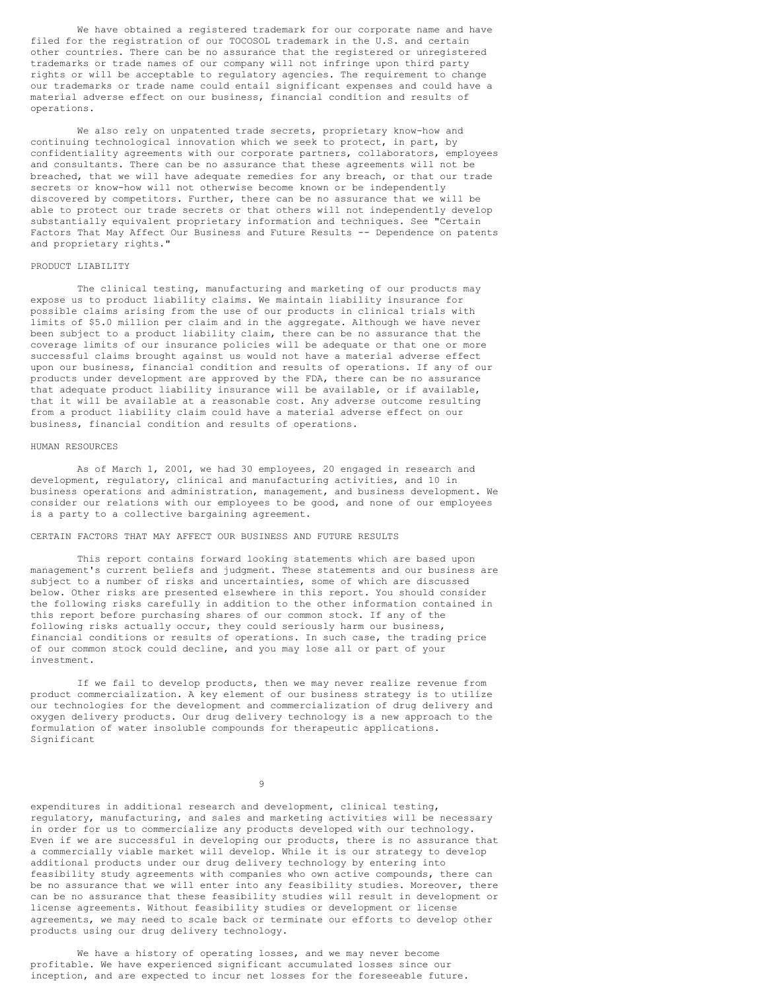We have obtained a registered trademark for our corporate name and have filed for the registration of our TOCOSOL trademark in the U.S. and certain other countries. There can be no assurance that the registered or unregistered trademarks or trade names of our company will not infringe upon third party rights or will be acceptable to regulatory agencies. The requirement to change our trademarks or trade name could entail significant expenses and could have a material adverse effect on our business, financial condition and results of operations.

We also rely on unpatented trade secrets, proprietary know-how and continuing technological innovation which we seek to protect, in part, by confidentiality agreements with our corporate partners, collaborators, employees and consultants. There can be no assurance that these agreements will not be breached, that we will have adequate remedies for any breach, or that our trade secrets or know-how will not otherwise become known or be independently discovered by competitors. Further, there can be no assurance that we will be able to protect our trade secrets or that others will not independently develop substantially equivalent proprietary information and techniques. See "Certain Factors That May Affect Our Business and Future Results -- Dependence on patents and proprietary rights."

### PRODUCT LIABILITY

The clinical testing, manufacturing and marketing of our products may expose us to product liability claims. We maintain liability insurance for possible claims arising from the use of our products in clinical trials with limits of \$5.0 million per claim and in the aggregate. Although we have never been subject to a product liability claim, there can be no assurance that the coverage limits of our insurance policies will be adequate or that one or more successful claims brought against us would not have a material adverse effect upon our business, financial condition and results of operations. If any of our products under development are approved by the FDA, there can be no assurance that adequate product liability insurance will be available, or if available, that it will be available at a reasonable cost. Any adverse outcome resulting from a product liability claim could have a material adverse effect on our business, financial condition and results of operations.

### HUMAN RESOURCES

As of March 1, 2001, we had 30 employees, 20 engaged in research and development, regulatory, clinical and manufacturing activities, and 10 in business operations and administration, management, and business development. We consider our relations with our employees to be good, and none of our employees is a party to a collective bargaining agreement.

## CERTAIN FACTORS THAT MAY AFFECT OUR BUSINESS AND FUTURE RESULTS

This report contains forward looking statements which are based upon management's current beliefs and judgment. These statements and our business are subject to a number of risks and uncertainties, some of which are discussed below. Other risks are presented elsewhere in this report. You should consider the following risks carefully in addition to the other information contained in this report before purchasing shares of our common stock. If any of the following risks actually occur, they could seriously harm our business, financial conditions or results of operations. In such case, the trading price of our common stock could decline, and you may lose all or part of your investment.

If we fail to develop products, then we may never realize revenue from product commercialization. A key element of our business strategy is to utilize our technologies for the development and commercialization of drug delivery and oxygen delivery products. Our drug delivery technology is a new approach to the formulation of water insoluble compounds for therapeutic applications. Significant

9

expenditures in additional research and development, clinical testing, regulatory, manufacturing, and sales and marketing activities will be necessary in order for us to commercialize any products developed with our technology. Even if we are successful in developing our products, there is no assurance that a commercially viable market will develop. While it is our strategy to develop additional products under our drug delivery technology by entering into feasibility study agreements with companies who own active compounds, there can be no assurance that we will enter into any feasibility studies. Moreover, there can be no assurance that these feasibility studies will result in development or license agreements. Without feasibility studies or development or license agreements, we may need to scale back or terminate our efforts to develop other products using our drug delivery technology.

We have a history of operating losses, and we may never become profitable. We have experienced significant accumulated losses since our inception, and are expected to incur net losses for the foreseeable future.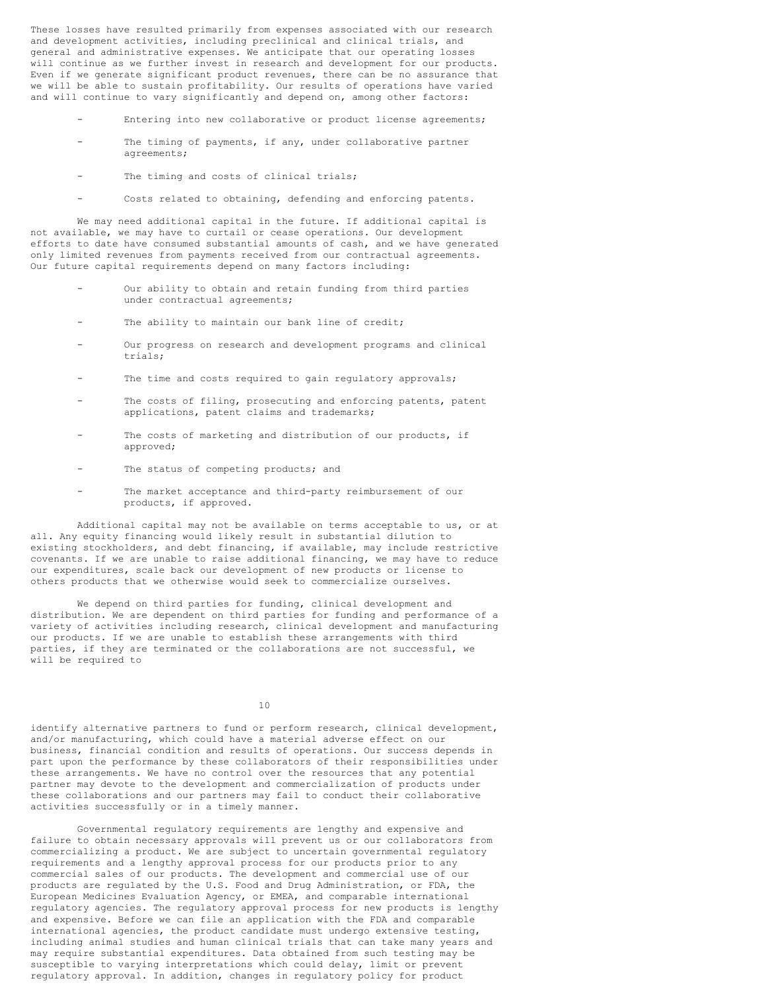These losses have resulted primarily from expenses associated with our research and development activities, including preclinical and clinical trials, and general and administrative expenses. We anticipate that our operating losses will continue as we further invest in research and development for our products. Even if we generate significant product revenues, there can be no assurance that we will be able to sustain profitability. Our results of operations have varied and will continue to vary significantly and depend on, among other factors:

- Entering into new collaborative or product license agreements:
- The timing of payments, if any, under collaborative partner agreements;
- The timing and costs of clinical trials;
- Costs related to obtaining, defending and enforcing patents.

We may need additional capital in the future. If additional capital is not available, we may have to curtail or cease operations. Our development efforts to date have consumed substantial amounts of cash, and we have generated only limited revenues from payments received from our contractual agreements. Our future capital requirements depend on many factors including:

- Our ability to obtain and retain funding from third parties under contractual agreements;
- The ability to maintain our bank line of credit;
- Our progress on research and development programs and clinical trials;
- The time and costs required to gain regulatory approvals;
- The costs of filing, prosecuting and enforcing patents, patent applications, patent claims and trademarks;
- The costs of marketing and distribution of our products, if approved;
- The status of competing products; and
- The market acceptance and third-party reimbursement of our products, if approved.

Additional capital may not be available on terms acceptable to us, or at all. Any equity financing would likely result in substantial dilution to existing stockholders, and debt financing, if available, may include restrictive covenants. If we are unable to raise additional financing, we may have to reduce our expenditures, scale back our development of new products or license to others products that we otherwise would seek to commercialize ourselves.

We depend on third parties for funding, clinical development and distribution. We are dependent on third parties for funding and performance of a variety of activities including research, clinical development and manufacturing our products. If we are unable to establish these arrangements with third parties, if they are terminated or the collaborations are not successful, we will be required to

10

identify alternative partners to fund or perform research, clinical development, and/or manufacturing, which could have a material adverse effect on our business, financial condition and results of operations. Our success depends in part upon the performance by these collaborators of their responsibilities under these arrangements. We have no control over the resources that any potential partner may devote to the development and commercialization of products under these collaborations and our partners may fail to conduct their collaborative activities successfully or in a timely manner.

Governmental regulatory requirements are lengthy and expensive and failure to obtain necessary approvals will prevent us or our collaborators from commercializing a product. We are subject to uncertain governmental regulatory requirements and a lengthy approval process for our products prior to any commercial sales of our products. The development and commercial use of our products are regulated by the U.S. Food and Drug Administration, or FDA, the European Medicines Evaluation Agency, or EMEA, and comparable international regulatory agencies. The regulatory approval process for new products is lengthy and expensive. Before we can file an application with the FDA and comparable international agencies, the product candidate must undergo extensive testing, including animal studies and human clinical trials that can take many years and may require substantial expenditures. Data obtained from such testing may be susceptible to varying interpretations which could delay, limit or prevent regulatory approval. In addition, changes in regulatory policy for product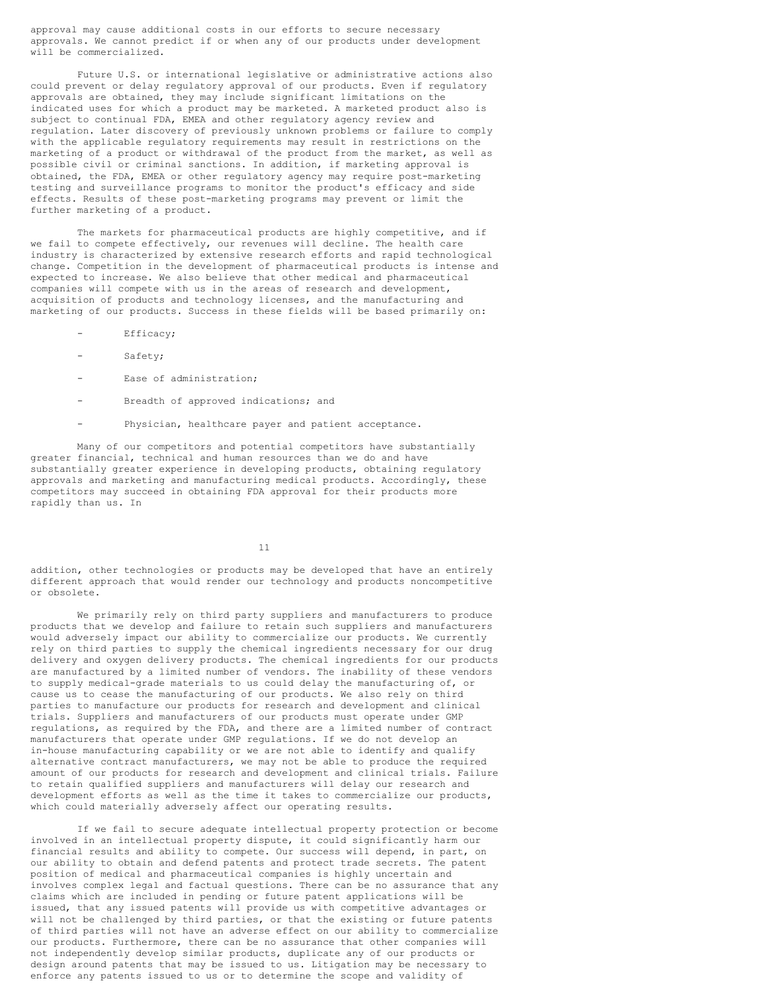approval may cause additional costs in our efforts to secure necessary approvals. We cannot predict if or when any of our products under development will be commercialized.

Future U.S. or international legislative or administrative actions also could prevent or delay regulatory approval of our products. Even if regulatory approvals are obtained, they may include significant limitations on the indicated uses for which a product may be marketed. A marketed product also is subject to continual FDA, EMEA and other regulatory agency review and regulation. Later discovery of previously unknown problems or failure to comply with the applicable regulatory requirements may result in restrictions on the marketing of a product or withdrawal of the product from the market, as well as possible civil or criminal sanctions. In addition, if marketing approval is obtained, the FDA, EMEA or other regulatory agency may require post-marketing testing and surveillance programs to monitor the product's efficacy and side effects. Results of these post-marketing programs may prevent or limit the further marketing of a product.

The markets for pharmaceutical products are highly competitive, and if we fail to compete effectively, our revenues will decline. The health care industry is characterized by extensive research efforts and rapid technological change. Competition in the development of pharmaceutical products is intense and expected to increase. We also believe that other medical and pharmaceutical companies will compete with us in the areas of research and development, acquisition of products and technology licenses, and the manufacturing and marketing of our products. Success in these fields will be based primarily on:

- Efficacy;
- Safety;
- Ease of administration;
- Breadth of approved indications; and
- Physician, healthcare payer and patient acceptance.

Many of our competitors and potential competitors have substantially greater financial, technical and human resources than we do and have substantially greater experience in developing products, obtaining regulatory approvals and marketing and manufacturing medical products. Accordingly, these competitors may succeed in obtaining FDA approval for their products more rapidly than us. In

11

addition, other technologies or products may be developed that have an entirely different approach that would render our technology and products noncompetitive or obsolete.

We primarily rely on third party suppliers and manufacturers to produce products that we develop and failure to retain such suppliers and manufacturers would adversely impact our ability to commercialize our products. We currently rely on third parties to supply the chemical ingredients necessary for our drug delivery and oxygen delivery products. The chemical ingredients for our products are manufactured by a limited number of vendors. The inability of these vendors to supply medical-grade materials to us could delay the manufacturing of, or cause us to cease the manufacturing of our products. We also rely on third parties to manufacture our products for research and development and clinical trials. Suppliers and manufacturers of our products must operate under GMP regulations, as required by the FDA, and there are a limited number of contract manufacturers that operate under GMP regulations. If we do not develop an in-house manufacturing capability or we are not able to identify and qualify alternative contract manufacturers, we may not be able to produce the required amount of our products for research and development and clinical trials. Failure to retain qualified suppliers and manufacturers will delay our research and development efforts as well as the time it takes to commercialize our products, which could materially adversely affect our operating results.

If we fail to secure adequate intellectual property protection or become involved in an intellectual property dispute, it could significantly harm our financial results and ability to compete. Our success will depend, in part, on our ability to obtain and defend patents and protect trade secrets. The patent position of medical and pharmaceutical companies is highly uncertain and involves complex legal and factual questions. There can be no assurance that any claims which are included in pending or future patent applications will be issued, that any issued patents will provide us with competitive advantages or will not be challenged by third parties, or that the existing or future patents of third parties will not have an adverse effect on our ability to commercialize our products. Furthermore, there can be no assurance that other companies will not independently develop similar products, duplicate any of our products or design around patents that may be issued to us. Litigation may be necessary to enforce any patents issued to us or to determine the scope and validity of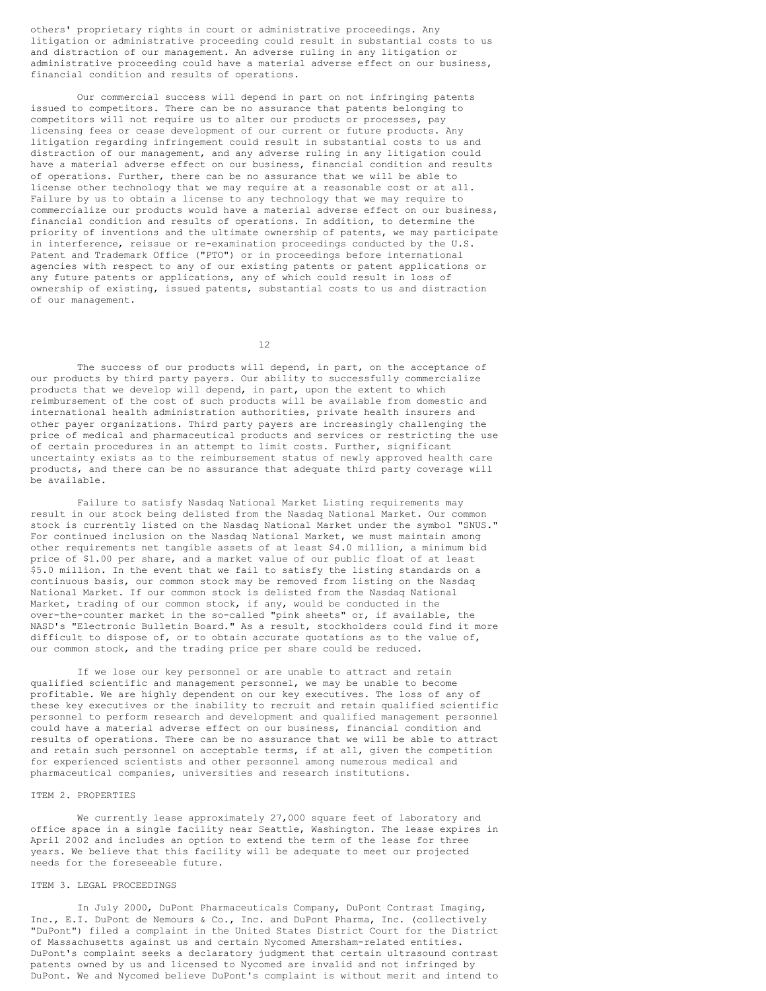others' proprietary rights in court or administrative proceedings. Any litigation or administrative proceeding could result in substantial costs to us and distraction of our management. An adverse ruling in any litigation or administrative proceeding could have a material adverse effect on our business, financial condition and results of operations.

Our commercial success will depend in part on not infringing patents issued to competitors. There can be no assurance that patents belonging to competitors will not require us to alter our products or processes, pay licensing fees or cease development of our current or future products. Any litigation regarding infringement could result in substantial costs to us and distraction of our management, and any adverse ruling in any litigation could have a material adverse effect on our business, financial condition and results of operations. Further, there can be no assurance that we will be able to license other technology that we may require at a reasonable cost or at all. Failure by us to obtain a license to any technology that we may require to commercialize our products would have a material adverse effect on our business, financial condition and results of operations. In addition, to determine the priority of inventions and the ultimate ownership of patents, we may participate in interference, reissue or re-examination proceedings conducted by the U.S. Patent and Trademark Office ("PTO") or in proceedings before international agencies with respect to any of our existing patents or patent applications or any future patents or applications, any of which could result in loss of ownership of existing, issued patents, substantial costs to us and distraction of our management.

12

The success of our products will depend, in part, on the acceptance of our products by third party payers. Our ability to successfully commercialize products that we develop will depend, in part, upon the extent to which reimbursement of the cost of such products will be available from domestic and international health administration authorities, private health insurers and other payer organizations. Third party payers are increasingly challenging the price of medical and pharmaceutical products and services or restricting the use of certain procedures in an attempt to limit costs. Further, significant uncertainty exists as to the reimbursement status of newly approved health care products, and there can be no assurance that adequate third party coverage will be available.

Failure to satisfy Nasdaq National Market Listing requirements may result in our stock being delisted from the Nasdaq National Market. Our common stock is currently listed on the Nasdaq National Market under the symbol "SNUS." For continued inclusion on the Nasdaq National Market, we must maintain among other requirements net tangible assets of at least \$4.0 million, a minimum bid price of \$1.00 per share, and a market value of our public float of at least \$5.0 million. In the event that we fail to satisfy the listing standards on a continuous basis, our common stock may be removed from listing on the Nasdaq National Market. If our common stock is delisted from the Nasdaq National Market, trading of our common stock, if any, would be conducted in the over-the-counter market in the so-called "pink sheets" or, if available, the NASD's "Electronic Bulletin Board." As a result, stockholders could find it more difficult to dispose of, or to obtain accurate quotations as to the value of, our common stock, and the trading price per share could be reduced.

If we lose our key personnel or are unable to attract and retain qualified scientific and management personnel, we may be unable to become profitable. We are highly dependent on our key executives. The loss of any of these key executives or the inability to recruit and retain qualified scientific personnel to perform research and development and qualified management personnel could have a material adverse effect on our business, financial condition and results of operations. There can be no assurance that we will be able to attract and retain such personnel on acceptable terms, if at all, given the competition for experienced scientists and other personnel among numerous medical and pharmaceutical companies, universities and research institutions.

### ITEM 2. PROPERTIES

We currently lease approximately 27,000 square feet of laboratory and office space in a single facility near Seattle, Washington. The lease expires in April 2002 and includes an option to extend the term of the lease for three years. We believe that this facility will be adequate to meet our projected needs for the foreseeable future.

### ITEM 3. LEGAL PROCEEDINGS

In July 2000, DuPont Pharmaceuticals Company, DuPont Contrast Imaging, Inc., E.I. DuPont de Nemours & Co., Inc. and DuPont Pharma, Inc. (collectively "DuPont") filed a complaint in the United States District Court for the District of Massachusetts against us and certain Nycomed Amersham-related entities. DuPont's complaint seeks a declaratory judgment that certain ultrasound contrast patents owned by us and licensed to Nycomed are invalid and not infringed by DuPont. We and Nycomed believe DuPont's complaint is without merit and intend to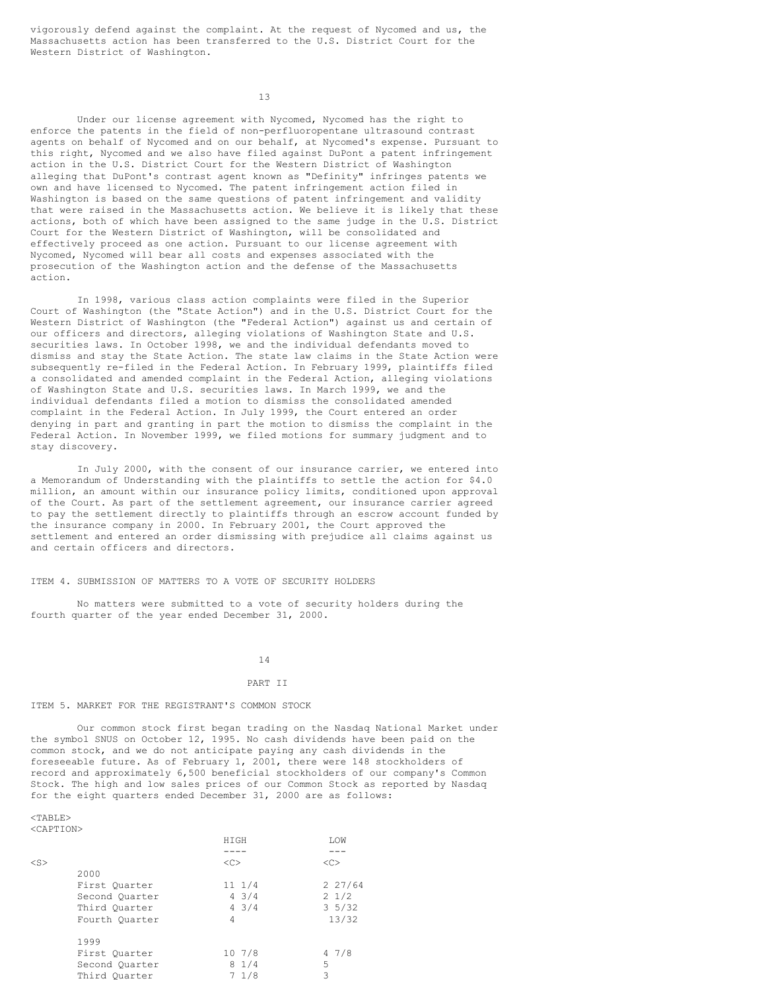vigorously defend against the complaint. At the request of Nycomed and us, the Massachusetts action has been transferred to the U.S. District Court for the Western District of Washington.

13

Under our license agreement with Nycomed, Nycomed has the right to enforce the patents in the field of non-perfluoropentane ultrasound contrast agents on behalf of Nycomed and on our behalf, at Nycomed's expense. Pursuant to this right, Nycomed and we also have filed against DuPont a patent infringement action in the U.S. District Court for the Western District of Washington alleging that DuPont's contrast agent known as "Definity" infringes patents we own and have licensed to Nycomed. The patent infringement action filed in Washington is based on the same questions of patent infringement and validity that were raised in the Massachusetts action. We believe it is likely that these actions, both of which have been assigned to the same judge in the U.S. District Court for the Western District of Washington, will be consolidated and effectively proceed as one action. Pursuant to our license agreement with Nycomed, Nycomed will bear all costs and expenses associated with the prosecution of the Washington action and the defense of the Massachusetts action.

In 1998, various class action complaints were filed in the Superior Court of Washington (the "State Action") and in the U.S. District Court for the Western District of Washington (the "Federal Action") against us and certain of our officers and directors, alleging violations of Washington State and U.S. securities laws. In October 1998, we and the individual defendants moved to dismiss and stay the State Action. The state law claims in the State Action were subsequently re-filed in the Federal Action. In February 1999, plaintiffs filed a consolidated and amended complaint in the Federal Action, alleging violations of Washington State and U.S. securities laws. In March 1999, we and the individual defendants filed a motion to dismiss the consolidated amended complaint in the Federal Action. In July 1999, the Court entered an order denying in part and granting in part the motion to dismiss the complaint in the Federal Action. In November 1999, we filed motions for summary judgment and to stay discovery.

In July 2000, with the consent of our insurance carrier, we entered into a Memorandum of Understanding with the plaintiffs to settle the action for \$4.0 million, an amount within our insurance policy limits, conditioned upon approval of the Court. As part of the settlement agreement, our insurance carrier agreed to pay the settlement directly to plaintiffs through an escrow account funded by the insurance company in 2000. In February 2001, the Court approved the settlement and entered an order dismissing with prejudice all claims against us and certain officers and directors.

#### ITEM 4. SUBMISSION OF MATTERS TO A VOTE OF SECURITY HOLDERS

No matters were submitted to a vote of security holders during the fourth quarter of the year ended December 31, 2000.

14

#### PART II

#### ITEM 5. MARKET FOR THE REGISTRANT'S COMMON STOCK

Our common stock first began trading on the Nasdaq National Market under the symbol SNUS on October 12, 1995. No cash dividends have been paid on the common stock, and we do not anticipate paying any cash dividends in the foreseeable future. As of February 1, 2001, there were 148 stockholders of record and approximately 6,500 beneficial stockholders of our company's Common Stock. The high and low sales prices of our Common Stock as reported by Nasdaq for the eight quarters ended December 31, 2000 are as follows:

#### $<$ TABLE> <CAPTION>

|           |                | HIGH            | LOW             |
|-----------|----------------|-----------------|-----------------|
|           |                |                 |                 |
| $<$ S $>$ |                | < <sub></sub>   | < <sub></sub>   |
|           | 2000           |                 |                 |
|           | First Ouarter  | $11 \t1/4$      | 227/64          |
|           | Second Ouarter | $4 \frac{3}{4}$ | $2 \frac{1}{2}$ |
|           | Third Ouarter  | $4 \frac{3}{4}$ | $3\frac{5}{32}$ |
|           | Fourth Ouarter | 4               | 13/32           |
|           | 1999           |                 |                 |
|           | First Ouarter  | 107/8           | 47/8            |
|           | Second Ouarter | 81/4            | 5               |
|           | Third Ouarter  | 71/8            | 3               |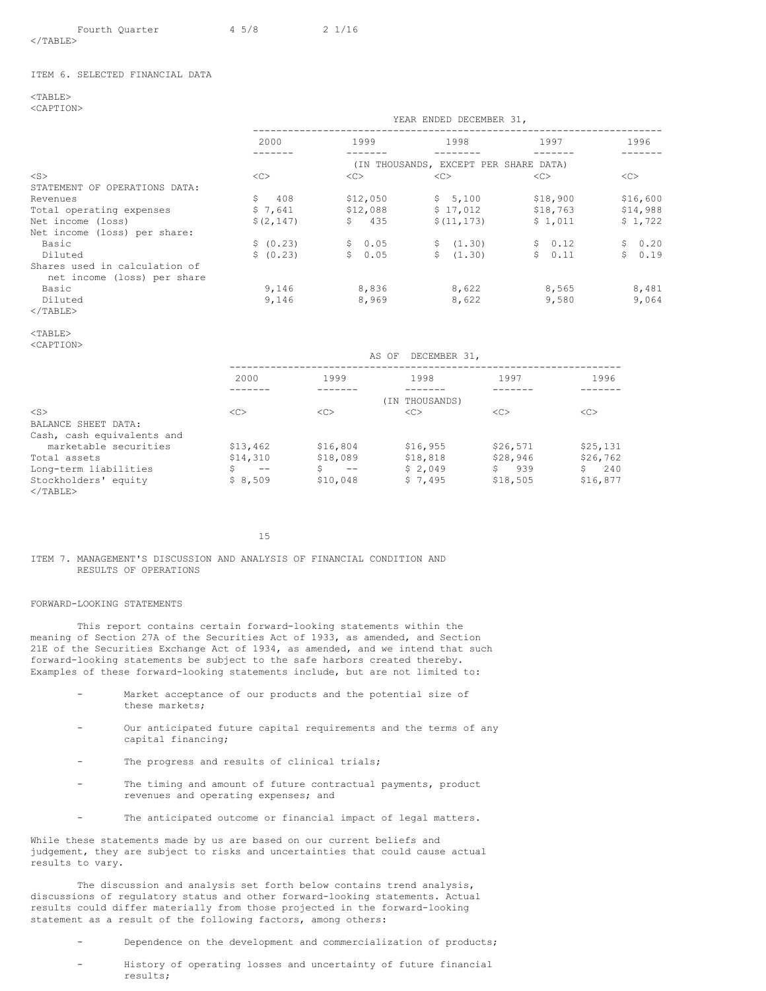|                    | Fourth Quarter | 45/8 | $2 \frac{1}{16}$ |
|--------------------|----------------|------|------------------|
| $\epsilon$ /TARIFS |                |      |                  |

</TABLE>

### ITEM 6. SELECTED FINANCIAL DATA

 $<$ TABLE $>$ <CAPTION>

|                               | YEAR ENDED DECEMBER 31, |                       |                                       |          |          |  |
|-------------------------------|-------------------------|-----------------------|---------------------------------------|----------|----------|--|
|                               | 2000                    | 1999                  | 1998                                  | 1997     | 1996     |  |
|                               |                         |                       | (IN THOUSANDS, EXCEPT PER SHARE DATA) |          |          |  |
| $<$ S $>$                     | <<                      | <<                    | <<                                    | <<       | <<       |  |
| STATEMENT OF OPERATIONS DATA: |                         |                       |                                       |          |          |  |
| Revenues                      | S<br>408                | \$12,050              | \$5,100                               | \$18,900 | \$16,600 |  |
| Total operating expenses      | \$7,641                 | \$12,088              | \$17,012                              | \$18,763 | \$14,988 |  |
| Net income (loss)             | \$(2, 147)              | $\mathsf{S}^-$<br>435 | \$(11, 173)                           | \$1,011  | \$1,722  |  |
| Net income (loss) per share:  |                         |                       |                                       |          |          |  |
| Basic                         | \$ (0.23)               | \$0.05                | \$(1.30)                              | \$0.12   | \$0.20   |  |
| Diluted                       | \$ (0.23)               | \$0.05                | S.<br>(1, 30)                         | \$0.11   | \$0.19   |  |
| Shares used in calculation of |                         |                       |                                       |          |          |  |
| net income (loss) per share   |                         |                       |                                       |          |          |  |
| Basic                         | 9,146                   | 8,836                 | 8,622                                 | 8,565    | 8,481    |  |
| Diluted                       | 9.146                   | 8,969                 | 8,622                                 | 9,580    | 9.064    |  |
|                               |                         |                       |                                       |          |          |  |

# $<$ /TABLE>

# <TABLE>

<CAPTION>

|                            | DECEMBER 31,<br>AS OF |             |                |           |          |  |  |
|----------------------------|-----------------------|-------------|----------------|-----------|----------|--|--|
|                            | 2000                  | 1999        | 1998           | 1997      | 1996     |  |  |
|                            |                       |             | (IN THOUSANDS) |           |          |  |  |
| $<$ S $>$                  | <<                    | <<          | < <sub></sub>  | <<        | <<       |  |  |
| BALANCE SHEET DATA:        |                       |             |                |           |          |  |  |
| Cash, cash equivalents and |                       |             |                |           |          |  |  |
| marketable securities      | \$13,462              | \$16,804    | \$16,955       | \$26,571  | \$25,131 |  |  |
| Total assets               | \$14,310              | \$18,089    | \$18,818       | \$28,946  | \$26,762 |  |  |
| Long-term liabilities      | $ -$                  | Ŝ.<br>$- -$ | \$2,049        | S.<br>939 | 240      |  |  |
| Stockholders' equity<br>   |                       |             |                |           |          |  |  |

 \$8,509 | \$10,048 | \$7,495 | \$18,505 | \$16,877 |15

ITEM 7. MANAGEMENT'S DISCUSSION AND ANALYSIS OF FINANCIAL CONDITION AND RESULTS OF OPERATIONS

### FORWARD-LOOKING STATEMENTS

This report contains certain forward-looking statements within the meaning of Section 27A of the Securities Act of 1933, as amended, and Section 21E of the Securities Exchange Act of 1934, as amended, and we intend that such forward-looking statements be subject to the safe harbors created thereby. Examples of these forward-looking statements include, but are not limited to:

- Market acceptance of our products and the potential size of these markets;
- Our anticipated future capital requirements and the terms of any capital financing;
- The progress and results of clinical trials;
- The timing and amount of future contractual payments, product revenues and operating expenses; and
- The anticipated outcome or financial impact of legal matters.

While these statements made by us are based on our current beliefs and judgement, they are subject to risks and uncertainties that could cause actual results to vary.

The discussion and analysis set forth below contains trend analysis, discussions of regulatory status and other forward-looking statements. Actual results could differ materially from those projected in the forward-looking statement as a result of the following factors, among others:

- Dependence on the development and commercialization of products;
- History of operating losses and uncertainty of future financial results;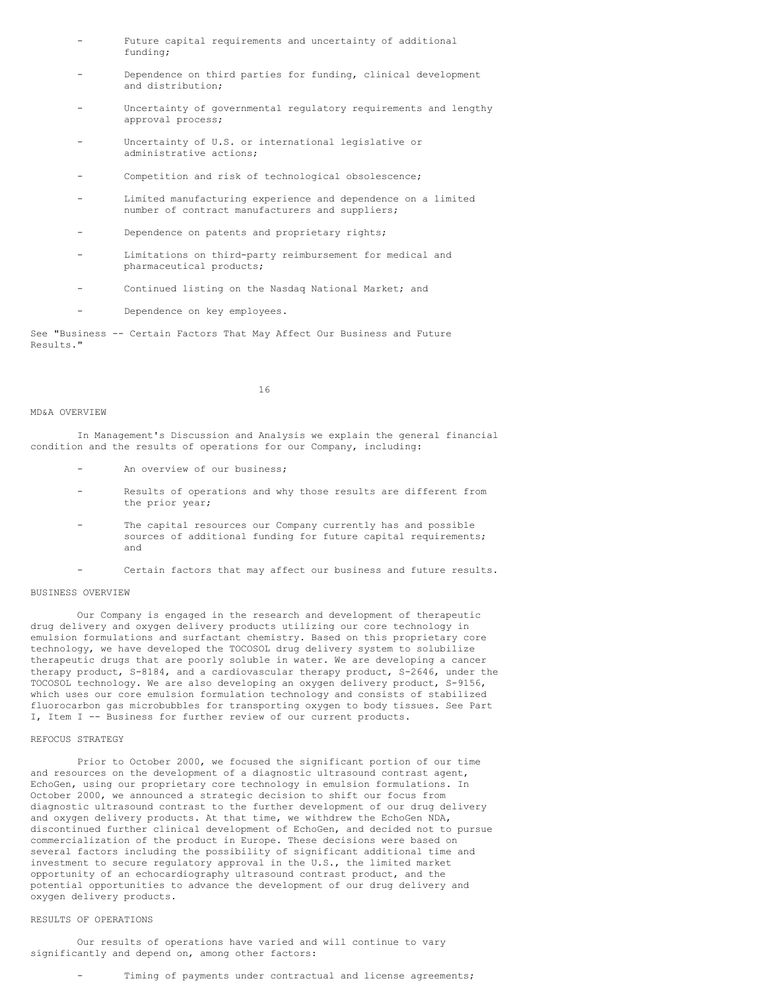- Future capital requirements and uncertainty of additional funding;
- Dependence on third parties for funding, clinical development and distribution;
- Uncertainty of governmental regulatory requirements and lengthy approval process;
- Uncertainty of U.S. or international legislative or administrative actions;
- Competition and risk of technological obsolescence;
- Limited manufacturing experience and dependence on a limited number of contract manufacturers and suppliers;
- Dependence on patents and proprietary rights;
- Limitations on third-party reimbursement for medical and pharmaceutical products;
- Continued listing on the Nasdaq National Market; and
- Dependence on key employees.

See "Business -- Certain Factors That May Affect Our Business and Future Results."

16

### MD&A OVERVIEW

In Management's Discussion and Analysis we explain the general financial condition and the results of operations for our Company, including:

- An overview of our business;
- Results of operations and why those results are different from the prior year;
- The capital resources our Company currently has and possible sources of additional funding for future capital requirements; and
- Certain factors that may affect our business and future results.

### BUSINESS OVERVIEW

Our Company is engaged in the research and development of therapeutic drug delivery and oxygen delivery products utilizing our core technology in emulsion formulations and surfactant chemistry. Based on this proprietary core technology, we have developed the TOCOSOL drug delivery system to solubilize therapeutic drugs that are poorly soluble in water. We are developing a cancer therapy product, S-8184, and a cardiovascular therapy product, S-2646, under the TOCOSOL technology. We are also developing an oxygen delivery product, S-9156, which uses our core emulsion formulation technology and consists of stabilized fluorocarbon gas microbubbles for transporting oxygen to body tissues. See Part I, Item I -- Business for further review of our current products.

#### REFOCUS STRATEGY

Prior to October 2000, we focused the significant portion of our time and resources on the development of a diagnostic ultrasound contrast agent, EchoGen, using our proprietary core technology in emulsion formulations. In October 2000, we announced a strategic decision to shift our focus from diagnostic ultrasound contrast to the further development of our drug delivery and oxygen delivery products. At that time, we withdrew the EchoGen NDA, discontinued further clinical development of EchoGen, and decided not to pursue commercialization of the product in Europe. These decisions were based on several factors including the possibility of significant additional time and investment to secure regulatory approval in the U.S., the limited market opportunity of an echocardiography ultrasound contrast product, and the potential opportunities to advance the development of our drug delivery and oxygen delivery products.

### RESULTS OF OPERATIONS

Our results of operations have varied and will continue to vary significantly and depend on, among other factors:

Timing of payments under contractual and license agreements;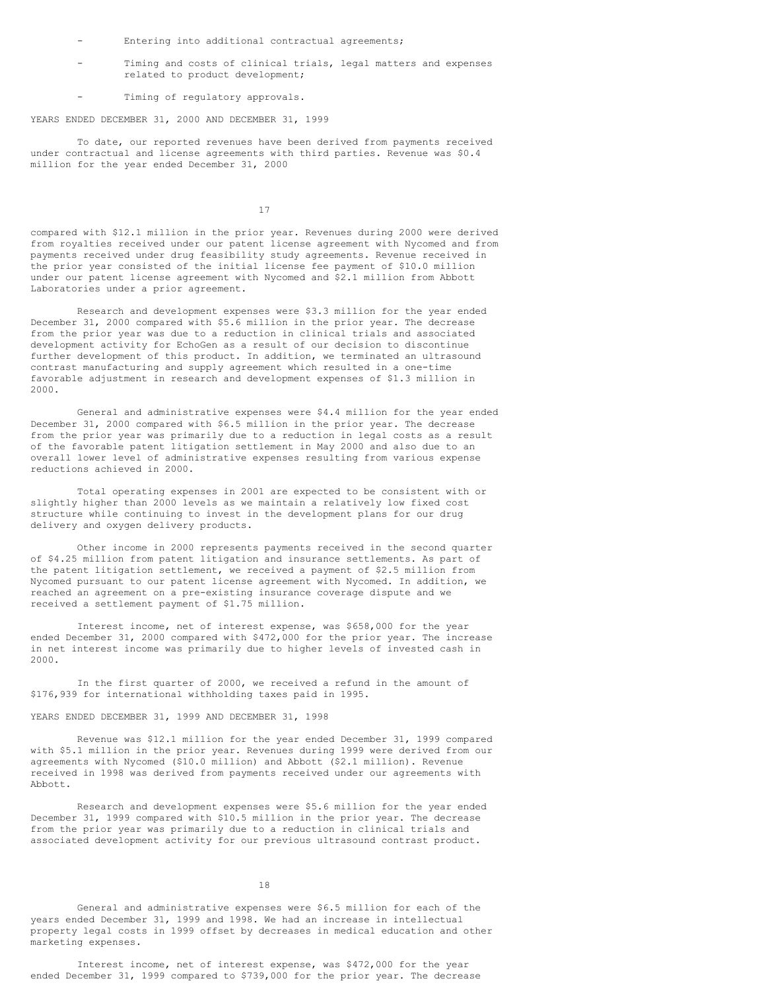- Entering into additional contractual agreements;
- Timing and costs of clinical trials, legal matters and expenses related to product development;
- Timing of regulatory approvals.

YEARS ENDED DECEMBER 31, 2000 AND DECEMBER 31, 1999

To date, our reported revenues have been derived from payments received under contractual and license agreements with third parties. Revenue was \$0.4 million for the year ended December 31, 2000

17

compared with \$12.1 million in the prior year. Revenues during 2000 were derived from royalties received under our patent license agreement with Nycomed and from payments received under drug feasibility study agreements. Revenue received in the prior year consisted of the initial license fee payment of \$10.0 million under our patent license agreement with Nycomed and \$2.1 million from Abbott Laboratories under a prior agreement.

Research and development expenses were \$3.3 million for the year ended December 31, 2000 compared with \$5.6 million in the prior year. The decrease from the prior year was due to a reduction in clinical trials and associated development activity for EchoGen as a result of our decision to discontinue further development of this product. In addition, we terminated an ultrasound contrast manufacturing and supply agreement which resulted in a one-time favorable adjustment in research and development expenses of \$1.3 million in 2000.

General and administrative expenses were \$4.4 million for the year ended December 31, 2000 compared with \$6.5 million in the prior year. The decrease from the prior year was primarily due to a reduction in legal costs as a result of the favorable patent litigation settlement in May 2000 and also due to an overall lower level of administrative expenses resulting from various expense reductions achieved in 2000.

Total operating expenses in 2001 are expected to be consistent with or slightly higher than 2000 levels as we maintain a relatively low fixed cost structure while continuing to invest in the development plans for our drug delivery and oxygen delivery products.

Other income in 2000 represents payments received in the second quarter of \$4.25 million from patent litigation and insurance settlements. As part of the patent litigation settlement, we received a payment of \$2.5 million from Nycomed pursuant to our patent license agreement with Nycomed. In addition, we reached an agreement on a pre-existing insurance coverage dispute and we received a settlement payment of \$1.75 million.

Interest income, net of interest expense, was \$658,000 for the year ended December 31, 2000 compared with \$472,000 for the prior year. The increase in net interest income was primarily due to higher levels of invested cash in 2000.

In the first quarter of 2000, we received a refund in the amount of \$176,939 for international withholding taxes paid in 1995.

### YEARS ENDED DECEMBER 31, 1999 AND DECEMBER 31, 1998

Revenue was \$12.1 million for the year ended December 31, 1999 compared with \$5.1 million in the prior year. Revenues during 1999 were derived from our agreements with Nycomed (\$10.0 million) and Abbott (\$2.1 million). Revenue received in 1998 was derived from payments received under our agreements with Abbott.

Research and development expenses were \$5.6 million for the year ended December 31, 1999 compared with \$10.5 million in the prior year. The decrease from the prior year was primarily due to a reduction in clinical trials and associated development activity for our previous ultrasound contrast product.

18

General and administrative expenses were \$6.5 million for each of the years ended December 31, 1999 and 1998. We had an increase in intellectual property legal costs in 1999 offset by decreases in medical education and other marketing expenses.

Interest income, net of interest expense, was \$472,000 for the year ended December 31, 1999 compared to \$739,000 for the prior year. The decrease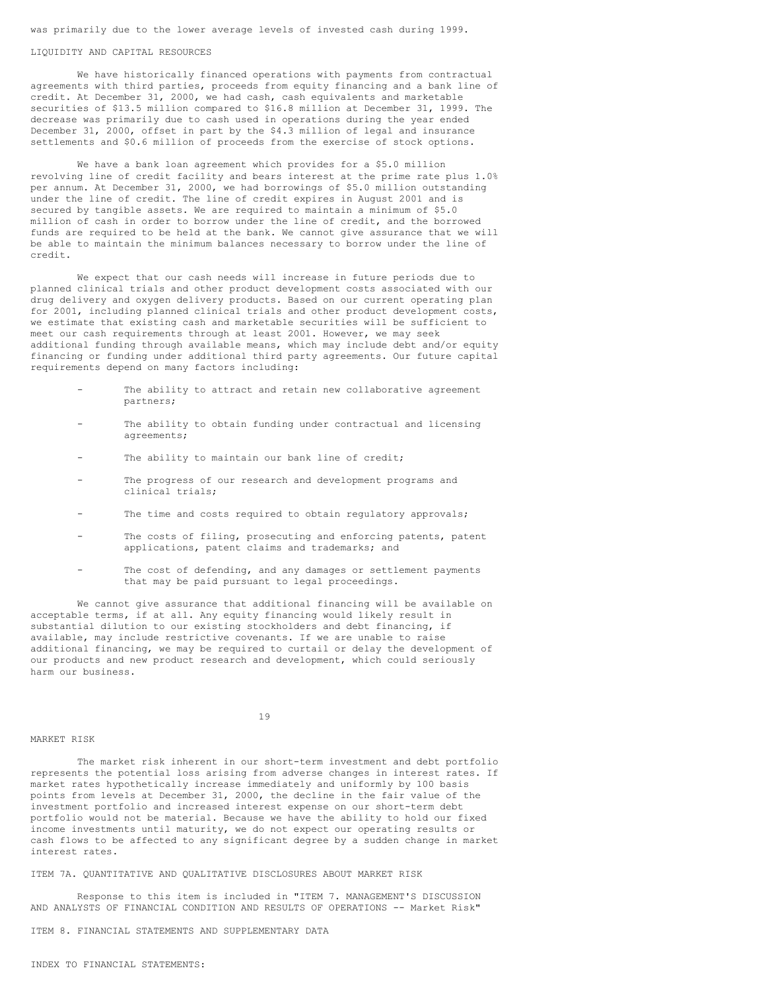was primarily due to the lower average levels of invested cash during 1999.

#### LIQUIDITY AND CAPITAL RESOURCES

We have historically financed operations with payments from contractual agreements with third parties, proceeds from equity financing and a bank line of credit. At December 31, 2000, we had cash, cash equivalents and marketable securities of \$13.5 million compared to \$16.8 million at December 31, 1999. The decrease was primarily due to cash used in operations during the year ended December 31, 2000, offset in part by the \$4.3 million of legal and insurance settlements and \$0.6 million of proceeds from the exercise of stock options.

We have a bank loan agreement which provides for a \$5.0 million revolving line of credit facility and bears interest at the prime rate plus 1.0% per annum. At December 31, 2000, we had borrowings of \$5.0 million outstanding under the line of credit. The line of credit expires in August 2001 and is secured by tangible assets. We are required to maintain a minimum of \$5.0 million of cash in order to borrow under the line of credit, and the borrowed funds are required to be held at the bank. We cannot give assurance that we will be able to maintain the minimum balances necessary to borrow under the line of credit.

We expect that our cash needs will increase in future periods due to planned clinical trials and other product development costs associated with our drug delivery and oxygen delivery products. Based on our current operating plan for 2001, including planned clinical trials and other product development costs, we estimate that existing cash and marketable securities will be sufficient to meet our cash requirements through at least 2001. However, we may seek additional funding through available means, which may include debt and/or equity financing or funding under additional third party agreements. Our future capital requirements depend on many factors including:

- The ability to attract and retain new collaborative agreement partners;
- The ability to obtain funding under contractual and licensing agreements;
- The ability to maintain our bank line of credit;
- The progress of our research and development programs and clinical trials;
- The time and costs required to obtain regulatory approvals;
- The costs of filing, prosecuting and enforcing patents, patent applications, patent claims and trademarks; and
- The cost of defending, and any damages or settlement payments that may be paid pursuant to legal proceedings.

We cannot give assurance that additional financing will be available on acceptable terms, if at all. Any equity financing would likely result in substantial dilution to our existing stockholders and debt financing, if available, may include restrictive covenants. If we are unable to raise additional financing, we may be required to curtail or delay the development of our products and new product research and development, which could seriously harm our business.

# 19

#### MARKET RISK

The market risk inherent in our short-term investment and debt portfolio represents the potential loss arising from adverse changes in interest rates. If market rates hypothetically increase immediately and uniformly by 100 basis points from levels at December 31, 2000, the decline in the fair value of the investment portfolio and increased interest expense on our short-term debt portfolio would not be material. Because we have the ability to hold our fixed income investments until maturity, we do not expect our operating results or cash flows to be affected to any significant degree by a sudden change in market interest rates.

ITEM 7A. QUANTITATIVE AND QUALITATIVE DISCLOSURES ABOUT MARKET RISK

Response to this item is included in "ITEM 7. MANAGEMENT'S DISCUSSION AND ANALYSTS OF FINANCIAL CONDITION AND RESULTS OF OPERATIONS -- Market Risk"

ITEM 8. FINANCIAL STATEMENTS AND SUPPLEMENTARY DATA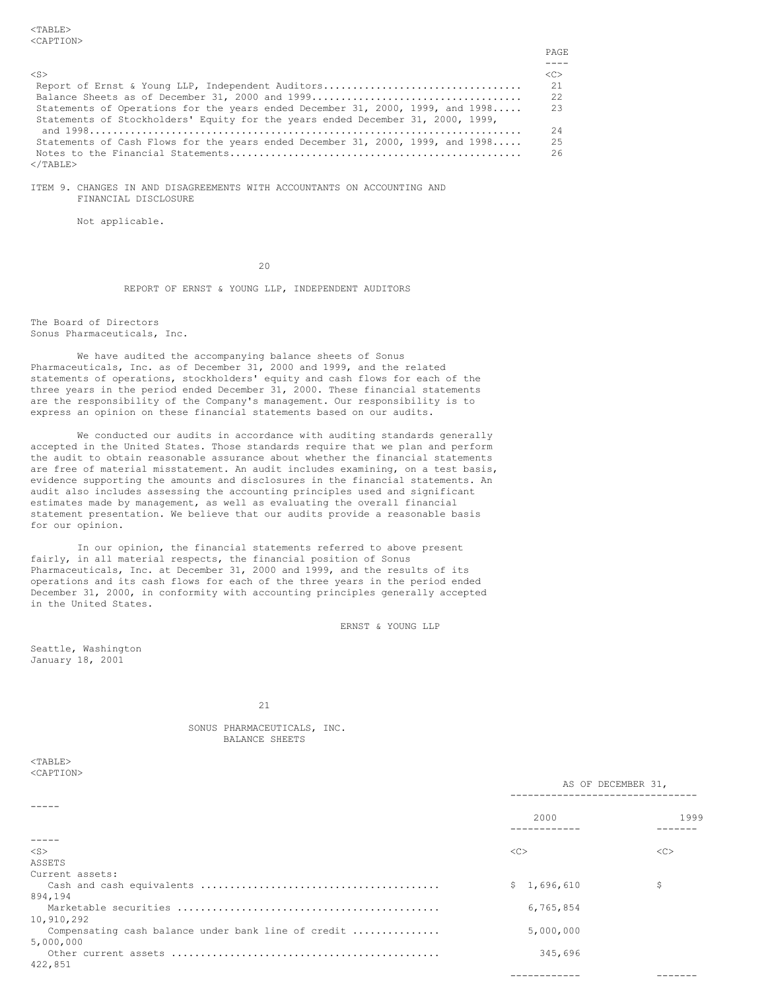<TABLE> <CAPTION>

|                                                                                 | PAGE.         |
|---------------------------------------------------------------------------------|---------------|
|                                                                                 |               |
| $\langle$ S>                                                                    | < <sub></sub> |
| Report of Ernst & Young LLP, Independent Auditors                               | 21            |
|                                                                                 | 2.2           |
| Statements of Operations for the years ended December 31, 2000, 1999, and 1998  | 23            |
| Statements of Stockholders' Equity for the years ended December 31, 2000, 1999, |               |
|                                                                                 | 24            |
| Statements of Cash Flows for the years ended December 31, 2000, 1999, and 1998  | 25            |
|                                                                                 | 26            |
| $\langle$ /TABLE>                                                               |               |

ITEM 9. CHANGES IN AND DISAGREEMENTS WITH ACCOUNTANTS ON ACCOUNTING AND FINANCIAL DISCLOSURE

Not applicable.

 $20$ 

REPORT OF ERNST & YOUNG LLP, INDEPENDENT AUDITORS

The Board of Directors Sonus Pharmaceuticals, Inc.

We have audited the accompanying balance sheets of Sonus Pharmaceuticals, Inc. as of December 31, 2000 and 1999, and the related statements of operations, stockholders' equity and cash flows for each of the three years in the period ended December 31, 2000. These financial statements are the responsibility of the Company's management. Our responsibility is to express an opinion on these financial statements based on our audits.

We conducted our audits in accordance with auditing standards generally accepted in the United States. Those standards require that we plan and perform the audit to obtain reasonable assurance about whether the financial statements are free of material misstatement. An audit includes examining, on a test basis, evidence supporting the amounts and disclosures in the financial statements. An audit also includes assessing the accounting principles used and significant estimates made by management, as well as evaluating the overall financial statement presentation. We believe that our audits provide a reasonable basis for our opinion.

In our opinion, the financial statements referred to above present fairly, in all material respects, the financial position of Sonus Pharmaceuticals, Inc. at December 31, 2000 and 1999, and the results of its operations and its cash flows for each of the three years in the period ended December 31, 2000, in conformity with accounting principles generally accepted in the United States.

ERNST & YOUNG LLP

Seattle, Washington January 18, 2001

21

SONUS PHARMACEUTICALS, INC. BALANCE SHEETS

| <table></table>     |
|---------------------|
| <caption></caption> |

|                                                     | AS OF DECEMBER 31, |         |  |  |
|-----------------------------------------------------|--------------------|---------|--|--|
| Compensating cash balance under bank line of credit | 2000               | 1999    |  |  |
|                                                     |                    |         |  |  |
| $<$ S $>$                                           | <<                 | <<      |  |  |
| ASSETS                                              |                    |         |  |  |
| Current assets:                                     |                    |         |  |  |
|                                                     | \$1,696,610        | \$      |  |  |
| 894,194                                             |                    |         |  |  |
|                                                     | 6,765,854          |         |  |  |
| 10,910,292                                          |                    |         |  |  |
|                                                     | 5,000,000          |         |  |  |
| 5,000,000                                           |                    |         |  |  |
|                                                     | 345,696            |         |  |  |
| 422,851                                             |                    |         |  |  |
|                                                     | ------------       | ------- |  |  |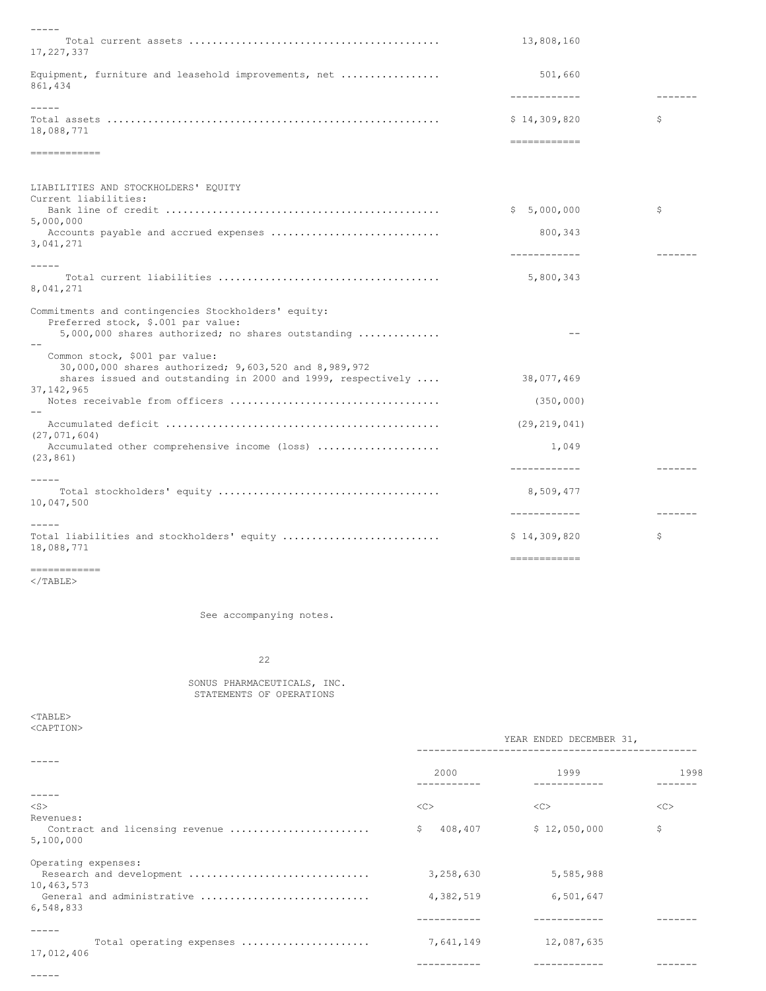| $- - - - -$                                                                                |                              |         |
|--------------------------------------------------------------------------------------------|------------------------------|---------|
| 17,227,337                                                                                 | 13,808,160                   |         |
| Equipment, furniture and leasehold improvements, net<br>861,434                            | 501,660                      | ------- |
| $- - - - -$                                                                                | ------------                 |         |
| 18,088,771                                                                                 | \$14,309,820<br>============ | \$      |
| ============                                                                               |                              |         |
| LIABILITIES AND STOCKHOLDERS' EQUITY<br>Current liabilities:                               |                              |         |
| 5,000,000                                                                                  | \$5,000,000                  | \$      |
| Accounts payable and accrued expenses<br>3,041,271                                         | 800, 343                     |         |
|                                                                                            | ------------                 |         |
| $- - - - -$                                                                                |                              |         |
| 8,041,271                                                                                  | 5,800,343                    |         |
| Commitments and contingencies Stockholders' equity:                                        |                              |         |
| Preferred stock, \$.001 par value:<br>$5,000,000$ shares authorized; no shares outstanding |                              |         |
|                                                                                            |                              |         |
| Common stock, \$001 par value:<br>30,000,000 shares authorized; 9,603,520 and 8,989,972    |                              |         |
| shares issued and outstanding in 2000 and 1999, respectively $\ldots$<br>37, 142, 965      | 38,077,469                   |         |
|                                                                                            | (350, 000)                   |         |
| (27, 071, 604)                                                                             | (29, 219, 041)               |         |
| Accumulated other comprehensive income (loss)<br>(23, 861)                                 | 1,049                        |         |
|                                                                                            | ------------                 |         |
|                                                                                            |                              |         |
| 10,047,500                                                                                 | 8,509,477                    |         |
|                                                                                            | ------------                 |         |
| Total liabilities and stockholders' equity<br>18,088,771                                   | \$14,309,820                 | \$      |
|                                                                                            | -------------                |         |

============  $<$ /TABLE>

See accompanying notes.

22

### SONUS PHARMACEUTICALS, INC. STATEMENTS OF OPERATIONS

 $<$  TABLE  $>$ <CAPTION>

-----

|                                | YEAR ENDED DECEMBER 31, |              |      |
|--------------------------------|-------------------------|--------------|------|
|                                | 2000                    | 1999         | 1998 |
|                                |                         |              |      |
| $<$ S $>$                      | <<                      | <<           | <<   |
| Revenues:                      |                         |              |      |
| Contract and licensing revenue | 408,407<br>\$.          | \$12,050,000 | \$   |
| 5,100,000                      |                         |              |      |
| Operating expenses:            |                         |              |      |
| Research and development       | 3,258,630               | 5,585,988    |      |
| 10,463,573                     |                         |              |      |
| General and administrative     | 4,382,519               | 6,501,647    |      |
| 6,548,833                      |                         |              |      |
|                                |                         |              |      |
|                                |                         |              |      |
| Total operating expenses       | 7,641,149               | 12,087,635   |      |
| 17,012,406                     |                         |              |      |
|                                |                         |              |      |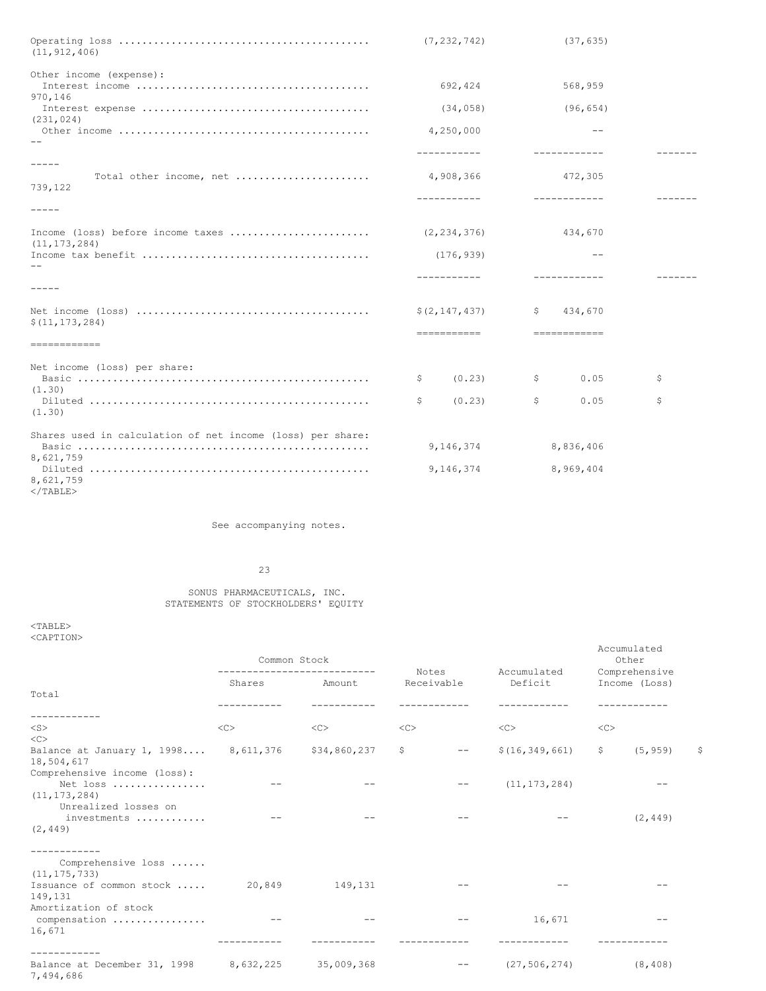| (11, 912, 406)                                             | (7, 232, 742)   | (37, 635)               |    |
|------------------------------------------------------------|-----------------|-------------------------|----|
| Other income (expense):                                    |                 |                         |    |
| 970,146                                                    | 692,424         | 568,959                 |    |
| (231, 024)                                                 | (34, 058)       | (96, 654)               |    |
|                                                            | 4,250,000       | $-$                     |    |
|                                                            | -----------     | ------------            |    |
| $- - - - -$                                                |                 |                         |    |
| Total other income, net<br>739,122                         | 4,908,366       | 472,305                 |    |
|                                                            | -----------     | ____________            |    |
| $- - - - -$                                                |                 |                         |    |
| Income (loss) before income taxes<br>(11, 173, 284)        | (2, 234, 376)   | 434,670                 |    |
|                                                            | (176, 939)      | $ -$                    |    |
|                                                            |                 | ------------            |    |
| $- - - - -$                                                |                 |                         |    |
| \$(11, 173, 284)                                           | \$(2, 147, 437) | $\mathsf{S}$<br>434,670 |    |
| ------------                                               | ============    | ============            |    |
| Net income (loss) per share:                               |                 |                         |    |
| (1.30)                                                     | \$<br>(0, 23)   | \$<br>0.05              | \$ |
| (1.30)                                                     | \$<br>(0.23)    | \$<br>0.05              | \$ |
| Shares used in calculation of net income (loss) per share: |                 |                         |    |
| 8,621,759                                                  | 9,146,374       | 8,836,406               |    |
| 8,621,759                                                  | 9,146,374       | 8,969,404               |    |

 $<$ /TABLE>

See accompanying notes.

# 23

### SONUS PHARMACEUTICALS, INC. STATEMENTS OF STOCKHOLDERS' EQUITY

 $<sub>TABLE></sub>$ </sub> <CAPTION>

|                                                            | Common Stock<br>Notes<br>------------------ |              |            | Other |                        |              |                                |             |
|------------------------------------------------------------|---------------------------------------------|--------------|------------|-------|------------------------|--------------|--------------------------------|-------------|
|                                                            | Shares                                      | Amount       | Receivable |       | Accumulated<br>Deficit |              | Comprehensive<br>Income (Loss) |             |
| Total                                                      |                                             |              |            |       |                        |              |                                |             |
|                                                            |                                             |              |            |       |                        |              |                                |             |
|                                                            |                                             |              |            |       |                        |              |                                |             |
| $<$ S $>$                                                  | <<                                          | <<           | <<         |       | <<                     | $<<$ $<$ $>$ |                                |             |
| $\langle C \rangle$                                        |                                             |              |            |       |                        |              |                                |             |
| Balance at January 1, 1998 8, 611, 376<br>18,504,617       |                                             | \$34,860,237 | \$         | $- -$ | \$(16, 349, 661)       | \$           | (5, 959)                       | $\varsigma$ |
| Comprehensive income (loss):<br>Net loss<br>(11, 173, 284) |                                             |              |            |       | (11, 173, 284)         |              |                                |             |
| Unrealized losses on<br>investments<br>(2, 449)            |                                             |              |            |       |                        |              | (2, 449)                       |             |
| Comprehensive loss<br>(11, 175, 733)                       |                                             |              |            |       |                        |              |                                |             |
| Issuance of common stock<br>149,131                        | 20,849                                      | 149,131      |            |       |                        |              |                                |             |
| Amortization of stock<br>compensation<br>16,671            | $- -$                                       |              |            | $- -$ | 16,671                 |              | $ -$                           |             |
| -----------                                                |                                             |              |            |       |                        |              |                                |             |
| Balance at December 31, 1998<br>7,494,686                  | 8,632,225                                   | 35,009,368   |            | $- -$ | (27, 506, 274)         |              | (8, 408)                       |             |

Accumulated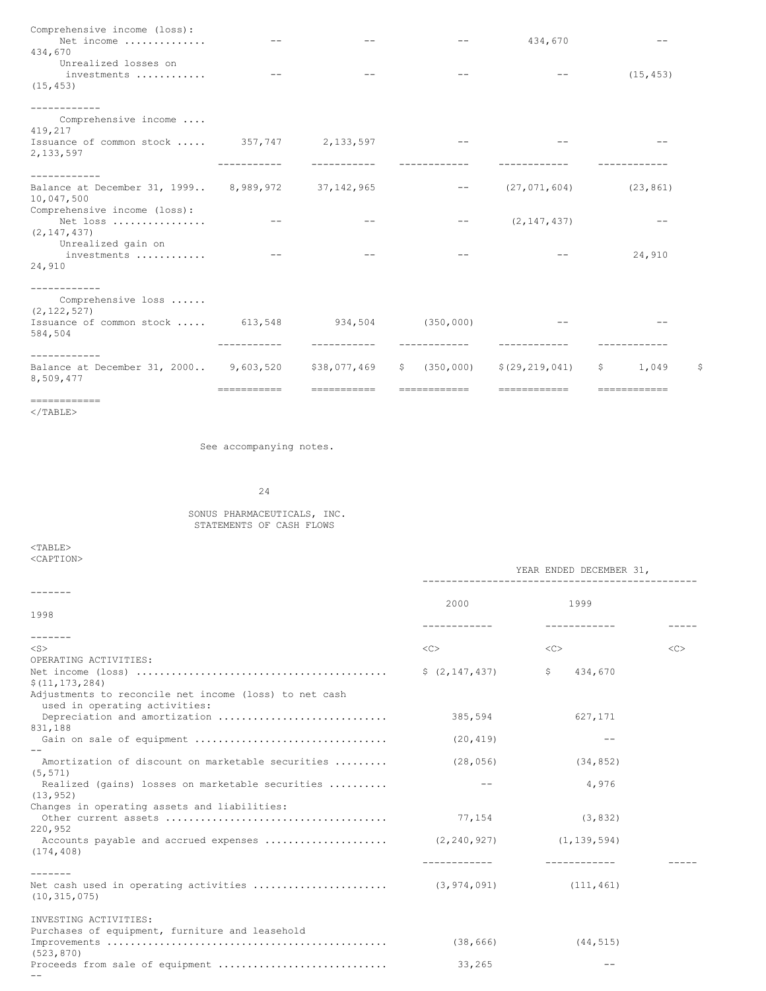| Comprehensive income (loss):<br>Net income                          |             |              |                                                                                                                                                                                                                                                                                                                                                                                                                                                                            | 434,670          |                               |
|---------------------------------------------------------------------|-------------|--------------|----------------------------------------------------------------------------------------------------------------------------------------------------------------------------------------------------------------------------------------------------------------------------------------------------------------------------------------------------------------------------------------------------------------------------------------------------------------------------|------------------|-------------------------------|
| 434,670                                                             |             |              |                                                                                                                                                                                                                                                                                                                                                                                                                                                                            |                  |                               |
| Unrealized losses on                                                |             |              |                                                                                                                                                                                                                                                                                                                                                                                                                                                                            |                  |                               |
| investments                                                         |             |              |                                                                                                                                                                                                                                                                                                                                                                                                                                                                            |                  | (15, 453)                     |
| (15, 453)                                                           |             |              |                                                                                                                                                                                                                                                                                                                                                                                                                                                                            |                  |                               |
|                                                                     |             |              |                                                                                                                                                                                                                                                                                                                                                                                                                                                                            |                  |                               |
| Comprehensive income<br>419,217                                     |             |              |                                                                                                                                                                                                                                                                                                                                                                                                                                                                            |                  |                               |
| Issuance of common stock  357,747 2,133,597                         |             |              |                                                                                                                                                                                                                                                                                                                                                                                                                                                                            |                  |                               |
| 2,133,597                                                           |             |              |                                                                                                                                                                                                                                                                                                                                                                                                                                                                            |                  |                               |
| ------------                                                        |             |              |                                                                                                                                                                                                                                                                                                                                                                                                                                                                            |                  |                               |
| Balance at December 31, 1999 8, 989, 972 37, 142, 965<br>10,047,500 |             |              | $\frac{1}{2} \left( \frac{1}{2} \right) \left( \frac{1}{2} \right) \left( \frac{1}{2} \right) \left( \frac{1}{2} \right) \left( \frac{1}{2} \right) \left( \frac{1}{2} \right) \left( \frac{1}{2} \right) \left( \frac{1}{2} \right) \left( \frac{1}{2} \right) \left( \frac{1}{2} \right) \left( \frac{1}{2} \right) \left( \frac{1}{2} \right) \left( \frac{1}{2} \right) \left( \frac{1}{2} \right) \left( \frac{1}{2} \right) \left( \frac{1}{2} \right) \left( \frac$ | (27, 071, 604)   | (23, 861)                     |
| Comprehensive income (loss):                                        |             |              |                                                                                                                                                                                                                                                                                                                                                                                                                                                                            |                  |                               |
| Net loss                                                            |             |              | $- -$                                                                                                                                                                                                                                                                                                                                                                                                                                                                      | (2, 147, 437)    |                               |
| (2, 147, 437)                                                       |             |              |                                                                                                                                                                                                                                                                                                                                                                                                                                                                            |                  |                               |
| Unrealized gain on                                                  | $- -$       |              | $- -$                                                                                                                                                                                                                                                                                                                                                                                                                                                                      |                  | 24,910                        |
| investments<br>24,910                                               |             |              |                                                                                                                                                                                                                                                                                                                                                                                                                                                                            |                  |                               |
|                                                                     |             |              |                                                                                                                                                                                                                                                                                                                                                                                                                                                                            |                  |                               |
| Comprehensive loss<br>(2, 122, 527)                                 |             |              |                                                                                                                                                                                                                                                                                                                                                                                                                                                                            |                  |                               |
| Issuance of common stock  613,548                                   |             |              | $934,504$ (350,000)                                                                                                                                                                                                                                                                                                                                                                                                                                                        |                  |                               |
| 584,504                                                             |             |              |                                                                                                                                                                                                                                                                                                                                                                                                                                                                            |                  |                               |
|                                                                     |             |              |                                                                                                                                                                                                                                                                                                                                                                                                                                                                            |                  |                               |
| Balance at December 31, 2000 9, 603, 520<br>8,509,477               |             | \$38,077,469 | (350, 000)<br>S.                                                                                                                                                                                                                                                                                                                                                                                                                                                           | \$(29, 219, 041) | S.<br>$\mathsf{S}^-$<br>1,049 |
|                                                                     | ----------- | -----------  | ============                                                                                                                                                                                                                                                                                                                                                                                                                                                               | ------------     | ============                  |

============

 $<$ /TABLE>

See accompanying notes.

24

## SONUS PHARMACEUTICALS, INC. STATEMENTS OF CASH FLOWS

 $<$ TABLE $>$ <CAPTION>

|                                                                              | YEAR ENDED DECEMBER 31, |                         |    |  |
|------------------------------------------------------------------------------|-------------------------|-------------------------|----|--|
|                                                                              | 2000                    | 1999                    |    |  |
| 1998                                                                         |                         |                         |    |  |
|                                                                              |                         |                         |    |  |
| -------                                                                      |                         |                         |    |  |
| $<$ S $>$                                                                    | $\langle C \rangle$     | <<                      | << |  |
| OPERATING ACTIVITIES:                                                        |                         |                         |    |  |
| \$(11, 173, 284)                                                             | (2, 147, 437)           | $\mathsf{S}$<br>434,670 |    |  |
| Adjustments to reconcile net income (loss) to net cash                       |                         |                         |    |  |
| used in operating activities:                                                |                         |                         |    |  |
| Depreciation and amortization<br>831,188                                     | 385,594                 | 627,171                 |    |  |
| Gain on sale of equipment                                                    | (20, 419)               | $ -$                    |    |  |
|                                                                              |                         |                         |    |  |
| Amortization of discount on marketable securities<br>(5, 571)                | (28, 056)               | (34, 852)               |    |  |
| Realized (gains) losses on marketable securities                             |                         | 4,976                   |    |  |
| (13, 952)                                                                    |                         |                         |    |  |
| Changes in operating assets and liabilities:                                 |                         |                         |    |  |
|                                                                              | 77,154                  | (3, 832)                |    |  |
| 220,952                                                                      |                         |                         |    |  |
| Accounts payable and accrued expenses  (2,240,927) (1,139,594)<br>(174, 408) |                         |                         |    |  |
|                                                                              |                         |                         |    |  |
| (10, 315, 075)                                                               |                         | (111, 461)              |    |  |
| INVESTING ACTIVITIES:                                                        |                         |                         |    |  |
| Purchases of equipment, furniture and leasehold                              |                         |                         |    |  |
|                                                                              | (38, 666)               | (44, 515)               |    |  |
| (523, 870)                                                                   |                         |                         |    |  |
| Proceeds from sale of equipment                                              | 33,265                  |                         |    |  |
|                                                                              |                         |                         |    |  |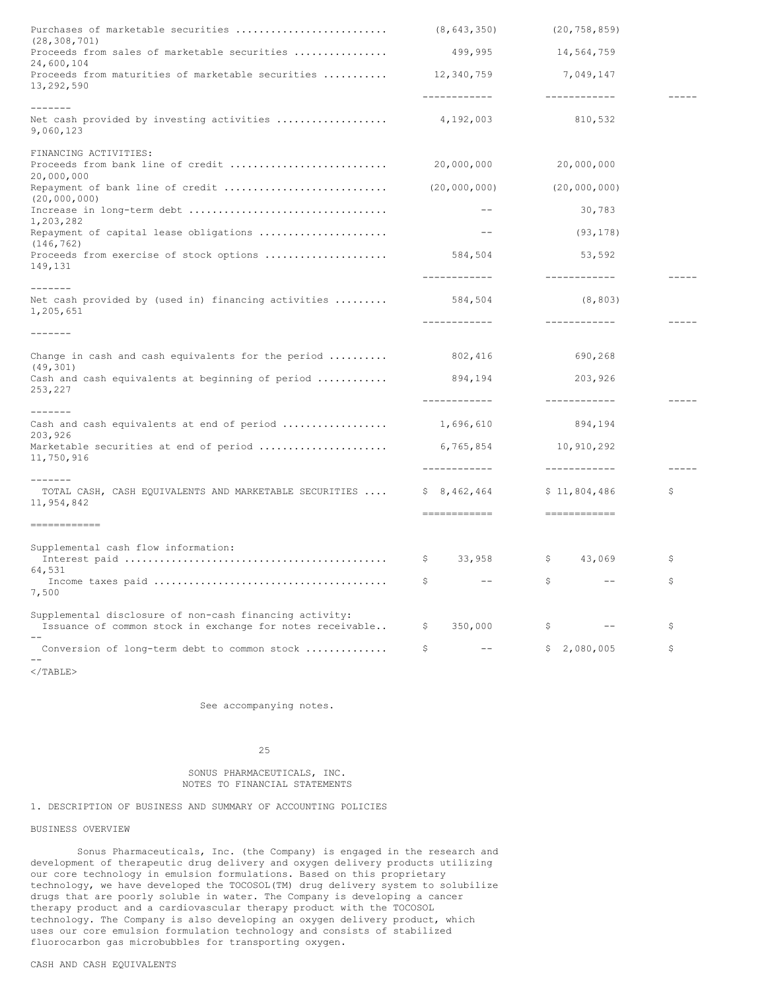| Purchases of marketable securities<br>(28, 308, 701)                                                                 |              | (8, 643, 350)              |                                        | (20, 758, 859)             |               |
|----------------------------------------------------------------------------------------------------------------------|--------------|----------------------------|----------------------------------------|----------------------------|---------------|
| Proceeds from sales of marketable securities<br>24,600,104                                                           |              | 499,995                    |                                        | 14,564,759                 |               |
| Proceeds from maturities of marketable securities<br>13,292,590                                                      |              | 12,340,759<br>------------ |                                        | 7,049,147<br>------------- |               |
| -------                                                                                                              |              |                            |                                        |                            |               |
| Net cash provided by investing activities  4,192,003<br>9,060,123                                                    |              |                            |                                        | 810,532                    |               |
| FINANCING ACTIVITIES:                                                                                                |              |                            |                                        |                            |               |
| Proceeds from bank line of credit<br>20,000,000                                                                      |              | 20,000,000                 |                                        | 20,000,000                 |               |
| Repayment of bank line of credit<br>(20,000,000)                                                                     |              | (20,000,000)               |                                        | (20,000,000)               |               |
| 1,203,282                                                                                                            |              | $\qquad \qquad -$          |                                        | 30,783                     |               |
| Repayment of capital lease obligations<br>(146, 762)                                                                 |              | $- -$                      |                                        | (93, 178)                  |               |
| Proceeds from exercise of stock options<br>149,131                                                                   |              | 584,504                    |                                        | 53,592                     |               |
|                                                                                                                      |              | -------------              |                                        | ------------               | $- - - - - -$ |
| --------<br>Net cash provided by (used in) financing activities<br>1,205,651                                         |              | 584,504                    |                                        | (8, 803)                   |               |
| $- - - - - - -$                                                                                                      |              | -------------              |                                        | ------------               |               |
|                                                                                                                      |              |                            |                                        |                            |               |
| Change in cash and cash equivalents for the period $\ldots \ldots$<br>(49, 301)                                      |              | 802,416                    |                                        | 690,268                    |               |
| Cash and cash equivalents at beginning of period<br>253,227                                                          |              | 894,194                    |                                        | 203,926                    |               |
| $- - - - - - -$                                                                                                      |              | -------------              |                                        | ____________               |               |
| Cash and cash equivalents at end of period<br>203,926                                                                |              | 1,696,610                  |                                        | 894,194                    |               |
| Marketable securities at end of period<br>11,750,916                                                                 |              | 6,765,854                  |                                        | 10,910,292                 |               |
|                                                                                                                      |              | ------------               |                                        | ------------               |               |
| -------<br>TOTAL CASH, CASH EQUIVALENTS AND MARKETABLE SECURITIES<br>11,954,842                                      |              | \$8,462,464                |                                        | \$11,804,486               | \$            |
| ------------                                                                                                         |              | $=$ ============           |                                        |                            |               |
| Supplemental cash flow information:                                                                                  |              |                            |                                        |                            |               |
| 64,531                                                                                                               | -S           | 33,958                     | $\mathsf{S}$ . The set of $\mathsf{S}$ | 43,069                     | \$            |
| 7,500                                                                                                                | \$           | $---$                      | $\mathsf{S}$                           | $--$                       | \$            |
| Supplemental disclosure of non-cash financing activity:<br>Issuance of common stock in exchange for notes receivable | -S           | 350,000                    | \$                                     | $ -$                       | \$            |
| Conversion of long-term debt to common stock                                                                         | $\mathsf{S}$ | $- -$                      |                                        | \$2,080,005                | \$            |
|                                                                                                                      |              |                            |                                        |                            |               |

</TABLE>

See accompanying notes.

### 25

### SONUS PHARMACEUTICALS, INC. NOTES TO FINANCIAL STATEMENTS

# 1. DESCRIPTION OF BUSINESS AND SUMMARY OF ACCOUNTING POLICIES

### BUSINESS OVERVIEW

Sonus Pharmaceuticals, Inc. (the Company) is engaged in the research and development of therapeutic drug delivery and oxygen delivery products utilizing our core technology in emulsion formulations. Based on this proprietary technology, we have developed the TOCOSOL(TM) drug delivery system to solubilize drugs that are poorly soluble in water. The Company is developing a cancer therapy product and a cardiovascular therapy product with the TOCOSOL technology. The Company is also developing an oxygen delivery product, which uses our core emulsion formulation technology and consists of stabilized fluorocarbon gas microbubbles for transporting oxygen.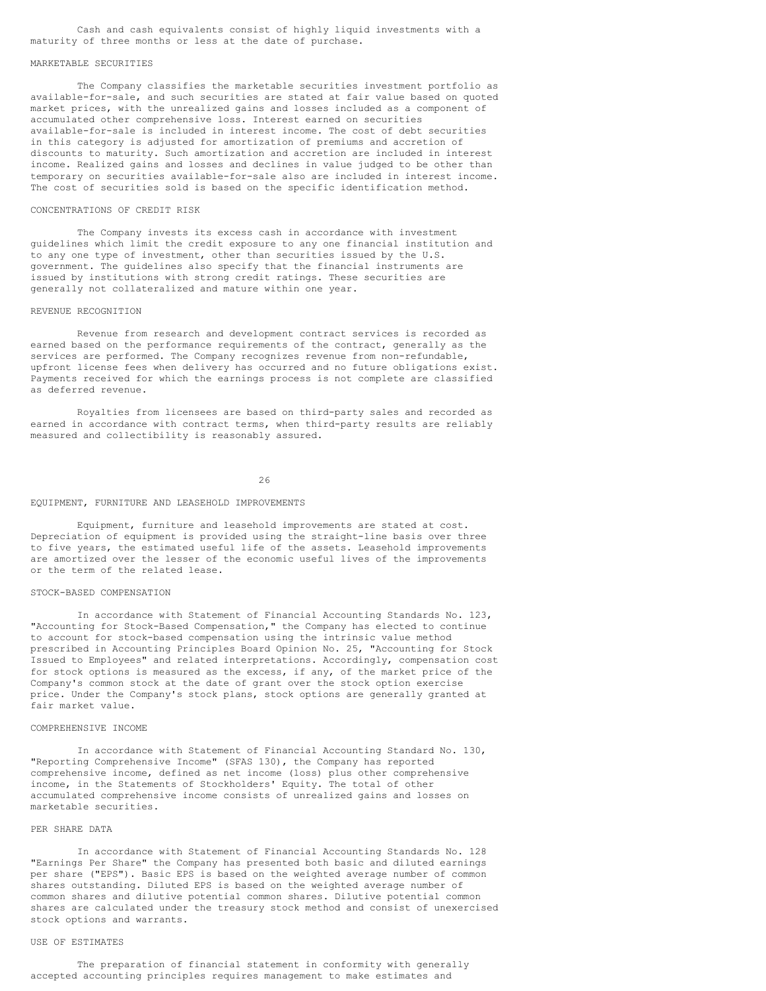Cash and cash equivalents consist of highly liquid investments with a maturity of three months or less at the date of purchase.

#### MARKETABLE SECURITIES

The Company classifies the marketable securities investment portfolio as available-for-sale, and such securities are stated at fair value based on quoted market prices, with the unrealized gains and losses included as a component of accumulated other comprehensive loss. Interest earned on securities available-for-sale is included in interest income. The cost of debt securities in this category is adjusted for amortization of premiums and accretion of discounts to maturity. Such amortization and accretion are included in interest income. Realized gains and losses and declines in value judged to be other than temporary on securities available-for-sale also are included in interest income. The cost of securities sold is based on the specific identification method.

### CONCENTRATIONS OF CREDIT RISK

The Company invests its excess cash in accordance with investment guidelines which limit the credit exposure to any one financial institution and to any one type of investment, other than securities issued by the U.S. government. The guidelines also specify that the financial instruments are issued by institutions with strong credit ratings. These securities are generally not collateralized and mature within one year.

### REVENUE RECOGNITION

Revenue from research and development contract services is recorded as earned based on the performance requirements of the contract, generally as the services are performed. The Company recognizes revenue from non-refundable, upfront license fees when delivery has occurred and no future obligations exist. Payments received for which the earnings process is not complete are classified as deferred revenue.

Royalties from licensees are based on third-party sales and recorded as earned in accordance with contract terms, when third-party results are reliably measured and collectibility is reasonably assured.

#### 26

#### EQUIPMENT, FURNITURE AND LEASEHOLD IMPROVEMENTS

Equipment, furniture and leasehold improvements are stated at cost. Depreciation of equipment is provided using the straight-line basis over three to five years, the estimated useful life of the assets. Leasehold improvements are amortized over the lesser of the economic useful lives of the improvements or the term of the related lease.

### STOCK-BASED COMPENSATION

In accordance with Statement of Financial Accounting Standards No. 123, "Accounting for Stock-Based Compensation," the Company has elected to continue to account for stock-based compensation using the intrinsic value method prescribed in Accounting Principles Board Opinion No. 25, "Accounting for Stock Issued to Employees" and related interpretations. Accordingly, compensation cost for stock options is measured as the excess, if any, of the market price of the Company's common stock at the date of grant over the stock option exercise price. Under the Company's stock plans, stock options are generally granted at fair market value.

### COMPREHENSIVE INCOME

In accordance with Statement of Financial Accounting Standard No. 130, "Reporting Comprehensive Income" (SFAS 130), the Company has reported comprehensive income, defined as net income (loss) plus other comprehensive income, in the Statements of Stockholders' Equity. The total of other accumulated comprehensive income consists of unrealized gains and losses on marketable securities.

### PER SHARE DATA

In accordance with Statement of Financial Accounting Standards No. 128 "Earnings Per Share" the Company has presented both basic and diluted earnings per share ("EPS"). Basic EPS is based on the weighted average number of common shares outstanding. Diluted EPS is based on the weighted average number of common shares and dilutive potential common shares. Dilutive potential common shares are calculated under the treasury stock method and consist of unexercised stock options and warrants.

### USE OF ESTIMATES

The preparation of financial statement in conformity with generally accepted accounting principles requires management to make estimates and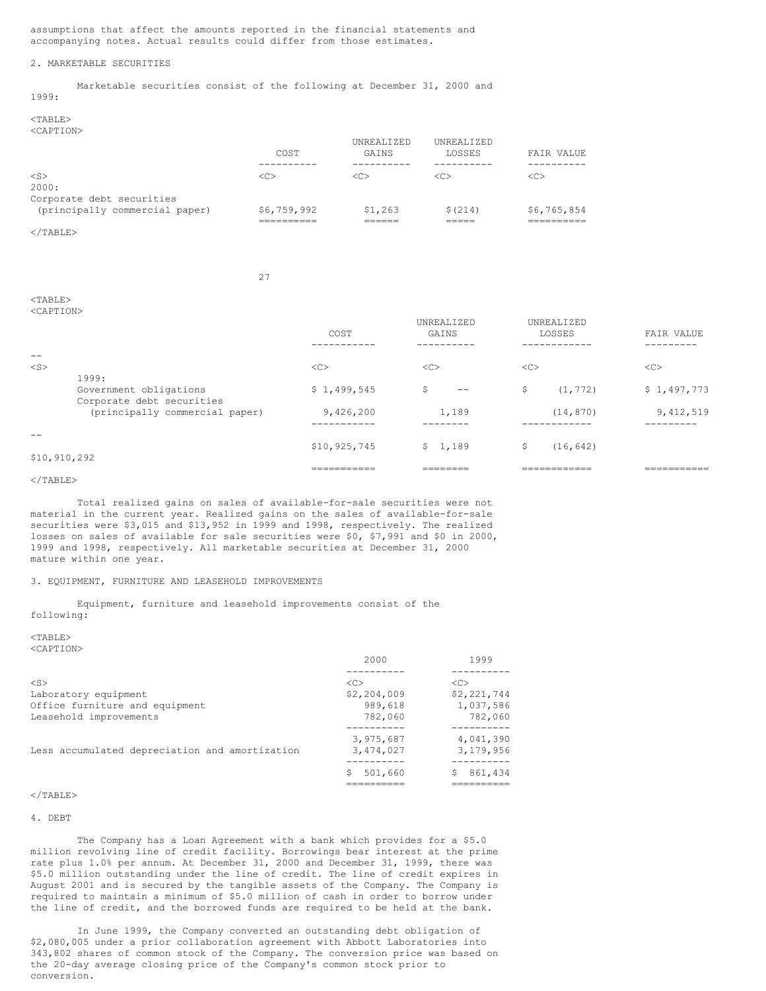assumptions that affect the amounts reported in the financial statements and accompanying notes. Actual results could differ from those estimates.

### 2. MARKETABLE SECURITIES

Marketable securities consist of the following at December 31, 2000 and

1999: <TABLE>

 $<$ TABLE>

<CAPTION>

|                                | COST          | UNREALIZED<br>GAINS | UNREALIZED<br>LOSSES | FAIR VALUE  |
|--------------------------------|---------------|---------------------|----------------------|-------------|
| $<$ S><br>2000:                | < <sub></sub> | < <sub></sub>       | < <sub></sub>        | <<          |
| Corporate debt securities      |               |                     |                      |             |
| (principally commercial paper) | \$6,759,992   | \$1,263             | \$(214)              | \$6,765,854 |
| $\langle$ /TARLE $>$           |               |                     |                      |             |

### 27

| <caption></caption> |                                                     |                           | UNREALIZED    | UNREALIZED                   |                            |
|---------------------|-----------------------------------------------------|---------------------------|---------------|------------------------------|----------------------------|
|                     |                                                     | COST<br>---------         | GAINS         | LOSSES<br>---------          | FAIR VALUE<br>--------     |
| $- -$               |                                                     |                           |               |                              |                            |
| $<$ S $>$           | 1999:                                               | <<                        | <<            | <<                           | <<                         |
|                     | Government obligations<br>Corporate debt securities | \$1,499,545               | \$<br>--      | (1, 772)<br>\$               | \$1,497,773                |
|                     | (principally commercial paper)                      | 9,426,200                 | 1,189         | (14, 870)                    | 9,412,519                  |
|                     |                                                     |                           |               |                              |                            |
| \$10, 910, 292      |                                                     | \$10,925,745              | 1,189<br>S.   | \$<br>(16, 642)              |                            |
|                     |                                                     | ___________<br>---------- | ________<br>. | ____________<br>======------ | ___________<br>----------- |

### $\langle$ /TABLE>

Total realized gains on sales of available-for-sale securities were not material in the current year. Realized gains on the sales of available-for-sale securities were \$3,015 and \$13,952 in 1999 and 1998, respectively. The realized losses on sales of available for sale securities were \$0, \$7,991 and \$0 in 2000, 1999 and 1998, respectively. All marketable securities at December 31, 2000 mature within one year.

### 3. EQUIPMENT, FURNITURE AND LEASEHOLD IMPROVEMENTS

Equipment, furniture and leasehold improvements consist of the following:

#### <TABLE> <CAPTION>

|                                                | 2000                | 1999          |  |
|------------------------------------------------|---------------------|---------------|--|
|                                                |                     |               |  |
| $<$ S>                                         | $\langle C \rangle$ | < <sub></sub> |  |
| Laboratory equipment                           | \$2,204,009         | \$2,221,744   |  |
| Office furniture and equipment                 | 989,618             | 1,037,586     |  |
| Leasehold improvements                         | 782,060             | 782,060       |  |
|                                                |                     |               |  |
|                                                | 3,975,687           | 4,041,390     |  |
| Less accumulated depreciation and amortization | 3,474,027           | 3, 179, 956   |  |
|                                                |                     |               |  |
|                                                | 501,660             | 861,434       |  |
|                                                |                     |               |  |

### $<$ /TABLE>

#### 4. DEBT

The Company has a Loan Agreement with a bank which provides for a \$5.0 million revolving line of credit facility. Borrowings bear interest at the prime rate plus 1.0% per annum. At December 31, 2000 and December 31, 1999, there was \$5.0 million outstanding under the line of credit. The line of credit expires in August 2001 and is secured by the tangible assets of the Company. The Company is required to maintain a minimum of \$5.0 million of cash in order to borrow under the line of credit, and the borrowed funds are required to be held at the bank.

In June 1999, the Company converted an outstanding debt obligation of \$2,080,005 under a prior collaboration agreement with Abbott Laboratories into 343,802 shares of common stock of the Company. The conversion price was based on the 20-day average closing price of the Company's common stock prior to conversion.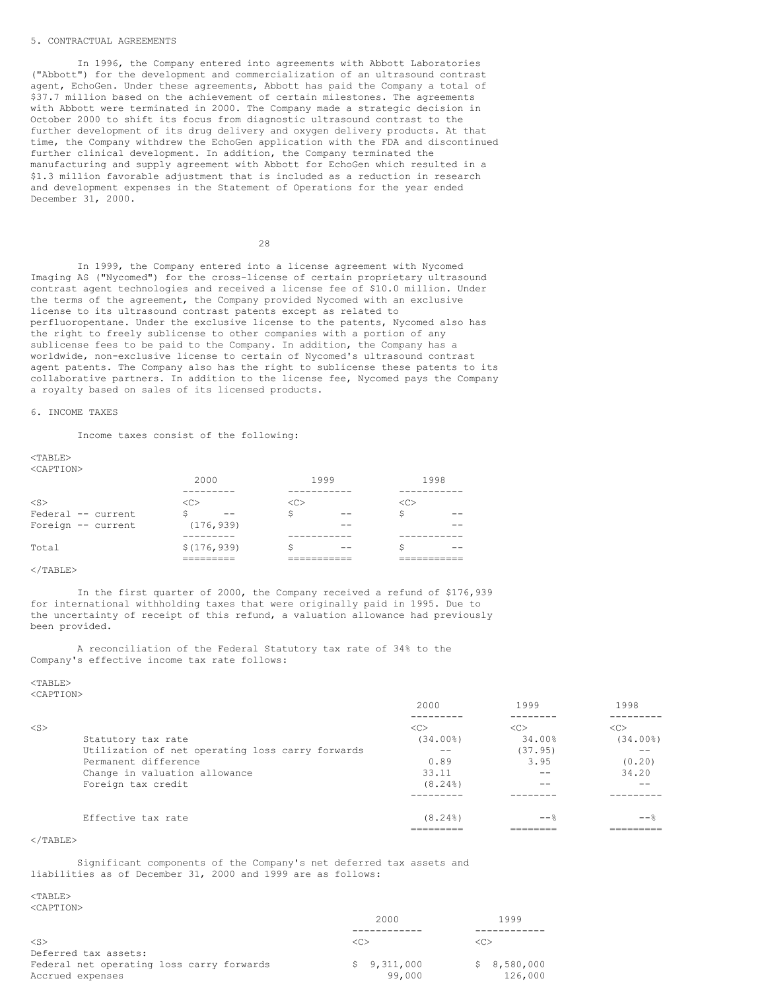### 5. CONTRACTUAL AGREEMENTS

In 1996, the Company entered into agreements with Abbott Laboratories ("Abbott") for the development and commercialization of an ultrasound contrast agent, EchoGen. Under these agreements, Abbott has paid the Company a total of \$37.7 million based on the achievement of certain milestones. The agreements with Abbott were terminated in 2000. The Company made a strategic decision in October 2000 to shift its focus from diagnostic ultrasound contrast to the further development of its drug delivery and oxygen delivery products. At that time, the Company withdrew the EchoGen application with the FDA and discontinued further clinical development. In addition, the Company terminated the manufacturing and supply agreement with Abbott for EchoGen which resulted in a \$1.3 million favorable adjustment that is included as a reduction in research and development expenses in the Statement of Operations for the year ended December 31, 2000.

 $28$ 

In 1999, the Company entered into a license agreement with Nycomed Imaging AS ("Nycomed") for the cross-license of certain proprietary ultrasound contrast agent technologies and received a license fee of \$10.0 million. Under the terms of the agreement, the Company provided Nycomed with an exclusive license to its ultrasound contrast patents except as related to perfluoropentane. Under the exclusive license to the patents, Nycomed also has the right to freely sublicense to other companies with a portion of any sublicense fees to be paid to the Company. In addition, the Company has a worldwide, non-exclusive license to certain of Nycomed's ultrasound contrast agent patents. The Company also has the right to sublicense these patents to its collaborative partners. In addition to the license fee, Nycomed pays the Company a royalty based on sales of its licensed products.

### 6. INCOME TAXES

Income taxes consist of the following:

 $<$ TABLE> <CAPTION>

| .                  |              |      |      |
|--------------------|--------------|------|------|
|                    | 2000         | 1999 | 1998 |
|                    |              |      |      |
| $<$ S $>$          | <<           | <<   | <<   |
| Federal -- current | Ŝ<br>--      | --   | Ŝ    |
| Foreign -- current | (176, 939)   |      |      |
|                    |              |      |      |
| Total              | \$(176, 939) |      |      |
|                    |              |      |      |
| $\langle$ /TABLE>  |              |      |      |

In the first quarter of 2000, the Company received a refund of \$176,939 for international withholding taxes that were originally paid in 1995. Due to the uncertainty of receipt of this refund, a valuation allowance had previously been provided.

A reconciliation of the Federal Statutory tax rate of 34% to the Company's effective income tax rate follows:

 $<$ TABLE>

<CAPTION>

|           |                                                  | 2000        | 1999    | 1998        |
|-----------|--------------------------------------------------|-------------|---------|-------------|
|           |                                                  |             |         |             |
| $<$ S $>$ |                                                  | <<          | <<      | <<          |
|           | Statutory tax rate                               | $(34.00\%)$ | 34.00%  | $(34.00\%)$ |
|           | Utilization of net operating loss carry forwards |             | (37.95) |             |
|           | Permanent difference                             | 0.89        | 3.95    | (0.20)      |
|           | Change in valuation allowance                    | 33.11       | $ -$    | 34.20       |
|           | Foreign tax credit                               | $(8.24\%)$  |         |             |
|           |                                                  |             |         |             |
|           | Effective tax rate                               | $(8.24\%)$  | $--$ %  | $- \approx$ |
|           |                                                  |             |         |             |

 $\langle$ /TABLE>

Significant components of the Company's net deferred tax assets and liabilities as of December 31, 2000 and 1999 are as follows:

 $<$ TABLE> <CAPTION>

|                                           | 2000        | 1999        |
|-------------------------------------------|-------------|-------------|
|                                           |             |             |
| $\langle S \rangle$                       | <c></c>     |             |
| Deferred tax assets:                      |             |             |
| Federal net operating loss carry forwards | \$9.311.000 | \$8.580.000 |
| Accrued expenses                          | 99,000      | 126,000     |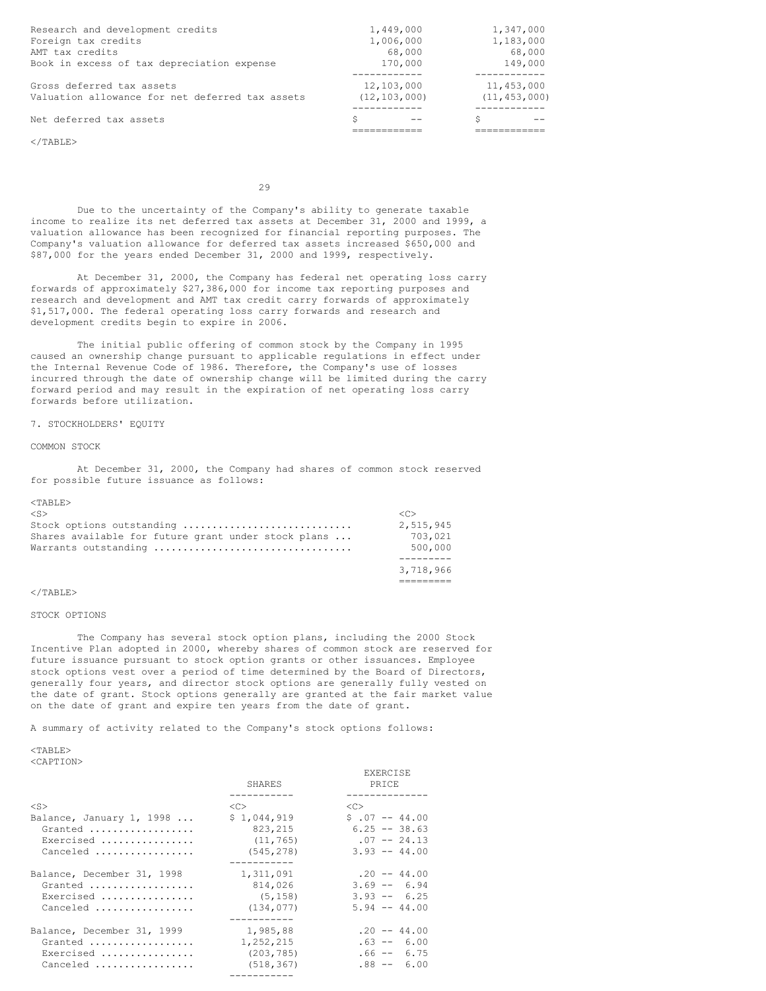| Research and development credits                | 1,449,000      | 1,347,000      |
|-------------------------------------------------|----------------|----------------|
| Foreign tax credits                             | 1,006,000      | 1,183,000      |
| AMT tax credits                                 | 68,000         | 68,000         |
| Book in excess of tax depreciation expense      | 170,000        | 149,000        |
|                                                 |                |                |
| Gross deferred tax assets                       | 12,103,000     | 11,453,000     |
| Valuation allowance for net deferred tax assets | (12, 103, 000) | (11, 453, 000) |
|                                                 |                |                |
| Net deferred tax assets                         | S              | S              |
|                                                 |                |                |

 $\langle$ /TABLE>

29

Due to the uncertainty of the Company's ability to generate taxable income to realize its net deferred tax assets at December 31, 2000 and 1999, a valuation allowance has been recognized for financial reporting purposes. The Company's valuation allowance for deferred tax assets increased \$650,000 and \$87,000 for the years ended December 31, 2000 and 1999, respectively.

At December 31, 2000, the Company has federal net operating loss carry forwards of approximately \$27,386,000 for income tax reporting purposes and research and development and AMT tax credit carry forwards of approximately \$1,517,000. The federal operating loss carry forwards and research and development credits begin to expire in 2006.

The initial public offering of common stock by the Company in 1995 caused an ownership change pursuant to applicable regulations in effect under the Internal Revenue Code of 1986. Therefore, the Company's use of losses incurred through the date of ownership change will be limited during the carry forward period and may result in the expiration of net operating loss carry forwards before utilization.

### 7. STOCKHOLDERS' EQUITY

### COMMON STOCK

At December 31, 2000, the Company had shares of common stock reserved for possible future issuance as follows:

#### <TABLE>

| $\langle S \rangle$                                 | ィベト       |
|-----------------------------------------------------|-----------|
| Stock options outstanding                           | 2,515,945 |
| Shares available for future grant under stock plans | 703,021   |
| Warrants outstanding                                | 500,000   |
|                                                     |           |
|                                                     | 3.718.966 |
|                                                     |           |

### $\langle$ /TABLE>

#### STOCK OPTIONS

The Company has several stock option plans, including the 2000 Stock Incentive Plan adopted in 2000, whereby shares of common stock are reserved for future issuance pursuant to stock option grants or other issuances. Employee stock options vest over a period of time determined by the Board of Directors, generally four years, and director stock options are generally fully vested on the date of grant. Stock options generally are granted at the fair market value on the date of grant and expire ten years from the date of grant.

A summary of activity related to the Company's stock options follows:

# $<$ TABLE>

<CAPTION>

|                                   |                     | EXERCISE        |
|-----------------------------------|---------------------|-----------------|
|                                   | SHARES              | PRICE           |
|                                   |                     |                 |
| $<$ S $>$                         | $\langle C \rangle$ | $<<$ $>$        |
| Balance, January 1, 1998 $\ldots$ | \$1,044,919         | $$.07 - 44.00$  |
| Granted                           | 823,215             | $6.25 - 38.63$  |
| Exercised                         | (11, 765)           | $.07 - 24.13$   |
| Canceled                          | (545, 278)          | $3.93 - 44.00$  |
|                                   |                     |                 |
| Balance, December 31, 1998        | 1,311,091           | $.20 - - 44.00$ |
| Granted                           | 814,026             | $3.69 - 6.94$   |
| Exercised                         | (5, 158)            | $3.93 - 6.25$   |
| Canceled                          | (134, 077)          | $5.94 - 44.00$  |
|                                   |                     |                 |
| Balance, December 31, 1999        | 1,985,88            | $.20 - - 44.00$ |
| Granted                           | 1,252,215           | $.63 - - 6.00$  |
| Exercised                         | (203, 785)          | $.66 - - 6.75$  |
| Canceled                          | (518, 367)          | $.88 - - 6.00$  |
|                                   |                     |                 |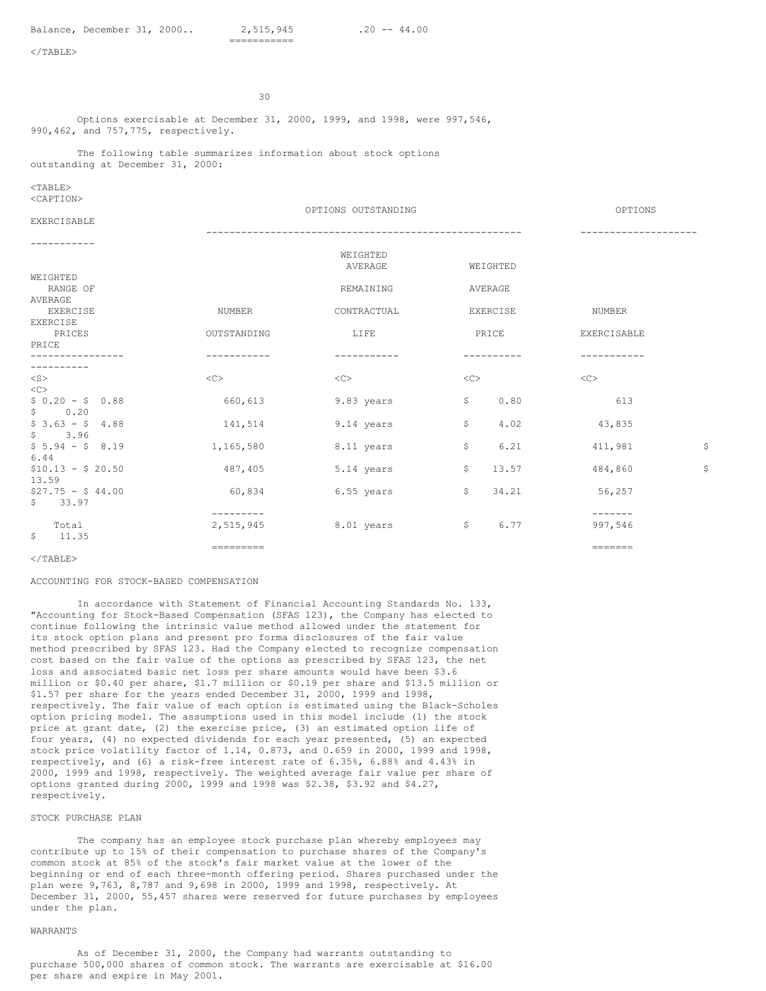30

Options exercisable at December 31, 2000, 1999, and 1998, were 997,546, 990,462, and 757,775, respectively.

The following table summarizes information about stock options outstanding at December 31, 2000:

 $<$ TABLE> <CAPTION>

|                            |             | OPTIONS OUTSTANDING |                            | OPTIONS        |    |
|----------------------------|-------------|---------------------|----------------------------|----------------|----|
| EXERCISABLE                |             |                     | -------------------------- |                |    |
|                            |             |                     |                            |                |    |
|                            |             | WEIGHTED            |                            |                |    |
|                            |             | AVERAGE             | WEIGHTED                   |                |    |
| WEIGHTED                   |             |                     |                            |                |    |
| RANGE OF                   |             | REMAINING           | AVERAGE                    |                |    |
| AVERAGE<br><b>EXERCISE</b> | NUMBER      | CONTRACTUAL         | EXERCISE                   | NUMBER         |    |
| EXERCISE                   |             |                     |                            |                |    |
| PRICES                     | OUTSTANDING | LIFE                | PRICE                      | EXERCISABLE    |    |
| PRICE                      |             |                     |                            |                |    |
|                            |             |                     |                            |                |    |
|                            |             |                     |                            |                |    |
| $<$ S $>$                  | <<          | <<                  | <<                         | $<\infty$      |    |
| <<                         |             |                     |                            |                |    |
| $$0.20 - $0.88$            | 660,613     | 9.83 years          | 0.80<br>$\mathsf{S}$       | 613            |    |
| \$0.20                     |             |                     |                            |                |    |
| $$3.63 - $4.88$            | 141,514     | 9.14 years          | \$.<br>4.02                | 43,835         |    |
| $S$ and $S$<br>3.96        |             |                     |                            |                |    |
| $$5.94 - $8.19$<br>6.44    | 1,165,580   | 8.11 years          | \$<br>6.21                 | 411,981        | \$ |
| $$10.13 - $20.50$          | 487,405     | 5.14 years          | 13.57<br>\$                | 484,860        | \$ |
| 13.59                      |             |                     |                            |                |    |
| $$27.75 - $44.00$          | 60,834      | 6.55 years          | \$<br>34.21                | 56,257         |    |
| \$<br>33.97                |             |                     |                            |                |    |
|                            | ---------   |                     |                            | $-- - - - - -$ |    |
| Total                      | 2,515,945   | 8.01 years          | 6.77<br>-\$                | 997,546        |    |
| \$11.35                    |             |                     |                            |                |    |
|                            | =========   |                     |                            |                |    |

 $<$ /TABLE>

#### ACCOUNTING FOR STOCK-BASED COMPENSATION

In accordance with Statement of Financial Accounting Standards No. 133, "Accounting for Stock-Based Compensation (SFAS 123), the Company has elected to continue following the intrinsic value method allowed under the statement for its stock option plans and present pro forma disclosures of the fair value method prescribed by SFAS 123. Had the Company elected to recognize compensation cost based on the fair value of the options as prescribed by SFAS 123, the net loss and associated basic net loss per share amounts would have been \$3.6 million or \$0.40 per share, \$1.7 million or \$0.19 per share and \$13.5 million or \$1.57 per share for the years ended December 31, 2000, 1999 and 1998, respectively. The fair value of each option is estimated using the Black-Scholes option pricing model. The assumptions used in this model include (1) the stock price at grant date, (2) the exercise price, (3) an estimated option life of four years, (4) no expected dividends for each year presented, (5) an expected stock price volatility factor of 1.14, 0.873, and 0.659 in 2000, 1999 and 1998, respectively, and (6) a risk-free interest rate of 6.35%, 6.88% and 4.43% in 2000, 1999 and 1998, respectively. The weighted average fair value per share of options granted during 2000, 1999 and 1998 was \$2.38, \$3.92 and \$4.27, respectively.

#### STOCK PURCHASE PLAN

The company has an employee stock purchase plan whereby employees may contribute up to 15% of their compensation to purchase shares of the Company's common stock at 85% of the stock's fair market value at the lower of the beginning or end of each three-month offering period. Shares purchased under the plan were 9,763, 8,787 and 9,698 in 2000, 1999 and 1998, respectively. At December 31, 2000, 55,457 shares were reserved for future purchases by employees under the plan.

### WARRANTS

As of December 31, 2000, the Company had warrants outstanding to purchase 500,000 shares of common stock. The warrants are exercisable at \$16.00 per share and expire in May 2001.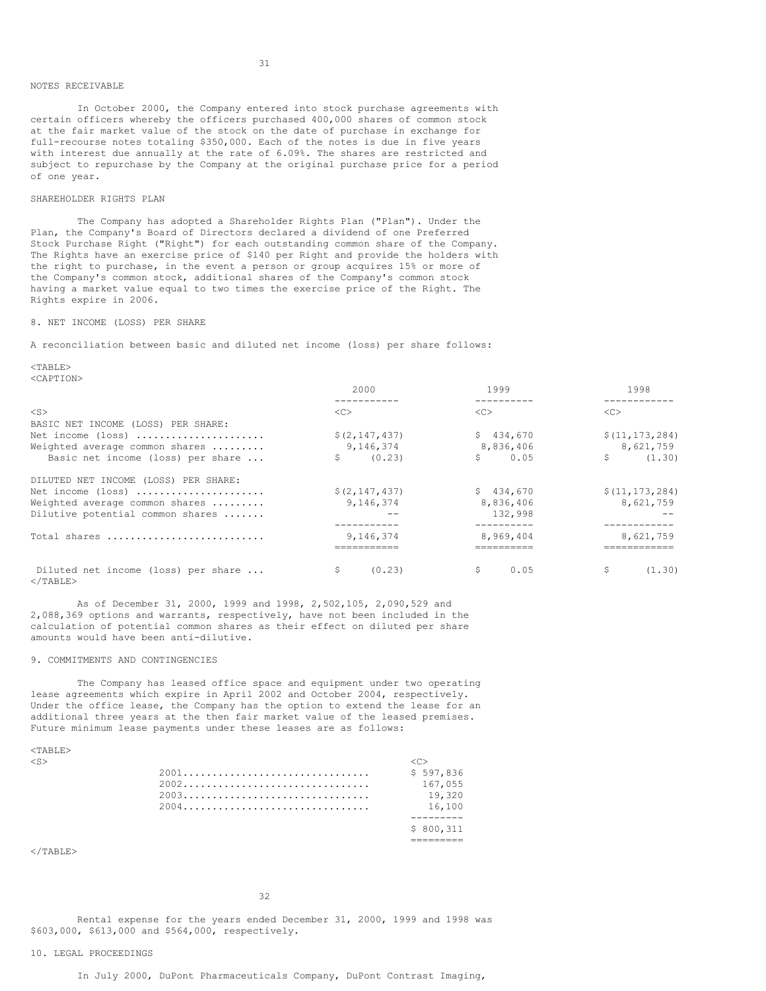### NOTES RECEIVABLE

In October 2000, the Company entered into stock purchase agreements with certain officers whereby the officers purchased 400,000 shares of common stock at the fair market value of the stock on the date of purchase in exchange for full-recourse notes totaling \$350,000. Each of the notes is due in five years with interest due annually at the rate of 6.09%. The shares are restricted and subject to repurchase by the Company at the original purchase price for a period of one year.

### SHAREHOLDER RIGHTS PLAN

The Company has adopted a Shareholder Rights Plan ("Plan"). Under the Plan, the Company's Board of Directors declared a dividend of one Preferred Stock Purchase Right ("Right") for each outstanding common share of the Company. The Rights have an exercise price of \$140 per Right and provide the holders with the right to purchase, in the event a person or group acquires 15% or more of the Company's common stock, additional shares of the Company's common stock having a market value equal to two times the exercise price of the Right. The Rights expire in 2006.

### 8. NET INCOME (LOSS) PER SHARE

A reconciliation between basic and diluted net income (loss) per share follows:

 $<$ TABLE> <CAPTION>

|                                                          | 2000            | 1999          | 1998                |
|----------------------------------------------------------|-----------------|---------------|---------------------|
| $<$ S $>$                                                | <<              | < <sub></sub> | <<                  |
| BASIC NET INCOME (LOSS) PER SHARE:                       |                 |               |                     |
| Net income (loss)                                        | \$(2, 147, 437) | \$434,670     | \$(11, 173, 284)    |
| Weighted average common shares                           | 9,146,374       | 8,836,406     | 8,621,759           |
| Basic net income (loss) per share                        | \$<br>(0.23)    | \$<br>0.05    | Ŝ.<br>(1, 30)       |
| DILUTED NET INCOME (LOSS) PER SHARE:                     |                 |               |                     |
| Net income (loss)                                        | \$(2, 147, 437) | \$434.670     | \$(11, 173, 284)    |
| Weighted average common shares                           | 9,146,374       | 8,836,406     | 8,621,759           |
| Dilutive potential common shares                         |                 | 132,998       |                     |
|                                                          |                 |               | . _ _ _ _ _ _ _ _ . |
| Total shares                                             | 9.146.374       | 8.969.404     | 8,621,759           |
|                                                          |                 |               |                     |
| Diluted net income (loss) per share<br>$\langle$ /TABLE> | \$<br>(0.23)    | \$<br>0.05    | \$<br>(1.30)        |

As of December 31, 2000, 1999 and 1998, 2,502,105, 2,090,529 and 2,088,369 options and warrants, respectively, have not been included in the calculation of potential common shares as their effect on diluted per share amounts would have been anti-dilutive.

### 9. COMMITMENTS AND CONTINGENCIES

The Company has leased office space and equipment under two operating lease agreements which expire in April 2002 and October 2004, respectively. Under the office lease, the Company has the option to extend the lease for an additional three years at the then fair market value of the leased premises. Future minimum lease payments under these leases are as follows:

<TABLE>

| $<$ S> |           |
|--------|-----------|
|        | \$597.836 |
|        | 167,055   |
|        | 19.320    |
|        | 16,100    |
|        |           |
|        | \$800.311 |
|        |           |

 $<$ /TABLE>

32

Rental expense for the years ended December 31, 2000, 1999 and 1998 was \$603,000, \$613,000 and \$564,000, respectively.

### 10. LEGAL PROCEEDINGS

In July 2000, DuPont Pharmaceuticals Company, DuPont Contrast Imaging,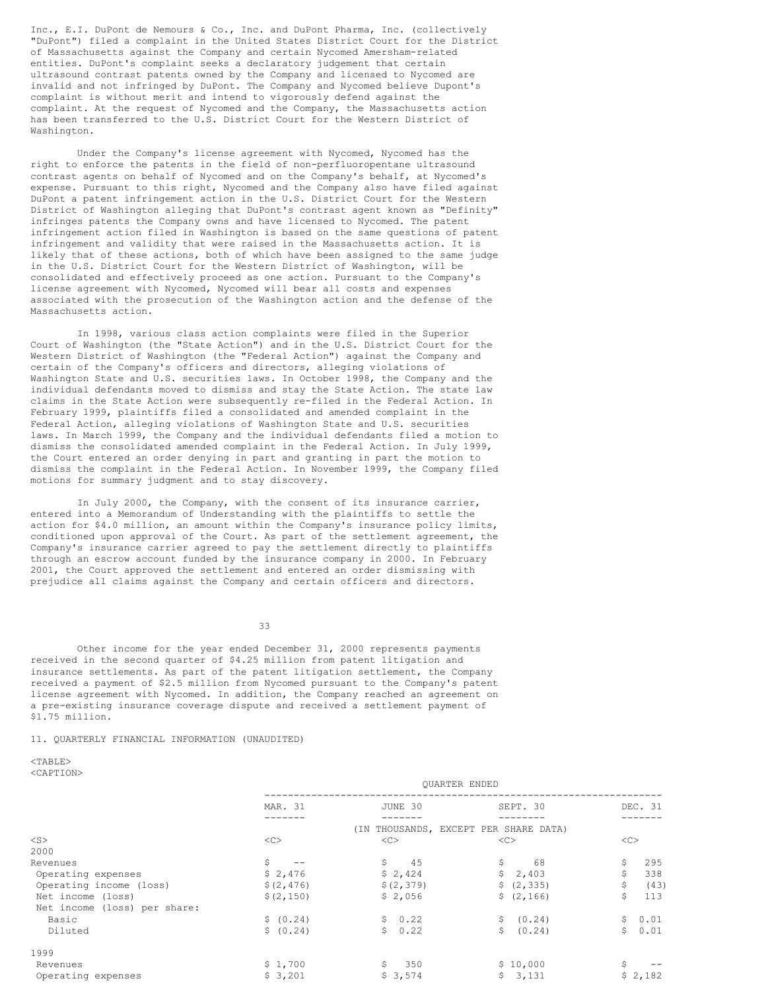Inc., E.I. DuPont de Nemours & Co., Inc. and DuPont Pharma, Inc. (collectively "DuPont") filed a complaint in the United States District Court for the District of Massachusetts against the Company and certain Nycomed Amersham-related entities. DuPont's complaint seeks a declaratory judgement that certain ultrasound contrast patents owned by the Company and licensed to Nycomed are invalid and not infringed by DuPont. The Company and Nycomed believe Dupont's complaint is without merit and intend to vigorously defend against the complaint. At the request of Nycomed and the Company, the Massachusetts action has been transferred to the U.S. District Court for the Western District of Washington.

Under the Company's license agreement with Nycomed, Nycomed has the right to enforce the patents in the field of non-perfluoropentane ultrasound contrast agents on behalf of Nycomed and on the Company's behalf, at Nycomed's expense. Pursuant to this right, Nycomed and the Company also have filed against DuPont a patent infringement action in the U.S. District Court for the Western District of Washington alleging that DuPont's contrast agent known as "Definity" infringes patents the Company owns and have licensed to Nycomed. The patent infringement action filed in Washington is based on the same questions of patent infringement and validity that were raised in the Massachusetts action. It is likely that of these actions, both of which have been assigned to the same judge in the U.S. District Court for the Western District of Washington, will be consolidated and effectively proceed as one action. Pursuant to the Company's license agreement with Nycomed, Nycomed will bear all costs and expenses associated with the prosecution of the Washington action and the defense of the Massachusetts action.

In 1998, various class action complaints were filed in the Superior Court of Washington (the "State Action") and in the U.S. District Court for the Western District of Washington (the "Federal Action") against the Company and certain of the Company's officers and directors, alleging violations of Washington State and U.S. securities laws. In October 1998, the Company and the individual defendants moved to dismiss and stay the State Action. The state law claims in the State Action were subsequently re-filed in the Federal Action. In February 1999, plaintiffs filed a consolidated and amended complaint in the Federal Action, alleging violations of Washington State and U.S. securities laws. In March 1999, the Company and the individual defendants filed a motion to dismiss the consolidated amended complaint in the Federal Action. In July 1999, the Court entered an order denying in part and granting in part the motion to dismiss the complaint in the Federal Action. In November 1999, the Company filed motions for summary judgment and to stay discovery.

In July 2000, the Company, with the consent of its insurance carrier, entered into a Memorandum of Understanding with the plaintiffs to settle the action for \$4.0 million, an amount within the Company's insurance policy limits, conditioned upon approval of the Court. As part of the settlement agreement, the Company's insurance carrier agreed to pay the settlement directly to plaintiffs through an escrow account funded by the insurance company in 2000. In February 2001, the Court approved the settlement and entered an order dismissing with prejudice all claims against the Company and certain officers and directors.

33

Other income for the year ended December 31, 2000 represents payments received in the second quarter of \$4.25 million from patent litigation and insurance settlements. As part of the patent litigation settlement, the Company received a payment of \$2.5 million from Nycomed pursuant to the Company's patent license agreement with Nycomed. In addition, the Company reached an agreement on a pre-existing insurance coverage dispute and received a settlement payment of \$1.75 million.

11. QUARTERLY FINANCIAL INFORMATION (UNAUDITED)

 $<$ TABLE> <CAPTION>

|                              |            | VUIRTER ERDED |                                   |            |
|------------------------------|------------|---------------|-----------------------------------|------------|
|                              | MAR. 31    | JUNE 30       | SEPT. 30                          | DEC. 31    |
|                              |            |               |                                   |            |
|                              |            | (IN           | THOUSANDS, EXCEPT PER SHARE DATA) |            |
| $<$ S $>$                    | <<         | < <sub></sub> | <<                                | <<         |
| 2000                         |            |               |                                   |            |
| Revenues                     | Ŝ.         | \$<br>-45     | \$<br>68                          | \$<br>295  |
| Operating expenses           | \$2,476    | \$2,424       | $\mathsf{S}$<br>2,403             | \$<br>338  |
| Operating income (loss)      | \$(2, 476) | \$(2, 379)    | \$ (2, 335)                       | \$<br>(43) |
| Net income (loss)            | \$(2, 150) | \$2,056       | \$(2, 166)                        | \$<br>113  |
| Net income (loss) per share: |            |               |                                   |            |
| Basic                        | \$ (0.24)  | \$0.22        | \$ (0.24)                         | \$0.01     |
| Diluted                      | \$ (0.24)  | \$0.22        | (0.24)<br>Ŝ.                      | \$0.01     |
| 1999                         |            |               |                                   |            |
| Revenues                     | \$1,700    | \$<br>350     | \$10,000                          | Ŝ.         |
| Operating expenses           | \$3,201    | \$3,574       | \$3,131                           | \$2,182    |

QUARTER ENDED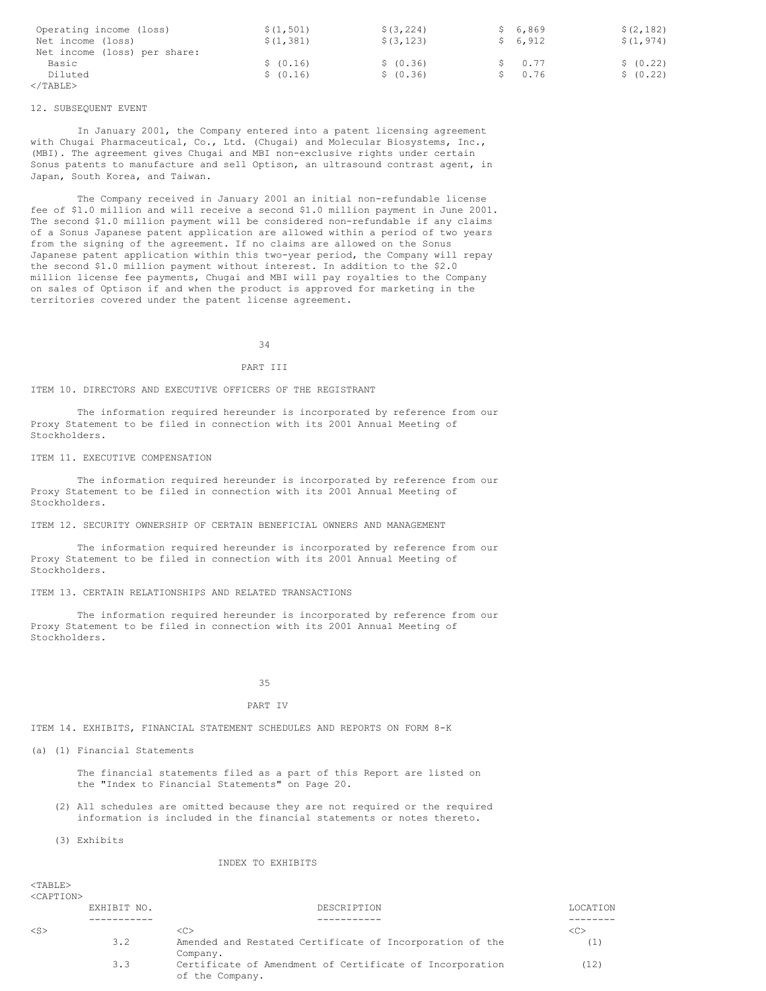| Operating income (loss)<br>Net income (loss)<br>Net income (loss) per share: | \$(1, 501)<br>\$(1, 381) | \$ (3, 224)<br>\$ (3, 123) | \$6.869<br>\$6,912   | \$(2, 182)<br>\$(1, 974) |
|------------------------------------------------------------------------------|--------------------------|----------------------------|----------------------|--------------------------|
| Basic<br>Diluted                                                             | \$ (0.16)<br>\$ (0.16)   | \$ (0.36)<br>\$ (0.36)     | $S = 0.77$<br>\$0.76 | \$ (0.22)<br>\$ (0.22)   |
| $\langle$ /TABLE>                                                            |                          |                            |                      |                          |

### 12. SUBSEQUENT EVENT

In January 2001, the Company entered into a patent licensing agreement with Chugai Pharmaceutical, Co., Ltd. (Chugai) and Molecular Biosystems, Inc., (MBI). The agreement gives Chugai and MBI non-exclusive rights under certain Sonus patents to manufacture and sell Optison, an ultrasound contrast agent, in Japan, South Korea, and Taiwan.

The Company received in January 2001 an initial non-refundable license fee of \$1.0 million and will receive a second \$1.0 million payment in June 2001. The second \$1.0 million payment will be considered non-refundable if any claims of a Sonus Japanese patent application are allowed within a period of two years from the signing of the agreement. If no claims are allowed on the Sonus Japanese patent application within this two-year period, the Company will repay the second \$1.0 million payment without interest. In addition to the \$2.0 million license fee payments, Chugai and MBI will pay royalties to the Company on sales of Optison if and when the product is approved for marketing in the territories covered under the patent license agreement.

34

### PART III

### ITEM 10. DIRECTORS AND EXECUTIVE OFFICERS OF THE REGISTRANT

The information required hereunder is incorporated by reference from our Proxy Statement to be filed in connection with its 2001 Annual Meeting of Stockholders.

### ITEM 11. EXECUTIVE COMPENSATION

The information required hereunder is incorporated by reference from our Proxy Statement to be filed in connection with its 2001 Annual Meeting of Stockholders.

ITEM 12. SECURITY OWNERSHIP OF CERTAIN BENEFICIAL OWNERS AND MANAGEMENT

The information required hereunder is incorporated by reference from our Proxy Statement to be filed in connection with its 2001 Annual Meeting of Stockholders.

ITEM 13. CERTAIN RELATIONSHIPS AND RELATED TRANSACTIONS

The information required hereunder is incorporated by reference from our Proxy Statement to be filed in connection with its 2001 Annual Meeting of Stockholders.

35

#### PART IV

ITEM 14. EXHIBITS, FINANCIAL STATEMENT SCHEDULES AND REPORTS ON FORM 8-K

(a) (1) Financial Statements

The financial statements filed as a part of this Report are listed on the "Index to Financial Statements" on Page 20.

(2) All schedules are omitted because they are not required or the required information is included in the financial statements or notes thereto.

(3) Exhibits

#### INDEX TO EXHIBITS

<TABLE> <CAPTION>

|           | EXHIBIT NO. | DESCRIPTION                                                                 | LOCATION |
|-----------|-------------|-----------------------------------------------------------------------------|----------|
|           |             |                                                                             |          |
| $<$ S $>$ |             | <c></c>                                                                     |          |
|           | 3.2         | Amended and Restated Certificate of Incorporation of the                    |          |
|           |             | Company.                                                                    |          |
|           | 3.3         | Certificate of Amendment of Certificate of Incorporation<br>of the Company. | (12)     |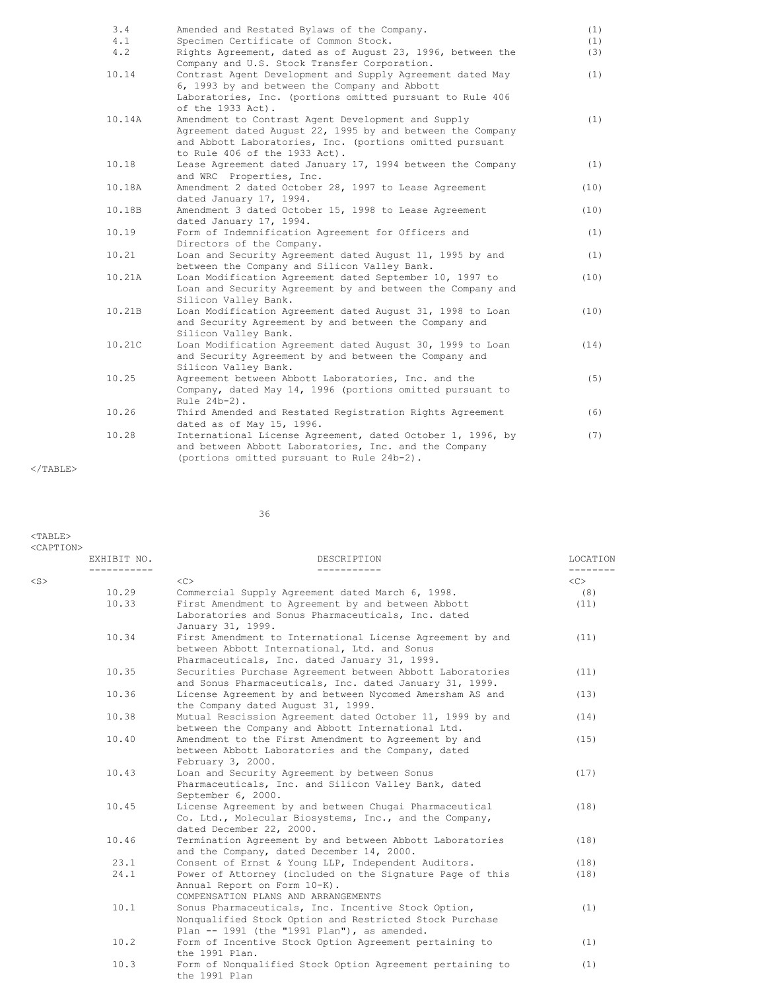| 3.4<br>4.1 | Amended and Restated Bylaws of the Company.<br>Specimen Certificate of Common Stock.                                                                                                                          | (1)<br>(1) |
|------------|---------------------------------------------------------------------------------------------------------------------------------------------------------------------------------------------------------------|------------|
| 4.2        | Rights Agreement, dated as of August 23, 1996, between the<br>Company and U.S. Stock Transfer Corporation.                                                                                                    | (3)        |
| 10.14      | Contrast Agent Development and Supply Agreement dated May<br>6, 1993 by and between the Company and Abbott<br>Laboratories, Inc. (portions omitted pursuant to Rule 406<br>of the 1933 Act).                  | (1)        |
| 10.14A     | Amendment to Contrast Agent Development and Supply<br>Agreement dated August 22, 1995 by and between the Company<br>and Abbott Laboratories, Inc. (portions omitted pursuant<br>to Rule 406 of the 1933 Act). | (1)        |
| 10.18      | Lease Agreement dated January 17, 1994 between the Company<br>and WRC Properties, Inc.                                                                                                                        | (1)        |
| 10.18A     | Amendment 2 dated October 28, 1997 to Lease Agreement<br>dated January 17, 1994.                                                                                                                              | (10)       |
| 10.18B     | Amendment 3 dated October 15, 1998 to Lease Agreement<br>dated January 17, 1994.                                                                                                                              | (10)       |
| 10.19      | Form of Indemnification Agreement for Officers and<br>Directors of the Company.                                                                                                                               | (1)        |
| 10.21      | Loan and Security Agreement dated August 11, 1995 by and<br>between the Company and Silicon Valley Bank.                                                                                                      | (1)        |
| 10.21A     | Loan Modification Agreement dated September 10, 1997 to<br>Loan and Security Agreement by and between the Company and<br>Silicon Valley Bank.                                                                 | (10)       |
| 10.21B     | Loan Modification Agreement dated August 31, 1998 to Loan<br>and Security Agreement by and between the Company and<br>Silicon Valley Bank.                                                                    | (10)       |
| 10.21C     | Loan Modification Agreement dated August 30, 1999 to Loan<br>and Security Agreement by and between the Company and<br>Silicon Valley Bank.                                                                    | (14)       |
| 10.25      | Agreement between Abbott Laboratories, Inc. and the<br>Company, dated May 14, 1996 (portions omitted pursuant to<br>Rule 24b-2).                                                                              | (5)        |
| 10.26      | Third Amended and Restated Registration Rights Agreement<br>dated as of May 15, 1996.                                                                                                                         | (6)        |
| 10.28      | International License Agreement, dated October 1, 1996, by<br>and between Abbott Laboratories, Inc. and the Company<br>(portions omitted pursuant to Rule 24b-2).                                             | (7)        |

 $<$ /TABLE>

 $<$ TABLE>

36

<CAPTION><br>EXHIBIT NO. DESCRIPTION LOCATION ----------- ----------- -------- <S> <C> <C> 10.29 Commercial Supply Agreement dated March 6, 1998. (8) First Amendment to Agreement by and between Abbott Laboratories and Sonus Pharmaceuticals, Inc. dated January 31, 1999. 10.34 First Amendment to International License Agreement by and (11) between Abbott International, Ltd. and Sonus Pharmaceuticals, Inc. dated January 31, 1999. 10.35 Securities Purchase Agreement between Abbott Laboratories (11) and Sonus Pharmaceuticals, Inc. dated January 31, 1999. 10.36 License Agreement by and between Nycomed Amersham AS and (13) the Company dated August 31, 1999. 10.38 Mutual Rescission Agreement dated October 11, 1999 by and (14) between the Company and Abbott International Ltd. 10.40 Amendment to the First Amendment to Agreement by and (15) between Abbott Laboratories and the Company, dated February 3, 2000. 10.43 Loan and Security Agreement by between Sonus (17) Pharmaceuticals, Inc. and Silicon Valley Bank, dated September 6, 2000. 10.45 License Agreement by and between Chugai Pharmaceutical (18) Co. Ltd., Molecular Biosystems, Inc., and the Company, dated December 22, 2000. 10.46 Termination Agreement by and between Abbott Laboratories (18) and the Company, dated December 14, 2000. 23.1 Consent of Ernst & Young LLP, Independent Auditors. (18) 24.1 Power of Attorney (included on the Signature Page of this (18) Annual Report on Form 10-K). COMPENSATION PLANS AND ARRANGEMENTS 10.1 Sonus Pharmaceuticals, Inc. Incentive Stock Option, (1) Nonqualified Stock Option and Restricted Stock Purchase Plan -- 1991 (the "1991 Plan"), as amended. 10.2 Form of Incentive Stock Option Agreement pertaining to (1) the 1991 Plan. 10.3 Form of Nonqualified Stock Option Agreement pertaining to (1) the 1991 Plan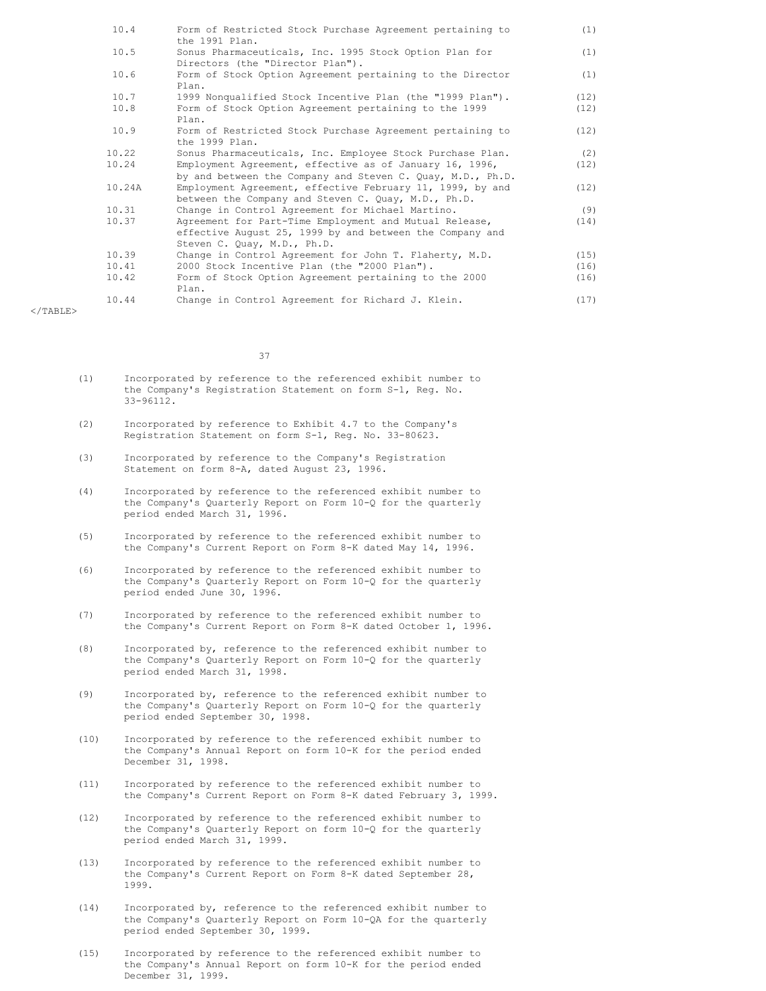| 10.4   | Form of Restricted Stock Purchase Agreement pertaining to<br>the 1991 Plan.                                                                       | (1)  |
|--------|---------------------------------------------------------------------------------------------------------------------------------------------------|------|
| 10.5   | Sonus Pharmaceuticals, Inc. 1995 Stock Option Plan for<br>Directors (the "Director Plan").                                                        | (1)  |
| 10.6   | Form of Stock Option Agreement pertaining to the Director<br>Plan.                                                                                | (1)  |
| 10.7   | 1999 Nonqualified Stock Incentive Plan (the "1999 Plan").                                                                                         | (12) |
| 10.8   | Form of Stock Option Agreement pertaining to the 1999<br>Plan.                                                                                    | (12) |
| 10.9   | Form of Restricted Stock Purchase Agreement pertaining to<br>the 1999 Plan.                                                                       | (12) |
| 10.22  | Sonus Pharmaceuticals, Inc. Employee Stock Purchase Plan.                                                                                         | (2)  |
| 10.24  | Employment Agreement, effective as of January 16, 1996,                                                                                           | (12) |
|        | by and between the Company and Steven C. Quay, M.D., Ph.D.                                                                                        |      |
| 10.24A | Employment Agreement, effective February 11, 1999, by and<br>between the Company and Steven C. Ouay, M.D., Ph.D.                                  | (12) |
| 10.31  | Change in Control Agreement for Michael Martino.                                                                                                  | (9)  |
| 10.37  | Agreement for Part-Time Employment and Mutual Release,<br>effective August 25, 1999 by and between the Company and<br>Steven C. Quay, M.D., Ph.D. | (14) |
| 10.39  | Change in Control Agreement for John T. Flaherty, M.D.                                                                                            | (15) |
| 10.41  | 2000 Stock Incentive Plan (the "2000 Plan").                                                                                                      | (16) |
| 10.42  | Form of Stock Option Agreement pertaining to the 2000<br>Plan.                                                                                    | (16) |
| 10.44  | Change in Control Agreement for Richard J. Klein.                                                                                                 | (17) |

 $<$ /TABLE>

37

- (1) Incorporated by reference to the referenced exhibit number to the Company's Registration Statement on form S-1, Reg. No. 33-96112.
- (2) Incorporated by reference to Exhibit 4.7 to the Company's Registration Statement on form S-1, Reg. No. 33-80623.
- (3) Incorporated by reference to the Company's Registration Statement on form 8-A, dated August 23, 1996.
- (4) Incorporated by reference to the referenced exhibit number to the Company's Quarterly Report on Form 10-Q for the quarterly period ended March 31, 1996.
- (5) Incorporated by reference to the referenced exhibit number to the Company's Current Report on Form 8-K dated May 14, 1996.
- (6) Incorporated by reference to the referenced exhibit number to the Company's Quarterly Report on Form 10-Q for the quarterly period ended June 30, 1996.
- (7) Incorporated by reference to the referenced exhibit number to the Company's Current Report on Form 8-K dated October 1, 1996.
- (8) Incorporated by, reference to the referenced exhibit number to the Company's Quarterly Report on Form 10-Q for the quarterly period ended March 31, 1998.
- (9) Incorporated by, reference to the referenced exhibit number to the Company's Quarterly Report on Form 10-Q for the quarterly period ended September 30, 1998.
- (10) Incorporated by reference to the referenced exhibit number to the Company's Annual Report on form 10-K for the period ended December 31, 1998.
- (11) Incorporated by reference to the referenced exhibit number to the Company's Current Report on Form 8-K dated February 3, 1999.
- (12) Incorporated by reference to the referenced exhibit number to the Company's Quarterly Report on form 10-Q for the quarterly period ended March 31, 1999.
- (13) Incorporated by reference to the referenced exhibit number to the Company's Current Report on Form 8-K dated September 28, 1999.
- (14) Incorporated by, reference to the referenced exhibit number to the Company's Quarterly Report on Form 10-QA for the quarterly period ended September 30, 1999.
- (15) Incorporated by reference to the referenced exhibit number to the Company's Annual Report on form 10-K for the period ended December 31, 1999.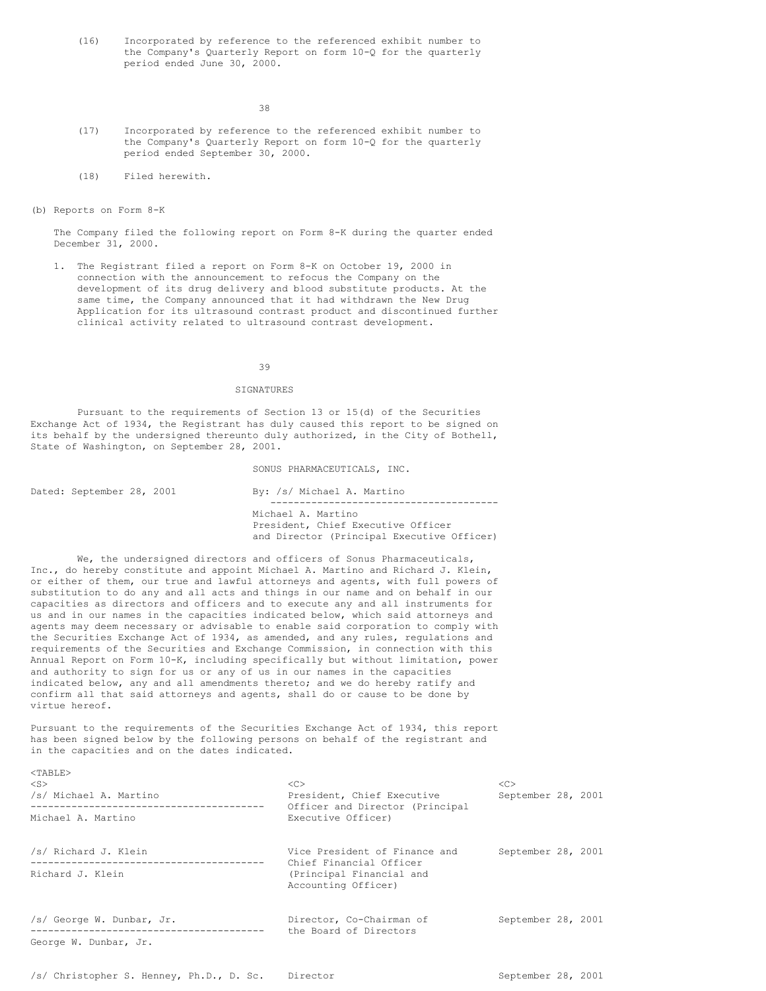(16) Incorporated by reference to the referenced exhibit number to the Company's Quarterly Report on form 10-Q for the quarterly period ended June 30, 2000.

38

- (17) Incorporated by reference to the referenced exhibit number to the Company's Quarterly Report on form 10-Q for the quarterly period ended September 30, 2000.
- (18) Filed herewith.
- (b) Reports on Form 8-K

 $<sub>TAPIT.F></sub>$ </sub>

The Company filed the following report on Form 8-K during the quarter ended December 31, 2000.

1. The Registrant filed a report on Form 8-K on October 19, 2000 in connection with the announcement to refocus the Company on the development of its drug delivery and blood substitute products. At the same time, the Company announced that it had withdrawn the New Drug Application for its ultrasound contrast product and discontinued further clinical activity related to ultrasound contrast development.

### 39

### SIGNATURES

Pursuant to the requirements of Section 13 or 15(d) of the Securities Exchange Act of 1934, the Registrant has duly caused this report to be signed on its behalf by the undersigned thereunto duly authorized, in the City of Bothell, State of Washington, on September 28, 2001.

SONUS PHARMACEUTICALS, INC.

| Dated: September 28, 2001 |  | By: /s/ Michael A. Martino                 |
|---------------------------|--|--------------------------------------------|
|                           |  |                                            |
|                           |  | Michael A. Martino                         |
|                           |  | President, Chief Executive Officer         |
|                           |  | and Director (Principal Executive Officer) |

We, the undersigned directors and officers of Sonus Pharmaceuticals, Inc., do hereby constitute and appoint Michael A. Martino and Richard J. Klein, or either of them, our true and lawful attorneys and agents, with full powers of substitution to do any and all acts and things in our name and on behalf in our capacities as directors and officers and to execute any and all instruments for us and in our names in the capacities indicated below, which said attorneys and agents may deem necessary or advisable to enable said corporation to comply with the Securities Exchange Act of 1934, as amended, and any rules, regulations and requirements of the Securities and Exchange Commission, in connection with this Annual Report on Form 10-K, including specifically but without limitation, power and authority to sign for us or any of us in our names in the capacities indicated below, any and all amendments thereto; and we do hereby ratify and confirm all that said attorneys and agents, shall do or cause to be done by virtue hereof.

Pursuant to the requirements of the Securities Exchange Act of 1934, this report has been signed below by the following persons on behalf of the registrant and in the capacities and on the dates indicated.

| ◝▴▴▴◡▭▱◞<br>$<$ S $>$<br>/s/ Michael A. Martino<br>Michael A. Martino | <<<br>President, Chief Executive<br>Officer and Director (Principal<br>Executive Officer)                   | <<<br>September 28, 2001 |  |
|-----------------------------------------------------------------------|-------------------------------------------------------------------------------------------------------------|--------------------------|--|
| /s/ Richard J. Klein<br>Richard J. Klein                              | Vice President of Finance and<br>Chief Financial Officer<br>(Principal Financial and<br>Accounting Officer) | September 28, 2001       |  |
| /s/ George W. Dunbar, Jr.<br>George W. Dunbar, Jr.                    | Director, Co-Chairman of<br>the Board of Directors                                                          | September 28, 2001       |  |

/s/ Christopher S. Henney, Ph.D., D. Sc. Director September 28, 2001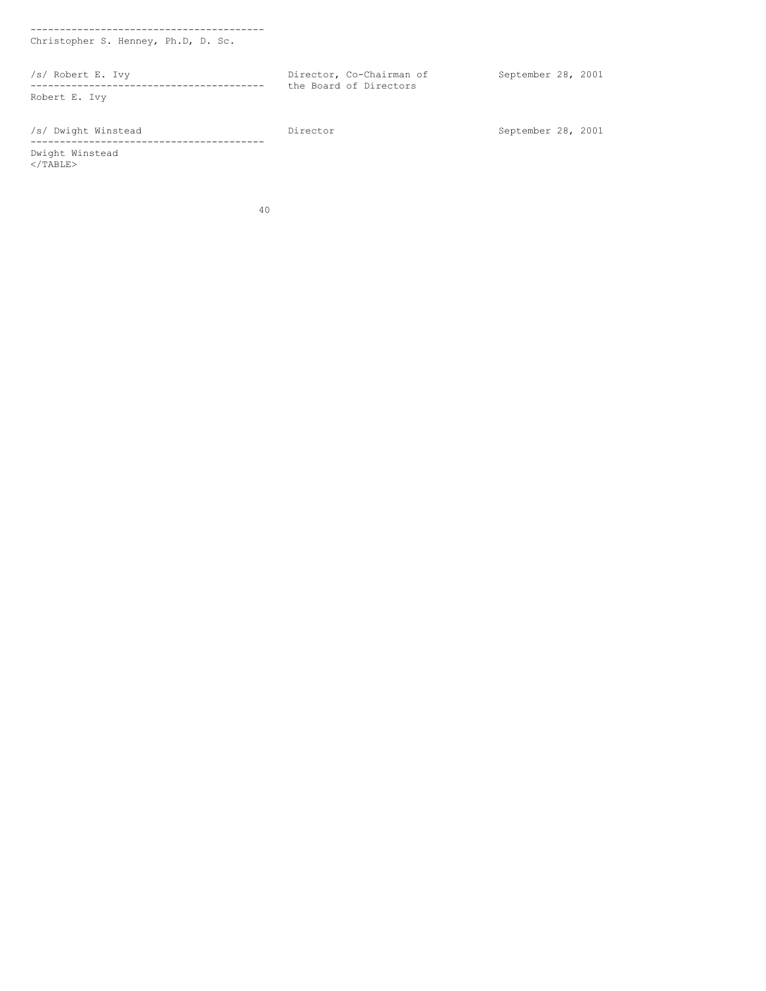Christopher S. Henney, Ph.D, D. Sc. /s/ Robert E. Ivy Director, Co-Chairman of September 28, 2001 ---------------------------------------- the Board of Directors Robert E. Ivy /s/ Dwight Winstead Director September 28, 2001 ---------------------------------------- Dwight Winstead  $\langle$ /TABLE>

40

----------------------------------------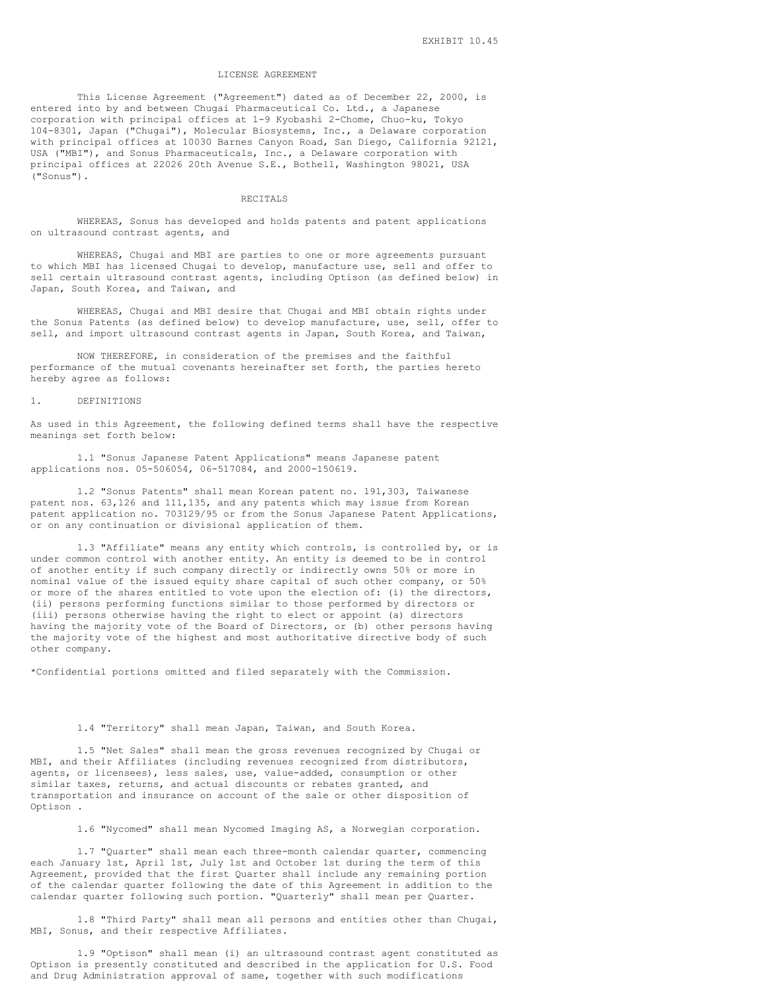#### LICENSE AGREEMENT

This License Agreement ("Agreement") dated as of December 22, 2000, is entered into by and between Chugai Pharmaceutical Co. Ltd., a Japanese corporation with principal offices at 1-9 Kyobashi 2-Chome, Chuo-ku, Tokyo 104-8301, Japan ("Chugai"), Molecular Biosystems, Inc., a Delaware corporation with principal offices at 10030 Barnes Canyon Road, San Diego, California 92121, USA ("MBI"), and Sonus Pharmaceuticals, Inc., a Delaware corporation with principal offices at 22026 20th Avenue S.E., Bothell, Washington 98021, USA ("Sonus").

### RECITALS

WHEREAS, Sonus has developed and holds patents and patent applications on ultrasound contrast agents, and

WHEREAS, Chugai and MBI are parties to one or more agreements pursuant to which MBI has licensed Chugai to develop, manufacture use, sell and offer to sell certain ultrasound contrast agents, including Optison (as defined below) in Japan, South Korea, and Taiwan, and

WHEREAS, Chugai and MBI desire that Chugai and MBI obtain rights under the Sonus Patents (as defined below) to develop manufacture, use, sell, offer to sell, and import ultrasound contrast agents in Japan, South Korea, and Taiwan,

NOW THEREFORE, in consideration of the premises and the faithful performance of the mutual covenants hereinafter set forth, the parties hereto hereby agree as follows:

#### 1. DEFINITIONS

As used in this Agreement, the following defined terms shall have the respective meanings set forth below:

1.1 "Sonus Japanese Patent Applications" means Japanese patent applications nos. 05-506054, 06-517084, and 2000-150619.

1.2 "Sonus Patents" shall mean Korean patent no. 191,303, Taiwanese patent nos. 63,126 and 111,135, and any patents which may issue from Korean patent application no. 703129/95 or from the Sonus Japanese Patent Applications, or on any continuation or divisional application of them.

1.3 "Affiliate" means any entity which controls, is controlled by, or is under common control with another entity. An entity is deemed to be in control of another entity if such company directly or indirectly owns 50% or more in nominal value of the issued equity share capital of such other company, or 50% or more of the shares entitled to vote upon the election of: (i) the directors, (ii) persons performing functions similar to those performed by directors or (iii) persons otherwise having the right to elect or appoint (a) directors having the majority vote of the Board of Directors, or (b) other persons having the majority vote of the highest and most authoritative directive body of such other company.

\*Confidential portions omitted and filed separately with the Commission.

# 1.4 "Territory" shall mean Japan, Taiwan, and South Korea.

1.5 "Net Sales" shall mean the gross revenues recognized by Chugai or MBI, and their Affiliates (including revenues recognized from distributors, agents, or licensees), less sales, use, value-added, consumption or other similar taxes, returns, and actual discounts or rebates granted, and transportation and insurance on account of the sale or other disposition of Optison .

1.6 "Nycomed" shall mean Nycomed Imaging AS, a Norwegian corporation.

1.7 "Quarter" shall mean each three-month calendar quarter, commencing each January 1st, April 1st, July 1st and October 1st during the term of this Agreement, provided that the first Quarter shall include any remaining portion of the calendar quarter following the date of this Agreement in addition to the calendar quarter following such portion. "Quarterly" shall mean per Quarter.

1.8 "Third Party" shall mean all persons and entities other than Chugai, MBI, Sonus, and their respective Affiliates.

1.9 "Optison" shall mean (i) an ultrasound contrast agent constituted as Optison is presently constituted and described in the application for U.S. Food and Drug Administration approval of same, together with such modifications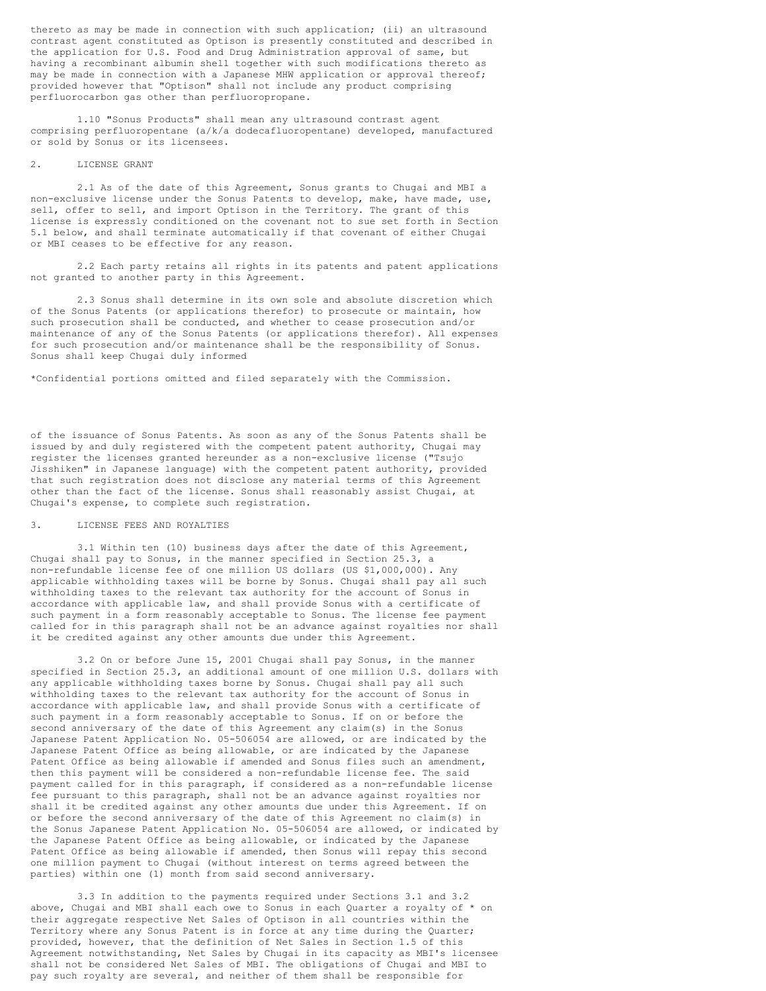thereto as may be made in connection with such application; (ii) an ultrasound contrast agent constituted as Optison is presently constituted and described in the application for U.S. Food and Drug Administration approval of same, but having a recombinant albumin shell together with such modifications thereto as may be made in connection with a Japanese MHW application or approval thereof; provided however that "Optison" shall not include any product comprising perfluorocarbon gas other than perfluoropropane.

1.10 "Sonus Products" shall mean any ultrasound contrast agent comprising perfluoropentane (a/k/a dodecafluoropentane) developed, manufactured or sold by Sonus or its licensees.

### 2. LICENSE GRANT

2.1 As of the date of this Agreement, Sonus grants to Chugai and MBI a non-exclusive license under the Sonus Patents to develop, make, have made, use, sell, offer to sell, and import Optison in the Territory. The grant of this license is expressly conditioned on the covenant not to sue set forth in Section 5.1 below, and shall terminate automatically if that covenant of either Chugai or MBI ceases to be effective for any reason.

2.2 Each party retains all rights in its patents and patent applications not granted to another party in this Agreement.

2.3 Sonus shall determine in its own sole and absolute discretion which of the Sonus Patents (or applications therefor) to prosecute or maintain, how such prosecution shall be conducted, and whether to cease prosecution and/or maintenance of any of the Sonus Patents (or applications therefor). All expenses for such prosecution and/or maintenance shall be the responsibility of Sonus. Sonus shall keep Chugai duly informed

\*Confidential portions omitted and filed separately with the Commission.

of the issuance of Sonus Patents. As soon as any of the Sonus Patents shall be issued by and duly registered with the competent patent authority, Chugai may register the licenses granted hereunder as a non-exclusive license ("Tsujo Jisshiken" in Japanese language) with the competent patent authority, provided that such registration does not disclose any material terms of this Agreement other than the fact of the license. Sonus shall reasonably assist Chugai, at Chugai's expense, to complete such registration.

### 3. LICENSE FEES AND ROYALTIES

3.1 Within ten (10) business days after the date of this Agreement, Chugai shall pay to Sonus, in the manner specified in Section 25.3, a non-refundable license fee of one million US dollars (US \$1,000,000). Any applicable withholding taxes will be borne by Sonus. Chugai shall pay all such withholding taxes to the relevant tax authority for the account of Sonus in accordance with applicable law, and shall provide Sonus with a certificate of such payment in a form reasonably acceptable to Sonus. The license fee payment called for in this paragraph shall not be an advance against royalties nor shall it be credited against any other amounts due under this Agreement.

3.2 On or before June 15, 2001 Chugai shall pay Sonus, in the manner specified in Section 25.3, an additional amount of one million U.S. dollars with any applicable withholding taxes borne by Sonus. Chugai shall pay all such withholding taxes to the relevant tax authority for the account of Sonus in accordance with applicable law, and shall provide Sonus with a certificate of such payment in a form reasonably acceptable to Sonus. If on or before the second anniversary of the date of this Agreement any claim(s) in the Sonus Japanese Patent Application No. 05-506054 are allowed, or are indicated by the Japanese Patent Office as being allowable, or are indicated by the Japanese Patent Office as being allowable if amended and Sonus files such an amendment, then this payment will be considered a non-refundable license fee. The said payment called for in this paragraph, if considered as a non-refundable license fee pursuant to this paragraph, shall not be an advance against royalties nor shall it be credited against any other amounts due under this Agreement. If on or before the second anniversary of the date of this Agreement no claim(s) in the Sonus Japanese Patent Application No. 05-506054 are allowed, or indicated by the Japanese Patent Office as being allowable, or indicated by the Japanese Patent Office as being allowable if amended, then Sonus will repay this second one million payment to Chugai (without interest on terms agreed between the parties) within one (1) month from said second anniversary.

3.3 In addition to the payments required under Sections 3.1 and 3.2 above, Chugai and MBI shall each owe to Sonus in each Quarter a royalty of \* on their aggregate respective Net Sales of Optison in all countries within the Territory where any Sonus Patent is in force at any time during the Quarter; provided, however, that the definition of Net Sales in Section 1.5 of this Agreement notwithstanding, Net Sales by Chugai in its capacity as MBI's licensee shall not be considered Net Sales of MBI. The obligations of Chugai and MBI to pay such royalty are several, and neither of them shall be responsible for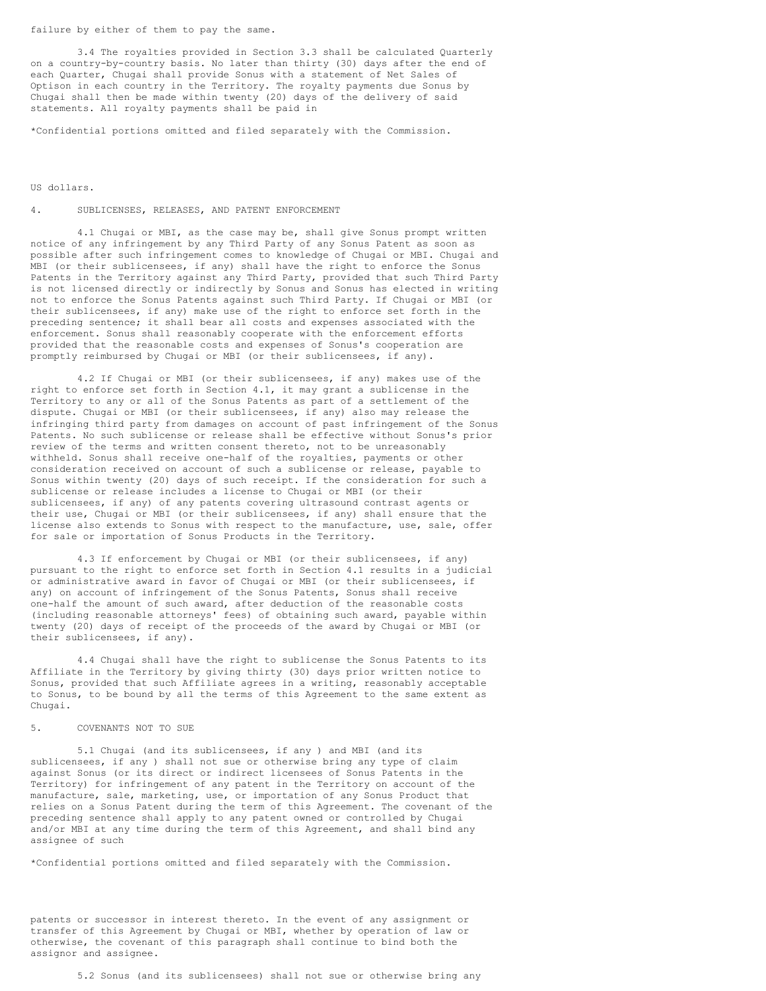failure by either of them to pay the same.

3.4 The royalties provided in Section 3.3 shall be calculated Quarterly on a country-by-country basis. No later than thirty (30) days after the end of each Quarter, Chugai shall provide Sonus with a statement of Net Sales of Optison in each country in the Territory. The royalty payments due Sonus by Chugai shall then be made within twenty (20) days of the delivery of said statements. All royalty payments shall be paid in

\*Confidential portions omitted and filed separately with the Commission.

US dollars.

#### 4. SUBLICENSES, RELEASES, AND PATENT ENFORCEMENT

4.1 Chugai or MBI, as the case may be, shall give Sonus prompt written notice of any infringement by any Third Party of any Sonus Patent as soon as possible after such infringement comes to knowledge of Chugai or MBI. Chugai and MBI (or their sublicensees, if any) shall have the right to enforce the Sonus Patents in the Territory against any Third Party, provided that such Third Party is not licensed directly or indirectly by Sonus and Sonus has elected in writing not to enforce the Sonus Patents against such Third Party. If Chugai or MBI (or their sublicensees, if any) make use of the right to enforce set forth in the preceding sentence; it shall bear all costs and expenses associated with the enforcement. Sonus shall reasonably cooperate with the enforcement efforts provided that the reasonable costs and expenses of Sonus's cooperation are promptly reimbursed by Chugai or MBI (or their sublicensees, if any).

4.2 If Chugai or MBI (or their sublicensees, if any) makes use of the right to enforce set forth in Section 4.1, it may grant a sublicense in the Territory to any or all of the Sonus Patents as part of a settlement of the dispute. Chugai or MBI (or their sublicensees, if any) also may release the infringing third party from damages on account of past infringement of the Sonus Patents. No such sublicense or release shall be effective without Sonus's prior review of the terms and written consent thereto, not to be unreasonably withheld. Sonus shall receive one-half of the royalties, payments or other consideration received on account of such a sublicense or release, payable to Sonus within twenty (20) days of such receipt. If the consideration for such a sublicense or release includes a license to Chugai or MBI (or their sublicensees, if any) of any patents covering ultrasound contrast agents or their use, Chugai or MBI (or their sublicensees, if any) shall ensure that the license also extends to Sonus with respect to the manufacture, use, sale, offer for sale or importation of Sonus Products in the Territory.

4.3 If enforcement by Chugai or MBI (or their sublicensees, if any) pursuant to the right to enforce set forth in Section 4.1 results in a judicial or administrative award in favor of Chugai or MBI (or their sublicensees, if any) on account of infringement of the Sonus Patents, Sonus shall receive one-half the amount of such award, after deduction of the reasonable costs (including reasonable attorneys' fees) of obtaining such award, payable within twenty (20) days of receipt of the proceeds of the award by Chugai or MBI (or their sublicensees, if any).

4.4 Chugai shall have the right to sublicense the Sonus Patents to its Affiliate in the Territory by giving thirty (30) days prior written notice to Sonus, provided that such Affiliate agrees in a writing, reasonably acceptable to Sonus, to be bound by all the terms of this Agreement to the same extent as Chugai.

### 5. COVENANTS NOT TO SUE

5.1 Chugai (and its sublicensees, if any ) and MBI (and its sublicensees, if any ) shall not sue or otherwise bring any type of claim against Sonus (or its direct or indirect licensees of Sonus Patents in the Territory) for infringement of any patent in the Territory on account of the manufacture, sale, marketing, use, or importation of any Sonus Product that relies on a Sonus Patent during the term of this Agreement. The covenant of the preceding sentence shall apply to any patent owned or controlled by Chugai and/or MBI at any time during the term of this Agreement, and shall bind any assignee of such

\*Confidential portions omitted and filed separately with the Commission.

patents or successor in interest thereto. In the event of any assignment or transfer of this Agreement by Chugai or MBI, whether by operation of law or otherwise, the covenant of this paragraph shall continue to bind both the assignor and assignee.

5.2 Sonus (and its sublicensees) shall not sue or otherwise bring any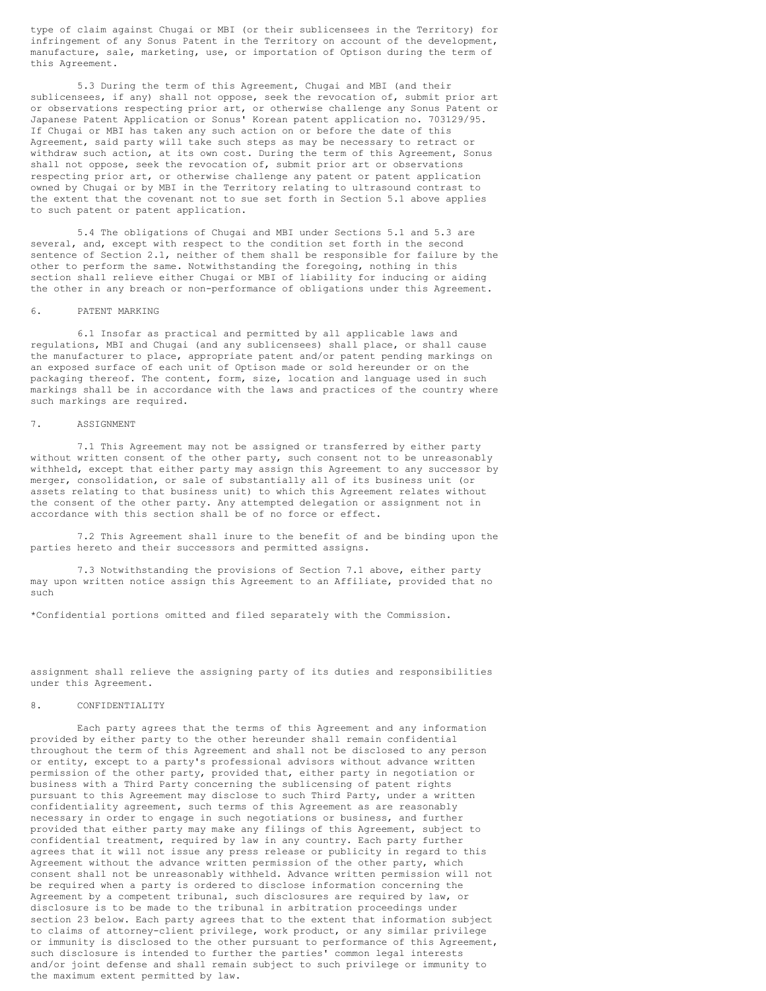type of claim against Chugai or MBI (or their sublicensees in the Territory) for infringement of any Sonus Patent in the Territory on account of the development, manufacture, sale, marketing, use, or importation of Optison during the term of this Agreement.

5.3 During the term of this Agreement, Chugai and MBI (and their sublicensees, if any) shall not oppose, seek the revocation of, submit prior art or observations respecting prior art, or otherwise challenge any Sonus Patent or Japanese Patent Application or Sonus' Korean patent application no. 703129/95. If Chugai or MBI has taken any such action on or before the date of this Agreement, said party will take such steps as may be necessary to retract or withdraw such action, at its own cost. During the term of this Agreement, Sonus shall not oppose, seek the revocation of, submit prior art or observations respecting prior art, or otherwise challenge any patent or patent application owned by Chugai or by MBI in the Territory relating to ultrasound contrast to the extent that the covenant not to sue set forth in Section 5.1 above applies to such patent or patent application.

5.4 The obligations of Chugai and MBI under Sections 5.1 and 5.3 are several, and, except with respect to the condition set forth in the second sentence of Section 2.1, neither of them shall be responsible for failure by the other to perform the same. Notwithstanding the foregoing, nothing in this section shall relieve either Chugai or MBI of liability for inducing or aiding the other in any breach or non-performance of obligations under this Agreement.

### 6. PATENT MARKING

6.1 Insofar as practical and permitted by all applicable laws and regulations, MBI and Chugai (and any sublicensees) shall place, or shall cause the manufacturer to place, appropriate patent and/or patent pending markings on an exposed surface of each unit of Optison made or sold hereunder or on the packaging thereof. The content, form, size, location and language used in such markings shall be in accordance with the laws and practices of the country where such markings are required.

#### 7. ASSIGNMENT

7.1 This Agreement may not be assigned or transferred by either party without written consent of the other party, such consent not to be unreasonably withheld, except that either party may assign this Agreement to any successor by merger, consolidation, or sale of substantially all of its business unit (or assets relating to that business unit) to which this Agreement relates without the consent of the other party. Any attempted delegation or assignment not in accordance with this section shall be of no force or effect.

7.2 This Agreement shall inure to the benefit of and be binding upon the parties hereto and their successors and permitted assigns.

7.3 Notwithstanding the provisions of Section 7.1 above, either party may upon written notice assign this Agreement to an Affiliate, provided that no such

\*Confidential portions omitted and filed separately with the Commission.

assignment shall relieve the assigning party of its duties and responsibilities under this Agreement.

### 8. CONFIDENTIALITY

Each party agrees that the terms of this Agreement and any information provided by either party to the other hereunder shall remain confidential throughout the term of this Agreement and shall not be disclosed to any person or entity, except to a party's professional advisors without advance written permission of the other party, provided that, either party in negotiation or business with a Third Party concerning the sublicensing of patent rights pursuant to this Agreement may disclose to such Third Party, under a written confidentiality agreement, such terms of this Agreement as are reasonably necessary in order to engage in such negotiations or business, and further provided that either party may make any filings of this Agreement, subject to confidential treatment, required by law in any country. Each party further agrees that it will not issue any press release or publicity in regard to this Agreement without the advance written permission of the other party, which consent shall not be unreasonably withheld. Advance written permission will not be required when a party is ordered to disclose information concerning the Agreement by a competent tribunal, such disclosures are required by law, or disclosure is to be made to the tribunal in arbitration proceedings under section 23 below. Each party agrees that to the extent that information subject to claims of attorney-client privilege, work product, or any similar privilege or immunity is disclosed to the other pursuant to performance of this Agreement, such disclosure is intended to further the parties' common legal interests and/or joint defense and shall remain subject to such privilege or immunity to the maximum extent permitted by law.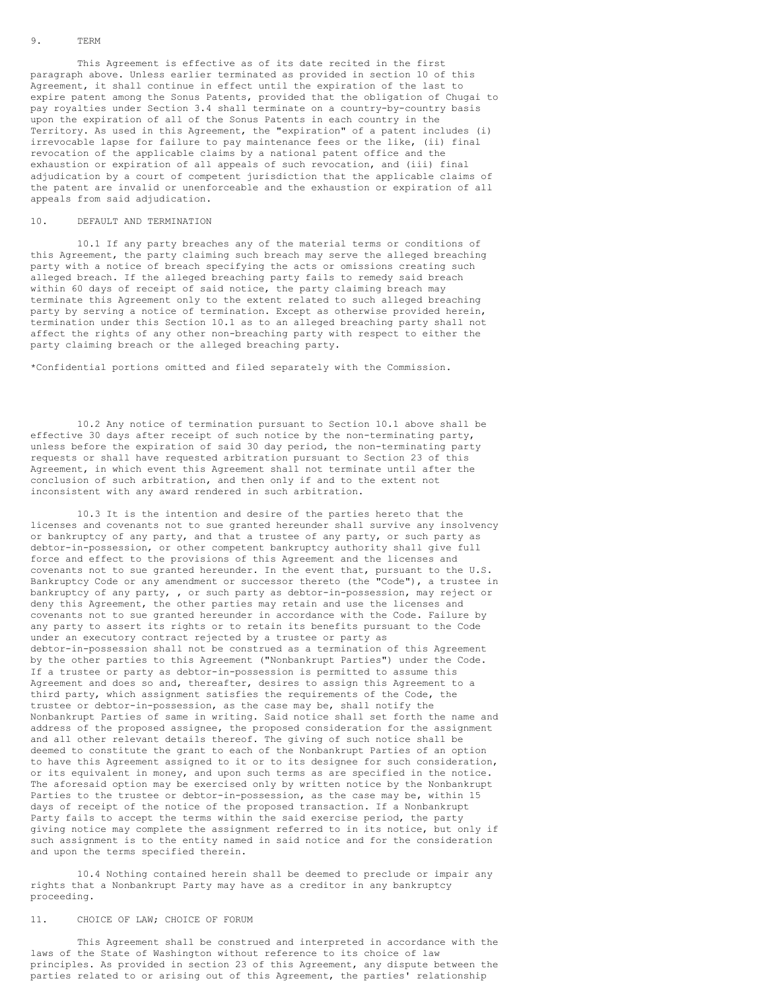### 9. TERM

This Agreement is effective as of its date recited in the first paragraph above. Unless earlier terminated as provided in section 10 of this Agreement, it shall continue in effect until the expiration of the last to expire patent among the Sonus Patents, provided that the obligation of Chugai to pay royalties under Section 3.4 shall terminate on a country-by-country basis upon the expiration of all of the Sonus Patents in each country in the Territory. As used in this Agreement, the "expiration" of a patent includes (i) irrevocable lapse for failure to pay maintenance fees or the like, (ii) final revocation of the applicable claims by a national patent office and the exhaustion or expiration of all appeals of such revocation, and (iii) final adjudication by a court of competent jurisdiction that the applicable claims of the patent are invalid or unenforceable and the exhaustion or expiration of all appeals from said adjudication.

### 10. DEFAULT AND TERMINATION

10.1 If any party breaches any of the material terms or conditions of this Agreement, the party claiming such breach may serve the alleged breaching party with a notice of breach specifying the acts or omissions creating such alleged breach. If the alleged breaching party fails to remedy said breach within 60 days of receipt of said notice, the party claiming breach may terminate this Agreement only to the extent related to such alleged breaching party by serving a notice of termination. Except as otherwise provided herein, termination under this Section 10.1 as to an alleged breaching party shall not affect the rights of any other non-breaching party with respect to either the party claiming breach or the alleged breaching party.

\*Confidential portions omitted and filed separately with the Commission.

10.2 Any notice of termination pursuant to Section 10.1 above shall be effective 30 days after receipt of such notice by the non-terminating party, unless before the expiration of said 30 day period, the non-terminating party requests or shall have requested arbitration pursuant to Section 23 of this Agreement, in which event this Agreement shall not terminate until after the conclusion of such arbitration, and then only if and to the extent not inconsistent with any award rendered in such arbitration.

10.3 It is the intention and desire of the parties hereto that the licenses and covenants not to sue granted hereunder shall survive any insolvency or bankruptcy of any party, and that a trustee of any party, or such party as debtor-in-possession, or other competent bankruptcy authority shall give full force and effect to the provisions of this Agreement and the licenses and covenants not to sue granted hereunder. In the event that, pursuant to the U.S. Bankruptcy Code or any amendment or successor thereto (the "Code"), a trustee in bankruptcy of any party, , or such party as debtor-in-possession, may reject or deny this Agreement, the other parties may retain and use the licenses and covenants not to sue granted hereunder in accordance with the Code. Failure by any party to assert its rights or to retain its benefits pursuant to the Code under an executory contract rejected by a trustee or party as debtor-in-possession shall not be construed as a termination of this Agreement by the other parties to this Agreement ("Nonbankrupt Parties") under the Code. If a trustee or party as debtor-in-possession is permitted to assume this Agreement and does so and, thereafter, desires to assign this Agreement to a third party, which assignment satisfies the requirements of the Code, the trustee or debtor-in-possession, as the case may be, shall notify the Nonbankrupt Parties of same in writing. Said notice shall set forth the name and address of the proposed assignee, the proposed consideration for the assignment and all other relevant details thereof. The giving of such notice shall be deemed to constitute the grant to each of the Nonbankrupt Parties of an option to have this Agreement assigned to it or to its designee for such consideration, or its equivalent in money, and upon such terms as are specified in the notice. The aforesaid option may be exercised only by written notice by the Nonbankrupt Parties to the trustee or debtor-in-possession, as the case may be, within 15 days of receipt of the notice of the proposed transaction. If a Nonbankrupt Party fails to accept the terms within the said exercise period, the party giving notice may complete the assignment referred to in its notice, but only if such assignment is to the entity named in said notice and for the consideration and upon the terms specified therein.

10.4 Nothing contained herein shall be deemed to preclude or impair any rights that a Nonbankrupt Party may have as a creditor in any bankruptcy proceeding.

### 11. CHOICE OF LAW; CHOICE OF FORUM

This Agreement shall be construed and interpreted in accordance with the laws of the State of Washington without reference to its choice of law principles. As provided in section 23 of this Agreement, any dispute between the parties related to or arising out of this Agreement, the parties' relationship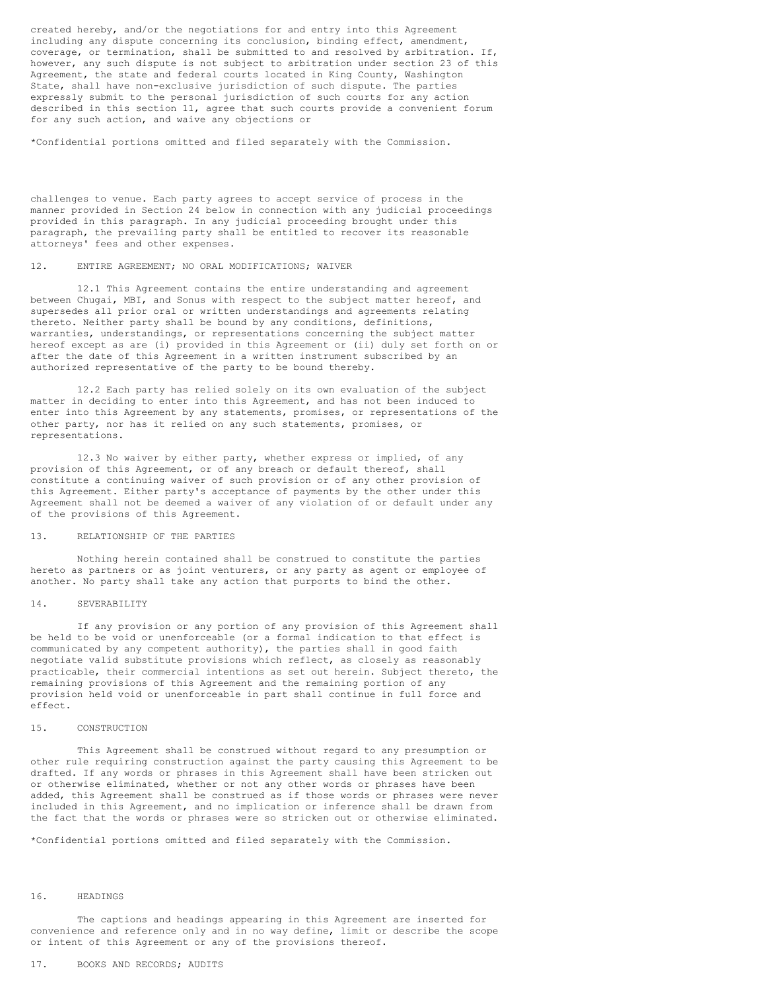created hereby, and/or the negotiations for and entry into this Agreement including any dispute concerning its conclusion, binding effect, amendment, coverage, or termination, shall be submitted to and resolved by arbitration. If, however, any such dispute is not subject to arbitration under section 23 of this Agreement, the state and federal courts located in King County, Washington State, shall have non-exclusive jurisdiction of such dispute. The parties expressly submit to the personal jurisdiction of such courts for any action described in this section 11, agree that such courts provide a convenient forum for any such action, and waive any objections or

\*Confidential portions omitted and filed separately with the Commission.

challenges to venue. Each party agrees to accept service of process in the manner provided in Section 24 below in connection with any judicial proceedings provided in this paragraph. In any judicial proceeding brought under this paragraph, the prevailing party shall be entitled to recover its reasonable attorneys' fees and other expenses.

### 12. ENTIRE AGREEMENT; NO ORAL MODIFICATIONS; WAIVER

12.1 This Agreement contains the entire understanding and agreement between Chugai, MBI, and Sonus with respect to the subject matter hereof, and supersedes all prior oral or written understandings and agreements relating thereto. Neither party shall be bound by any conditions, definitions, warranties, understandings, or representations concerning the subject matter hereof except as are (i) provided in this Agreement or (ii) duly set forth on or after the date of this Agreement in a written instrument subscribed by an authorized representative of the party to be bound thereby.

12.2 Each party has relied solely on its own evaluation of the subject matter in deciding to enter into this Agreement, and has not been induced to enter into this Agreement by any statements, promises, or representations of the other party, nor has it relied on any such statements, promises, or representations.

12.3 No waiver by either party, whether express or implied, of any provision of this Agreement, or of any breach or default thereof, shall constitute a continuing waiver of such provision or of any other provision of this Agreement. Either party's acceptance of payments by the other under this Agreement shall not be deemed a waiver of any violation of or default under any of the provisions of this Agreement.

## 13. RELATIONSHIP OF THE PARTIES

Nothing herein contained shall be construed to constitute the parties hereto as partners or as joint venturers, or any party as agent or employee of another. No party shall take any action that purports to bind the other.

### 14. SEVERABILITY

If any provision or any portion of any provision of this Agreement shall be held to be void or unenforceable (or a formal indication to that effect is communicated by any competent authority), the parties shall in good faith negotiate valid substitute provisions which reflect, as closely as reasonably practicable, their commercial intentions as set out herein. Subject thereto, the remaining provisions of this Agreement and the remaining portion of any provision held void or unenforceable in part shall continue in full force and effect.

### 15. CONSTRUCTION

This Agreement shall be construed without regard to any presumption or other rule requiring construction against the party causing this Agreement to be drafted. If any words or phrases in this Agreement shall have been stricken out or otherwise eliminated, whether or not any other words or phrases have been added, this Agreement shall be construed as if those words or phrases were never included in this Agreement, and no implication or inference shall be drawn from the fact that the words or phrases were so stricken out or otherwise eliminated.

\*Confidential portions omitted and filed separately with the Commission.

### 16. HEADINGS

The captions and headings appearing in this Agreement are inserted for convenience and reference only and in no way define, limit or describe the scope or intent of this Agreement or any of the provisions thereof.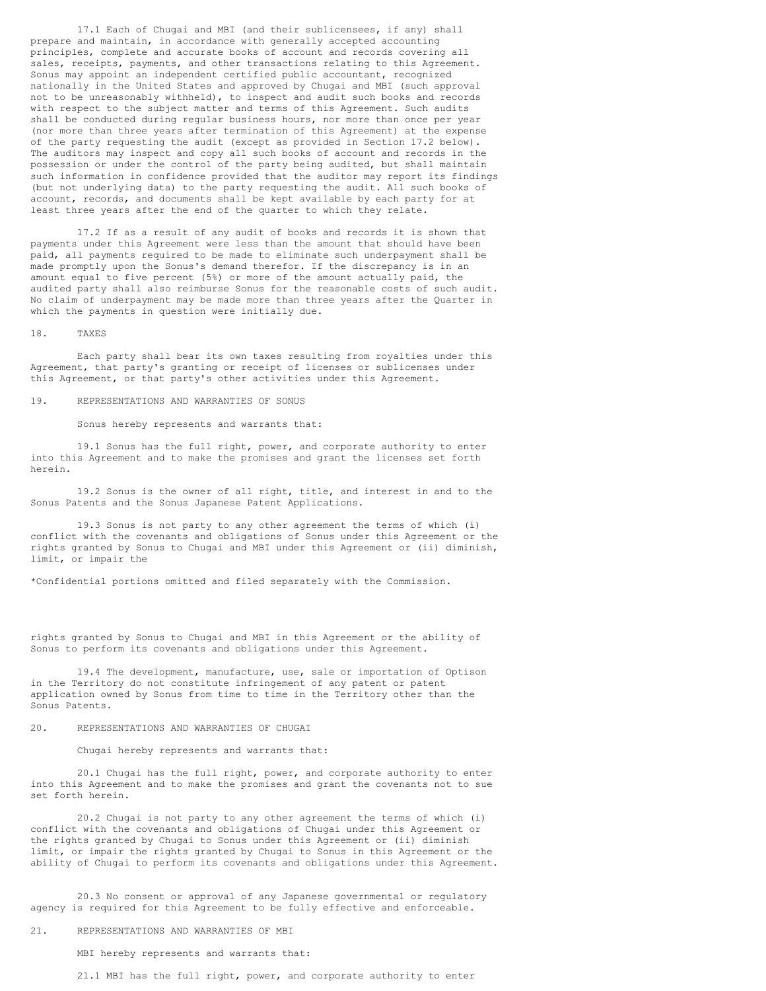17.1 Each of Chugai and MBI (and their sublicensees, if any) shall prepare and maintain, in accordance with generally accepted accounting principles, complete and accurate books of account and records covering all sales, receipts, payments, and other transactions relating to this Agreement. Sonus may appoint an independent certified public accountant, recognized nationally in the United States and approved by Chugai and MBI (such approval not to be unreasonably withheld), to inspect and audit such books and records with respect to the subject matter and terms of this Agreement. Such audits shall be conducted during regular business hours, nor more than once per year (nor more than three years after termination of this Agreement) at the expense of the party requesting the audit (except as provided in Section 17.2 below). The auditors may inspect and copy all such books of account and records in the possession or under the control of the party being audited, but shall maintain such information in confidence provided that the auditor may report its findings (but not underlying data) to the party requesting the audit. All such books of account, records, and documents shall be kept available by each party for at least three years after the end of the quarter to which they relate.

17.2 If as a result of any audit of books and records it is shown that payments under this Agreement were less than the amount that should have been paid, all payments required to be made to eliminate such underpayment shall be made promptly upon the Sonus's demand therefor. If the discrepancy is in an amount equal to five percent (5%) or more of the amount actually paid, the audited party shall also reimburse Sonus for the reasonable costs of such audit. No claim of underpayment may be made more than three years after the Quarter in which the payments in question were initially due.

#### 18. TAXES

Each party shall bear its own taxes resulting from royalties under this Agreement, that party's granting or receipt of licenses or sublicenses under this Agreement, or that party's other activities under this Agreement.

#### 19. REPRESENTATIONS AND WARRANTIES OF SONUS

Sonus hereby represents and warrants that:

19.1 Sonus has the full right, power, and corporate authority to enter into this Agreement and to make the promises and grant the licenses set forth herein.

19.2 Sonus is the owner of all right, title, and interest in and to the Sonus Patents and the Sonus Japanese Patent Applications.

19.3 Sonus is not party to any other agreement the terms of which (i) conflict with the covenants and obligations of Sonus under this Agreement or the rights granted by Sonus to Chugai and MBI under this Agreement or (ii) diminish, limit, or impair the

\*Confidential portions omitted and filed separately with the Commission.

rights granted by Sonus to Chugai and MBI in this Agreement or the ability of Sonus to perform its covenants and obligations under this Agreement.

19.4 The development, manufacture, use, sale or importation of Optison in the Territory do not constitute infringement of any patent or patent application owned by Sonus from time to time in the Territory other than the Sonus Patents.

20. REPRESENTATIONS AND WARRANTIES OF CHUGAI

Chugai hereby represents and warrants that:

20.1 Chugai has the full right, power, and corporate authority to enter into this Agreement and to make the promises and grant the covenants not to sue set forth herein.

20.2 Chugai is not party to any other agreement the terms of which (i) conflict with the covenants and obligations of Chugai under this Agreement or the rights granted by Chugai to Sonus under this Agreement or (ii) diminish limit, or impair the rights granted by Chugai to Sonus in this Agreement or the ability of Chugai to perform its covenants and obligations under this Agreement.

20.3 No consent or approval of any Japanese governmental or regulatory agency is required for this Agreement to be fully effective and enforceable.

### 21. REPRESENTATIONS AND WARRANTIES OF MBI

MBI hereby represents and warrants that:

21.1 MBI has the full right, power, and corporate authority to enter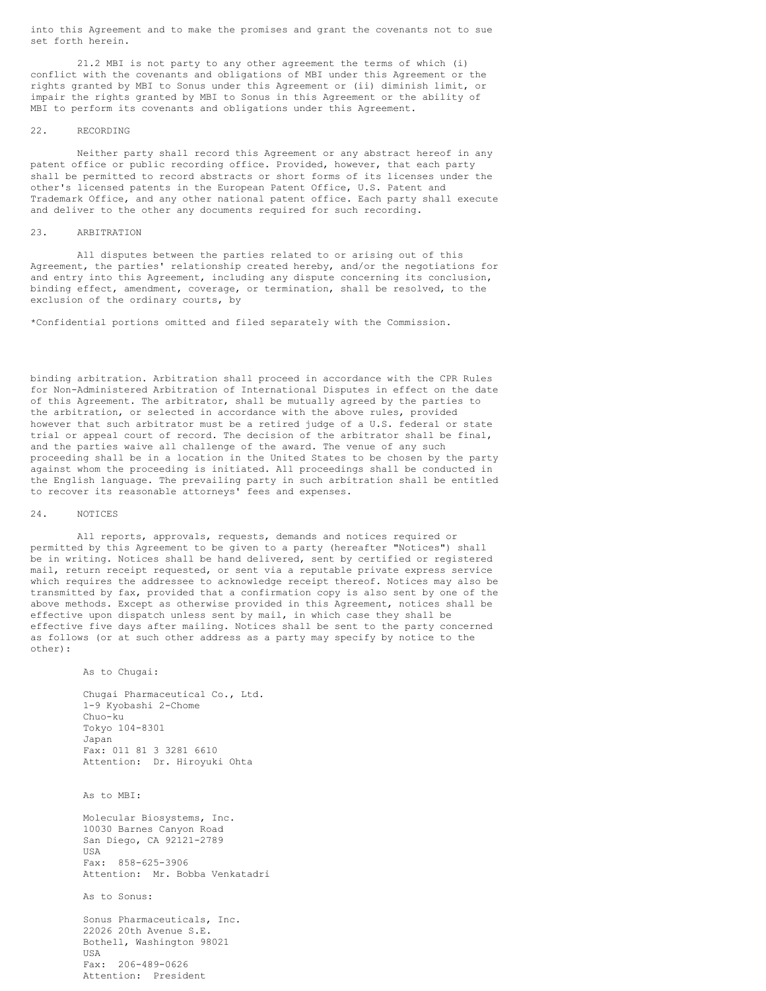into this Agreement and to make the promises and grant the covenants not to sue set forth herein.

21.2 MBI is not party to any other agreement the terms of which (i) conflict with the covenants and obligations of MBI under this Agreement or the rights granted by MBI to Sonus under this Agreement or (ii) diminish limit, or impair the rights granted by MBI to Sonus in this Agreement or the ability of MBI to perform its covenants and obligations under this Agreement.

#### 22. RECORDING

Neither party shall record this Agreement or any abstract hereof in any patent office or public recording office. Provided, however, that each party shall be permitted to record abstracts or short forms of its licenses under the other's licensed patents in the European Patent Office, U.S. Patent and Trademark Office, and any other national patent office. Each party shall execute and deliver to the other any documents required for such recording.

### 23. ARBITRATION

All disputes between the parties related to or arising out of this Agreement, the parties' relationship created hereby, and/or the negotiations for and entry into this Agreement, including any dispute concerning its conclusion, binding effect, amendment, coverage, or termination, shall be resolved, to the exclusion of the ordinary courts, by

\*Confidential portions omitted and filed separately with the Commission.

binding arbitration. Arbitration shall proceed in accordance with the CPR Rules for Non-Administered Arbitration of International Disputes in effect on the date of this Agreement. The arbitrator, shall be mutually agreed by the parties to the arbitration, or selected in accordance with the above rules, provided however that such arbitrator must be a retired judge of a U.S. federal or state trial or appeal court of record. The decision of the arbitrator shall be final, and the parties waive all challenge of the award. The venue of any such proceeding shall be in a location in the United States to be chosen by the party against whom the proceeding is initiated. All proceedings shall be conducted in the English language. The prevailing party in such arbitration shall be entitled to recover its reasonable attorneys' fees and expenses.

### 24. NOTICES

All reports, approvals, requests, demands and notices required or permitted by this Agreement to be given to a party (hereafter "Notices") shall be in writing. Notices shall be hand delivered, sent by certified or registered mail, return receipt requested, or sent via a reputable private express service which requires the addressee to acknowledge receipt thereof. Notices may also be transmitted by fax, provided that a confirmation copy is also sent by one of the above methods. Except as otherwise provided in this Agreement, notices shall be effective upon dispatch unless sent by mail, in which case they shall be effective five days after mailing. Notices shall be sent to the party concerned as follows (or at such other address as a party may specify by notice to the other):

As to Chugai:

Chugai Pharmaceutical Co., Ltd. 1-9 Kyobashi 2-Chome Chuo-ku Tokyo 104-8301 Japan Fax: 011 81 3 3281 6610 Attention: Dr. Hiroyuki Ohta

As to MBI:

Molecular Biosystems, Inc. 10030 Barnes Canyon Road San Diego, CA 92121-2789 USA Fax: 858-625-3906 Attention: Mr. Bobba Venkatadri

As to Sonus:

Sonus Pharmaceuticals, Inc. 22026 20th Avenue S.E. Bothell, Washington 98021 USA Fax: 206-489-0626 Attention: President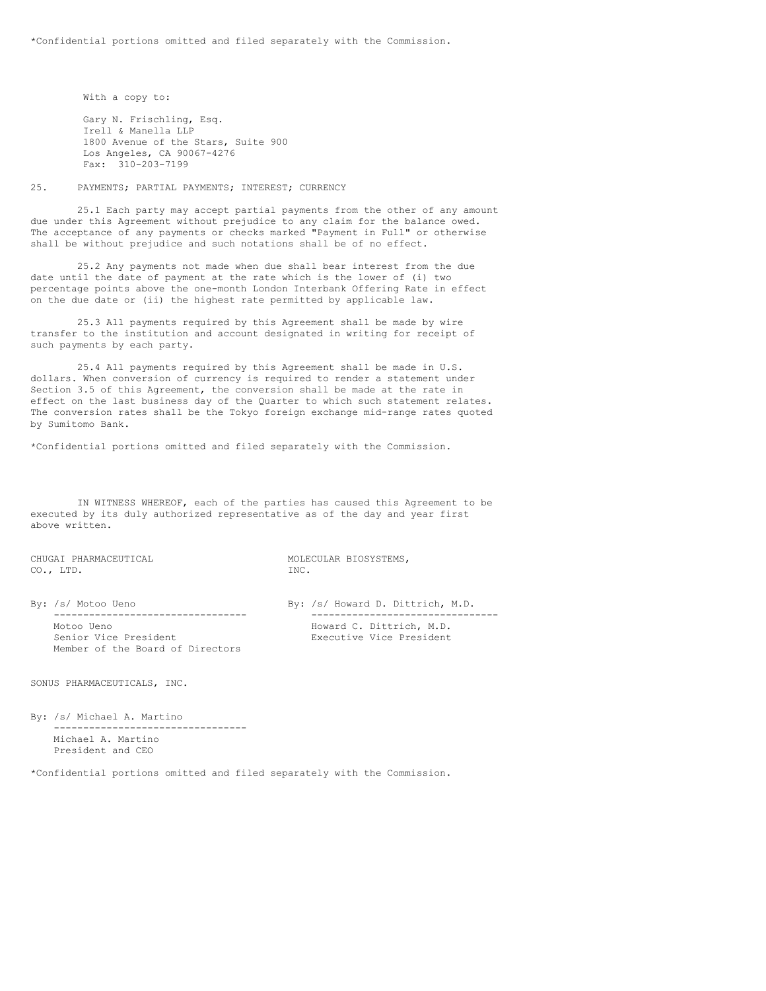With a copy to:

Gary N. Frischling, Esq. Irell & Manella LLP 1800 Avenue of the Stars, Suite 900 Los Angeles, CA 90067-4276 Fax: 310-203-7199

25. PAYMENTS; PARTIAL PAYMENTS; INTEREST; CURRENCY

25.1 Each party may accept partial payments from the other of any amount due under this Agreement without prejudice to any claim for the balance owed. The acceptance of any payments or checks marked "Payment in Full" or otherwise shall be without prejudice and such notations shall be of no effect.

25.2 Any payments not made when due shall bear interest from the due date until the date of payment at the rate which is the lower of (i) two percentage points above the one-month London Interbank Offering Rate in effect on the due date or (ii) the highest rate permitted by applicable law.

25.3 All payments required by this Agreement shall be made by wire transfer to the institution and account designated in writing for receipt of such payments by each party.

25.4 All payments required by this Agreement shall be made in U.S. dollars. When conversion of currency is required to render a statement under Section 3.5 of this Agreement, the conversion shall be made at the rate in effect on the last business day of the Quarter to which such statement relates. The conversion rates shall be the Tokyo foreign exchange mid-range rates quoted by Sumitomo Bank.

\*Confidential portions omitted and filed separately with the Commission.

IN WITNESS WHEREOF, each of the parties has caused this Agreement to be executed by its duly authorized representative as of the day and year first above written.

CHUGAI PHARMACEUTICAL **MOLECULAR BIOSYSTEMS**, CO., LTD. INC.

Motoo Ueno<br>
Senior Vice President<br>
Executive Vice President<br>
Executive Vice President Member of the Board of Directors

By: /s/ Motoo Ueno By: /s/ Howard D. Dittrich, M.D. --------------------------------- -------------------------------- Executive Vice President

SONUS PHARMACEUTICALS, INC.

By: /s/ Michael A. Martino --------------------------------- Michael A. Martino President and CEO

\*Confidential portions omitted and filed separately with the Commission.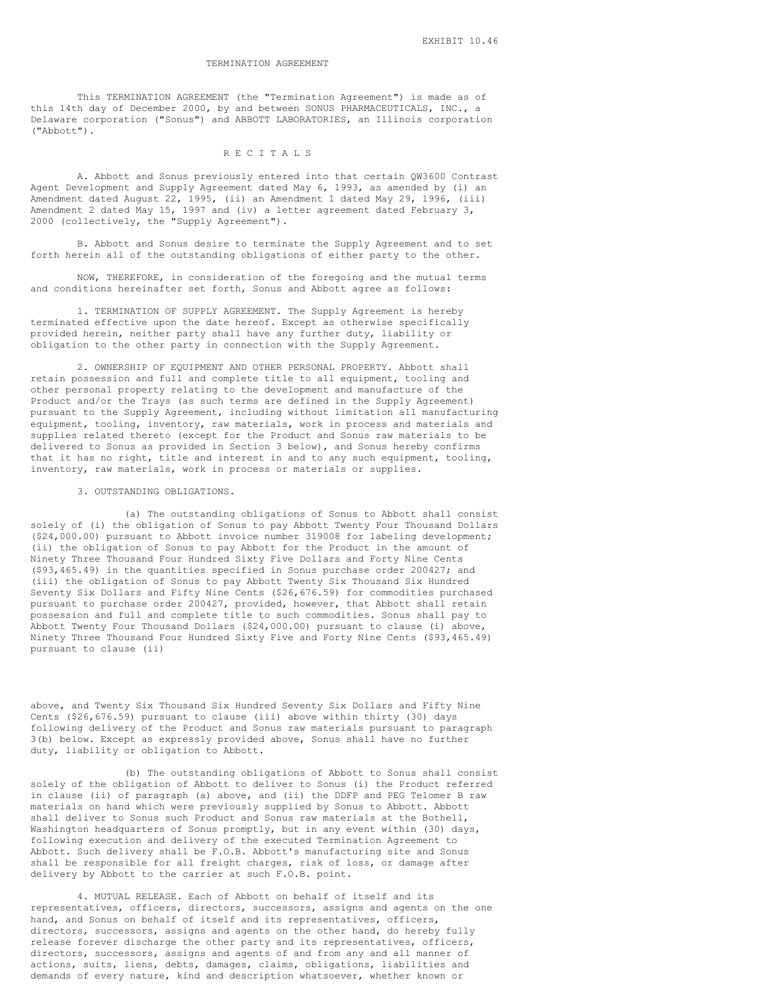### TERMINATION AGREEMENT

This TERMINATION AGREEMENT (the "Termination Agreement") is made as of this 14th day of December 2000, by and between SONUS PHARMACEUTICALS, INC., a Delaware corporation ("Sonus") and ABBOTT LABORATORIES, an Illinois corporation ("Abbott").

### R E C I T A L S

A. Abbott and Sonus previously entered into that certain QW3600 Contrast Agent Development and Supply Agreement dated May 6, 1993, as amended by (i) an Amendment dated August 22, 1995, (ii) an Amendment 1 dated May 29, 1996, (iii) Amendment 2 dated May 15, 1997 and (iv) a letter agreement dated February 3, 2000 (collectively, the "Supply Agreement").

B. Abbott and Sonus desire to terminate the Supply Agreement and to set forth herein all of the outstanding obligations of either party to the other.

NOW, THEREFORE, in consideration of the foregoing and the mutual terms and conditions hereinafter set forth, Sonus and Abbott agree as follows:

1. TERMINATION OF SUPPLY AGREEMENT. The Supply Agreement is hereby terminated effective upon the date hereof. Except as otherwise specifically provided herein, neither party shall have any further duty, liability or obligation to the other party in connection with the Supply Agreement.

2. OWNERSHIP OF EQUIPMENT AND OTHER PERSONAL PROPERTY. Abbott shall retain possession and full and complete title to all equipment, tooling and other personal property relating to the development and manufacture of the Product and/or the Trays (as such terms are defined in the Supply Agreement) pursuant to the Supply Agreement, including without limitation all manufacturing equipment, tooling, inventory, raw materials, work in process and materials and supplies related thereto (except for the Product and Sonus raw materials to be delivered to Sonus as provided in Section 3 below), and Sonus hereby confirms that it has no right, title and interest in and to any such equipment, tooling, inventory, raw materials, work in process or materials or supplies.

#### 3. OUTSTANDING OBLIGATIONS.

(a) The outstanding obligations of Sonus to Abbott shall consist solely of (i) the obligation of Sonus to pay Abbott Twenty Four Thousand Dollars (\$24,000.00) pursuant to Abbott invoice number 319008 for labeling development; (ii) the obligation of Sonus to pay Abbott for the Product in the amount of Ninety Three Thousand Four Hundred Sixty Five Dollars and Forty Nine Cents (\$93,465.49) in the quantities specified in Sonus purchase order 200427; and (iii) the obligation of Sonus to pay Abbott Twenty Six Thousand Six Hundred Seventy Six Dollars and Fifty Nine Cents (\$26,676.59) for commodities purchased pursuant to purchase order 200427, provided, however, that Abbott shall retain possession and full and complete title to such commodities. Sonus shall pay to Abbott Twenty Four Thousand Dollars (\$24,000.00) pursuant to clause (i) above, Ninety Three Thousand Four Hundred Sixty Five and Forty Nine Cents (\$93,465.49) pursuant to clause (ii)

above, and Twenty Six Thousand Six Hundred Seventy Six Dollars and Fifty Nine Cents (\$26,676.59) pursuant to clause (iii) above within thirty (30) days following delivery of the Product and Sonus raw materials pursuant to paragraph 3(b) below. Except as expressly provided above, Sonus shall have no further duty, liability or obligation to Abbott.

(b) The outstanding obligations of Abbott to Sonus shall consist solely of the obligation of Abbott to deliver to Sonus (i) the Product referred in clause (ii) of paragraph (a) above, and (ii) the DDFP and PEG Telomer B raw materials on hand which were previously supplied by Sonus to Abbott. Abbott shall deliver to Sonus such Product and Sonus raw materials at the Bothell, Washington headquarters of Sonus promptly, but in any event within (30) days, following execution and delivery of the executed Termination Agreement to Abbott. Such delivery shall be F.O.B. Abbott's manufacturing site and Sonus shall be responsible for all freight charges, risk of loss, or damage after delivery by Abbott to the carrier at such F.O.B. point.

4. MUTUAL RELEASE. Each of Abbott on behalf of itself and its representatives, officers, directors, successors, assigns and agents on the one hand, and Sonus on behalf of itself and its representatives, officers, directors, successors, assigns and agents on the other hand, do hereby fully release forever discharge the other party and its representatives, officers, directors, successors, assigns and agents of and from any and all manner of actions, suits, liens, debts, damages, claims, obligations, liabilities and demands of every nature, kind and description whatsoever, whether known or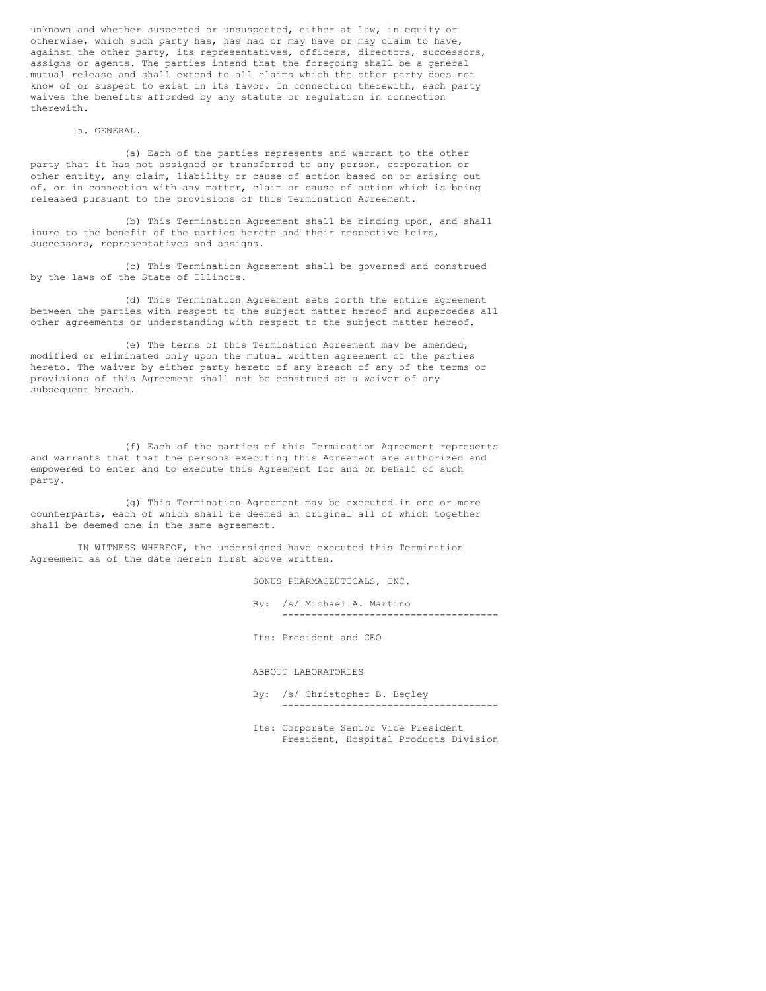unknown and whether suspected or unsuspected, either at law, in equity or otherwise, which such party has, has had or may have or may claim to have, against the other party, its representatives, officers, directors, successors, assigns or agents. The parties intend that the foregoing shall be a general mutual release and shall extend to all claims which the other party does not know of or suspect to exist in its favor. In connection therewith, each party waives the benefits afforded by any statute or regulation in connection therewith.

#### 5. GENERAL.

(a) Each of the parties represents and warrant to the other party that it has not assigned or transferred to any person, corporation or other entity, any claim, liability or cause of action based on or arising out of, or in connection with any matter, claim or cause of action which is being released pursuant to the provisions of this Termination Agreement.

(b) This Termination Agreement shall be binding upon, and shall inure to the benefit of the parties hereto and their respective heirs, successors, representatives and assigns.

(c) This Termination Agreement shall be governed and construed by the laws of the State of Illinois.

(d) This Termination Agreement sets forth the entire agreement between the parties with respect to the subject matter hereof and supercedes all other agreements or understanding with respect to the subject matter hereof.

(e) The terms of this Termination Agreement may be amended, modified or eliminated only upon the mutual written agreement of the parties hereto. The waiver by either party hereto of any breach of any of the terms or provisions of this Agreement shall not be construed as a waiver of any subsequent breach.

(f) Each of the parties of this Termination Agreement represents and warrants that that the persons executing this Agreement are authorized and empowered to enter and to execute this Agreement for and on behalf of such party.

(g) This Termination Agreement may be executed in one or more counterparts, each of which shall be deemed an original all of which together shall be deemed one in the same agreement.

IN WITNESS WHEREOF, the undersigned have executed this Termination Agreement as of the date herein first above written.

SONUS PHARMACEUTICALS, INC.

- By: /s/ Michael A. Martino -------------------------------------
- Its: President and CEO

ABBOTT LABORATORIES

- By: /s/ Christopher B. Begley -------------------------------------
- Its: Corporate Senior Vice President President, Hospital Products Division